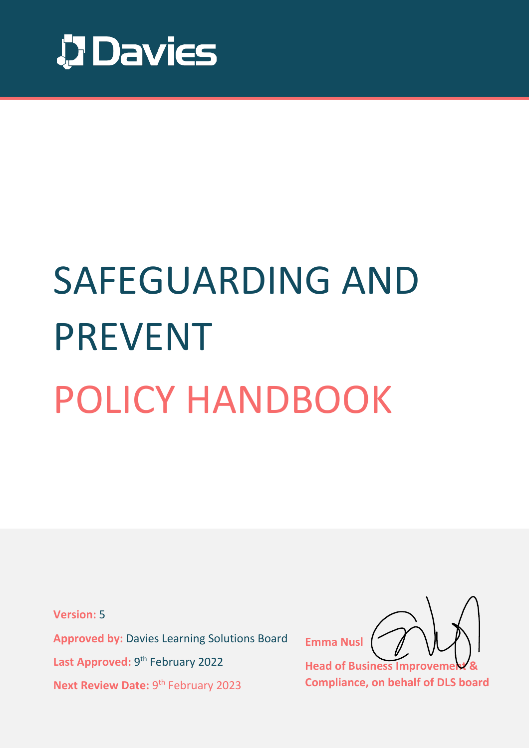

# SAFEGUARDING AND PREVENT POLICY HANDBOOK

**Version:** 5

**Approved by:** Davies Learning Solutions Board Last Approved: 9<sup>th</sup> February 2022 Next Review Date: 9<sup>th</sup> February 2023

**Emma Nusl**

**Head of Business Improve Compliance, on behalf of DLS board**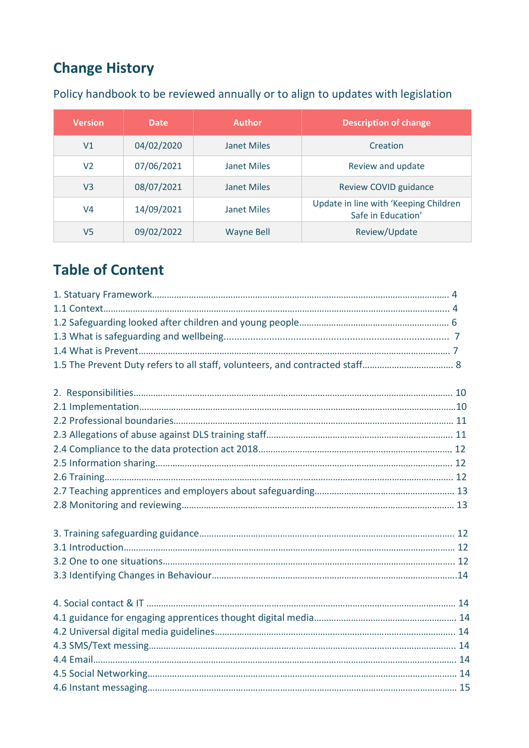# **Change History**

| <b>Version</b> | <b>Date</b> | <b>Author</b>      | <b>Description of change</b>                                |
|----------------|-------------|--------------------|-------------------------------------------------------------|
| V <sub>1</sub> | 04/02/2020  | Janet Miles        | Creation                                                    |
| V2             | 07/06/2021  | Janet Miles        | Review and update                                           |
| V3             | 08/07/2021  | <b>Janet Miles</b> | <b>Review COVID guidance</b>                                |
| V4             | 14/09/2021  | <b>Janet Miles</b> | Update in line with 'Keeping Children<br>Safe in Education' |
| V5             | 09/02/2022  | <b>Wayne Bell</b>  | Review/Update                                               |

Policy handbook to be reviewed annually or to align to updates with legislation

# **Table of Content**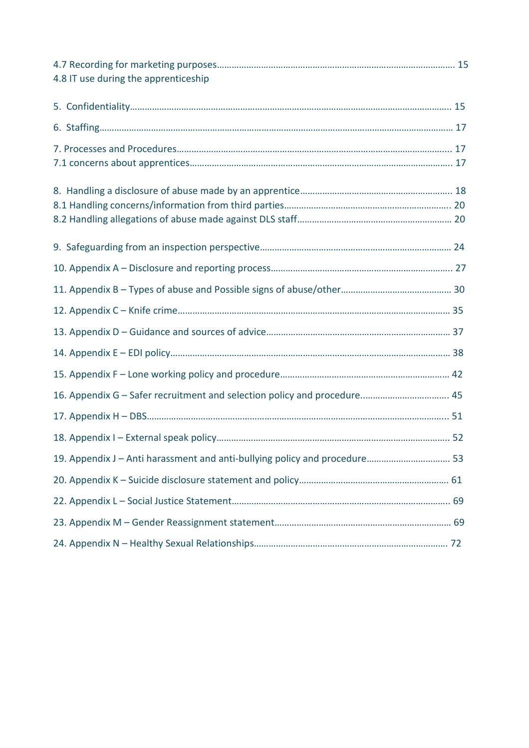| 4.8 IT use during the apprenticeship                                       |  |
|----------------------------------------------------------------------------|--|
|                                                                            |  |
|                                                                            |  |
|                                                                            |  |
|                                                                            |  |
|                                                                            |  |
|                                                                            |  |
|                                                                            |  |
|                                                                            |  |
|                                                                            |  |
|                                                                            |  |
|                                                                            |  |
|                                                                            |  |
|                                                                            |  |
|                                                                            |  |
| 19. Appendix J - Anti harassment and anti-bullying policy and procedure 53 |  |
|                                                                            |  |
|                                                                            |  |
|                                                                            |  |
|                                                                            |  |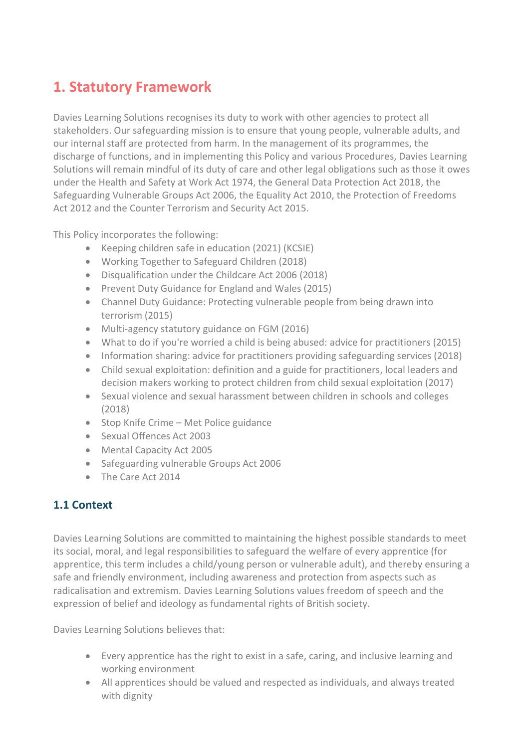# **1. Statutory Framework**

Davies Learning Solutions recognises its duty to work with other agencies to protect all stakeholders. Our safeguarding mission is to ensure that young people, vulnerable adults, and our internal staff are protected from harm. In the management of its programmes, the discharge of functions, and in implementing this Policy and various Procedures, Davies Learning Solutions will remain mindful of its duty of care and other legal obligations such as those it owes under the Health and Safety at Work Act 1974, the General Data Protection Act 2018, the Safeguarding Vulnerable Groups Act 2006, the Equality Act 2010, the Protection of Freedoms Act 2012 and the Counter Terrorism and Security Act 2015.

This Policy incorporates the following:

- Keeping children safe in education (2021) (KCSIE)
- Working Together to Safeguard Children (2018)
- Disqualification under the Childcare Act 2006 (2018)
- Prevent Duty Guidance for England and Wales (2015)
- Channel Duty Guidance: Protecting vulnerable people from being drawn into terrorism (2015)
- Multi-agency statutory guidance on FGM (2016)
- What to do if you're worried a child is being abused: advice for practitioners (2015)
- Information sharing: advice for practitioners providing safeguarding services (2018)
- Child sexual exploitation: definition and a guide for practitioners, local leaders and decision makers working to protect children from child sexual exploitation (2017)
- Sexual violence and sexual harassment between children in schools and colleges (2018)
- Stop Knife Crime Met Police guidance
- Sexual Offences Act 2003
- Mental Capacity Act 2005
- Safeguarding vulnerable Groups Act 2006
- The Care Act 2014

## **1.1 Context**

Davies Learning Solutions are committed to maintaining the highest possible standards to meet its social, moral, and legal responsibilities to safeguard the welfare of every apprentice (for apprentice, this term includes a child/young person or vulnerable adult), and thereby ensuring a safe and friendly environment, including awareness and protection from aspects such as radicalisation and extremism. Davies Learning Solutions values freedom of speech and the expression of belief and ideology as fundamental rights of British society.

Davies Learning Solutions believes that:

- Every apprentice has the right to exist in a safe, caring, and inclusive learning and working environment
- All apprentices should be valued and respected as individuals, and always treated with dignity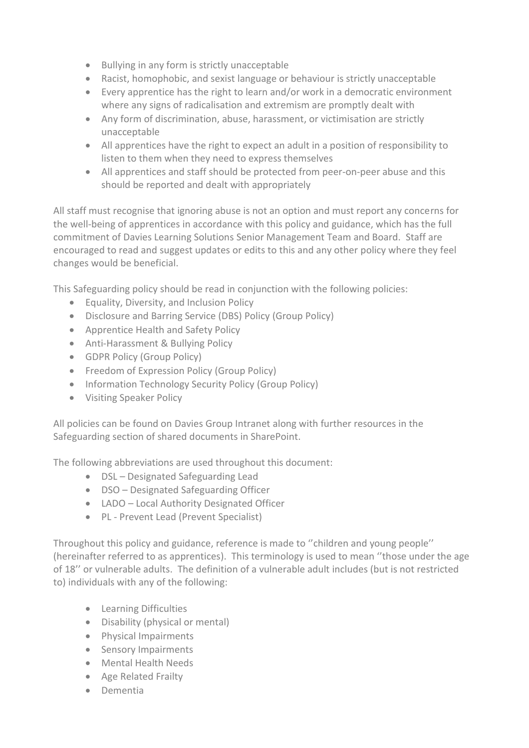- Bullying in any form is strictly unacceptable
- Racist, homophobic, and sexist language or behaviour is strictly unacceptable
- Every apprentice has the right to learn and/or work in a democratic environment where any signs of radicalisation and extremism are promptly dealt with
- Any form of discrimination, abuse, harassment, or victimisation are strictly unacceptable
- All apprentices have the right to expect an adult in a position of responsibility to listen to them when they need to express themselves
- All apprentices and staff should be protected from peer-on-peer abuse and this should be reported and dealt with appropriately

All staff must recognise that ignoring abuse is not an option and must report any concerns for the well-being of apprentices in accordance with this policy and guidance, which has the full commitment of Davies Learning Solutions Senior Management Team and Board. Staff are encouraged to read and suggest updates or edits to this and any other policy where they feel changes would be beneficial.

This Safeguarding policy should be read in conjunction with the following policies:

- Equality, Diversity, and Inclusion Policy
- Disclosure and Barring Service (DBS) Policy (Group Policy)
- Apprentice Health and Safety Policy
- Anti-Harassment & Bullying Policy
- GDPR Policy (Group Policy)
- Freedom of Expression Policy (Group Policy)
- Information Technology Security Policy (Group Policy)
- Visiting Speaker Policy

All policies can be found on Davies Group Intranet along with further resources in the Safeguarding section of shared documents in SharePoint.

The following abbreviations are used throughout this document:

- DSL Designated Safeguarding Lead
- DSO Designated Safeguarding Officer
- LADO Local Authority Designated Officer
- PL Prevent Lead (Prevent Specialist)

Throughout this policy and guidance, reference is made to ''children and young people'' (hereinafter referred to as apprentices). This terminology is used to mean ''those under the age of 18'' or vulnerable adults. The definition of a vulnerable adult includes (but is not restricted to) individuals with any of the following:

- Learning Difficulties
- Disability (physical or mental)
- Physical Impairments
- Sensory Impairments
- Mental Health Needs
- Age Related Frailty
- Dementia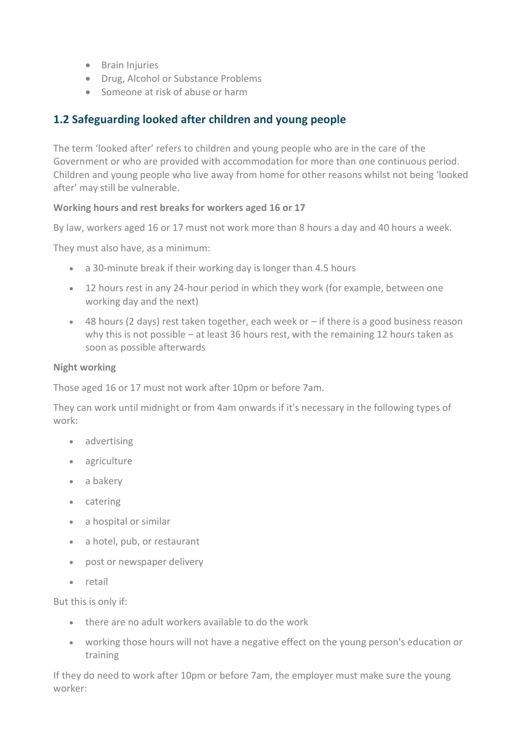- Brain Injuries
- Drug, Alcohol or Substance Problems
- Someone at risk of abuse or harm

## **1.2 Safeguarding looked after children and young people**

The term 'looked after' refers to children and young people who are in the care of the Government or who are provided with accommodation for more than one continuous period. Children and young people who live away from home for other reasons whilst not being 'looked after' may still be vulnerable.

#### **Working hours and rest breaks for workers aged 16 or 17**

By law, workers aged 16 or 17 must not work more than 8 hours a day and 40 hours a week.

They must also have, as a minimum:

- a 30-minute break if their working day is longer than 4.5 hours
- 12 hours rest in any 24-hour period in which they work (for example, between one working day and the next)
- 48 hours (2 days) rest taken together, each week or if there is a good business reason why this is not possible – at least 36 hours rest, with the remaining 12 hours taken as soon as possible afterwards

#### **Night working**

Those aged 16 or 17 must not work after 10pm or before 7am.

They can work until midnight or from 4am onwards if it's necessary in the following types of work:

- advertising
- agriculture
- a bakery
- catering
- a hospital or similar
- a hotel, pub, or restaurant
- post or newspaper delivery
- retail

But this is only if:

- there are no adult workers available to do the work
- working those hours will not have a negative effect on the young person's education or training

If they do need to work after 10pm or before 7am, the employer must make sure the young worker: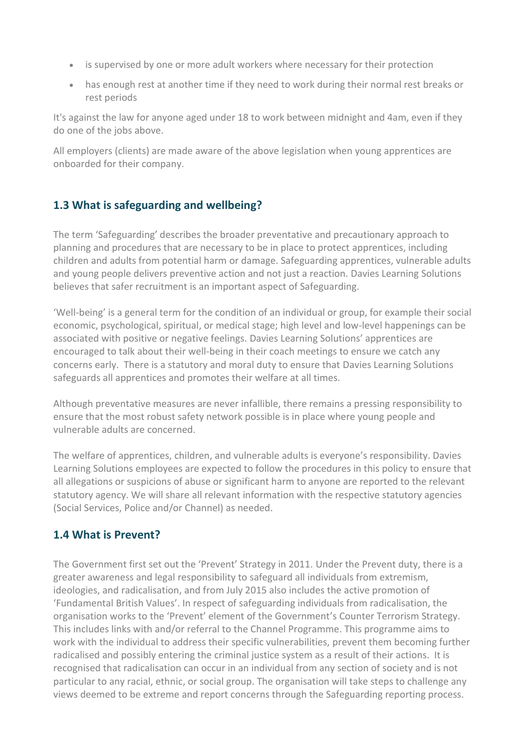- is supervised by one or more adult workers where necessary for their protection
- has enough rest at another time if they need to work during their normal rest breaks or rest periods

It's against the law for anyone aged under 18 to work between midnight and 4am, even if they do one of the jobs above.

All employers (clients) are made aware of the above legislation when young apprentices are onboarded for their company.

### **1.3 What is safeguarding and wellbeing?**

The term 'Safeguarding' describes the broader preventative and precautionary approach to planning and procedures that are necessary to be in place to protect apprentices, including children and adults from potential harm or damage. Safeguarding apprentices, vulnerable adults and young people delivers preventive action and not just a reaction. Davies Learning Solutions believes that safer recruitment is an important aspect of Safeguarding.

'Well-being' is a general term for the condition of an individual or group, for example their social economic, psychological, spiritual, or medical stage; high level and low-level happenings can be associated with positive or negative feelings. Davies Learning Solutions' apprentices are encouraged to talk about their well-being in their coach meetings to ensure we catch any concerns early. There is a statutory and moral duty to ensure that Davies Learning Solutions safeguards all apprentices and promotes their welfare at all times.

Although preventative measures are never infallible, there remains a pressing responsibility to ensure that the most robust safety network possible is in place where young people and vulnerable adults are concerned.

The welfare of apprentices, children, and vulnerable adults is everyone's responsibility. Davies Learning Solutions employees are expected to follow the procedures in this policy to ensure that all allegations or suspicions of abuse or significant harm to anyone are reported to the relevant statutory agency. We will share all relevant information with the respective statutory agencies (Social Services, Police and/or Channel) as needed.

#### **1.4 What is Prevent?**

The Government first set out the 'Prevent' Strategy in 2011. Under the Prevent duty, there is a greater awareness and legal responsibility to safeguard all individuals from extremism, ideologies, and radicalisation, and from July 2015 also includes the active promotion of 'Fundamental British Values'. In respect of safeguarding individuals from radicalisation, the organisation works to the 'Prevent' element of the Government's Counter Terrorism Strategy. This includes links with and/or referral to the Channel Programme. This programme aims to work with the individual to address their specific vulnerabilities, prevent them becoming further radicalised and possibly entering the criminal justice system as a result of their actions. It is recognised that radicalisation can occur in an individual from any section of society and is not particular to any racial, ethnic, or social group. The organisation will take steps to challenge any views deemed to be extreme and report concerns through the Safeguarding reporting process.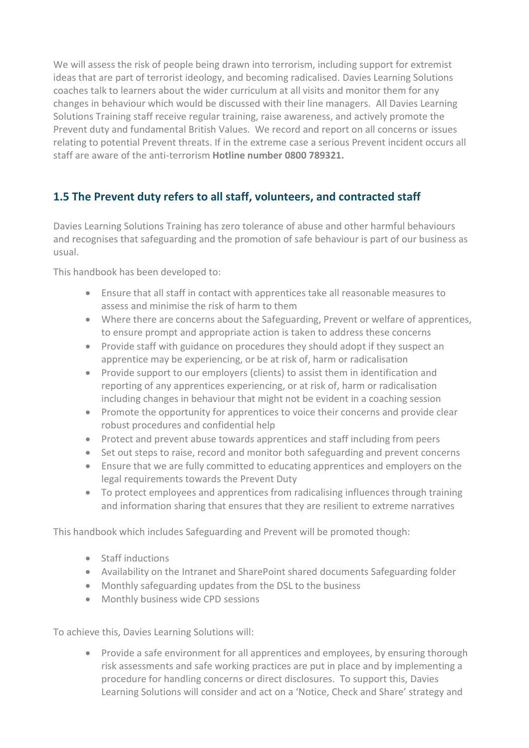We will assess the risk of people being drawn into terrorism, including support for extremist ideas that are part of terrorist ideology, and becoming radicalised. Davies Learning Solutions coaches talk to learners about the wider curriculum at all visits and monitor them for any changes in behaviour which would be discussed with their line managers. All Davies Learning Solutions Training staff receive regular training, raise awareness, and actively promote the Prevent duty and fundamental British Values. We record and report on all concerns or issues relating to potential Prevent threats. If in the extreme case a serious Prevent incident occurs all staff are aware of the anti-terrorism **Hotline number 0800 789321.**

## **1.5 The Prevent duty refers to all staff, volunteers, and contracted staff**

Davies Learning Solutions Training has zero tolerance of abuse and other harmful behaviours and recognises that safeguarding and the promotion of safe behaviour is part of our business as usual.

This handbook has been developed to:

- Ensure that all staff in contact with apprentices take all reasonable measures to assess and minimise the risk of harm to them
- Where there are concerns about the Safeguarding, Prevent or welfare of apprentices, to ensure prompt and appropriate action is taken to address these concerns
- Provide staff with guidance on procedures they should adopt if they suspect an apprentice may be experiencing, or be at risk of, harm or radicalisation
- Provide support to our employers (clients) to assist them in identification and reporting of any apprentices experiencing, or at risk of, harm or radicalisation including changes in behaviour that might not be evident in a coaching session
- Promote the opportunity for apprentices to voice their concerns and provide clear robust procedures and confidential help
- Protect and prevent abuse towards apprentices and staff including from peers
- Set out steps to raise, record and monitor both safeguarding and prevent concerns
- Ensure that we are fully committed to educating apprentices and employers on the legal requirements towards the Prevent Duty
- To protect employees and apprentices from radicalising influences through training and information sharing that ensures that they are resilient to extreme narratives

This handbook which includes Safeguarding and Prevent will be promoted though:

- Staff inductions
- Availability on the Intranet and SharePoint shared documents Safeguarding folder
- Monthly safeguarding updates from the DSL to the business
- Monthly business wide CPD sessions

To achieve this, Davies Learning Solutions will:

• Provide a safe environment for all apprentices and employees, by ensuring thorough risk assessments and safe working practices are put in place and by implementing a procedure for handling concerns or direct disclosures. To support this, Davies Learning Solutions will consider and act on a 'Notice, Check and Share' strategy and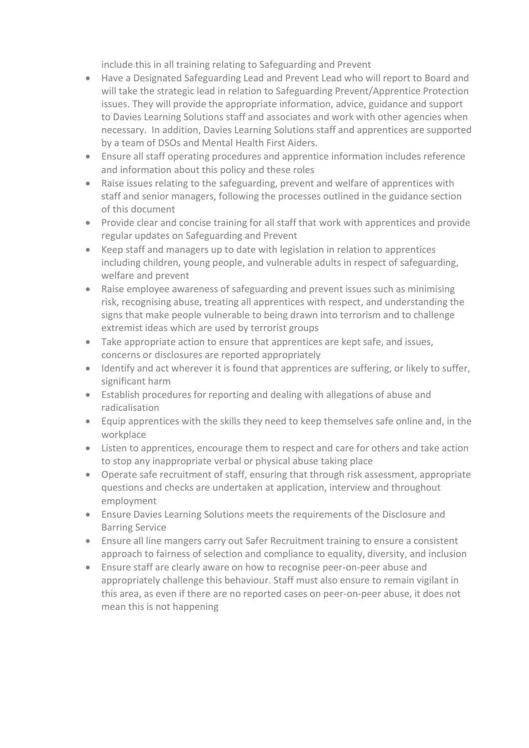include this in all training relating to Safeguarding and Prevent

- Have a Designated Safeguarding Lead and Prevent Lead who will report to Board and will take the strategic lead in relation to Safeguarding Prevent/Apprentice Protection issues. They will provide the appropriate information, advice, guidance and support to Davies Learning Solutions staff and associates and work with other agencies when necessary. In addition, Davies Learning Solutions staff and apprentices are supported by a team of DSOs and Mental Health First Aiders.
- Ensure all staff operating procedures and apprentice information includes reference and information about this policy and these roles
- Raise issues relating to the safeguarding, prevent and welfare of apprentices with staff and senior managers, following the processes outlined in the guidance section of this document
- Provide clear and concise training for all staff that work with apprentices and provide regular updates on Safeguarding and Prevent
- Keep staff and managers up to date with legislation in relation to apprentices including children, young people, and vulnerable adults in respect of safeguarding, welfare and prevent
- Raise employee awareness of safeguarding and prevent issues such as minimising risk, recognising abuse, treating all apprentices with respect, and understanding the signs that make people vulnerable to being drawn into terrorism and to challenge extremist ideas which are used by terrorist groups
- Take appropriate action to ensure that apprentices are kept safe, and issues, concerns or disclosures are reported appropriately
- Identify and act wherever it is found that apprentices are suffering, or likely to suffer, significant harm
- Establish procedures for reporting and dealing with allegations of abuse and radicalisation
- Equip apprentices with the skills they need to keep themselves safe online and, in the workplace
- Listen to apprentices, encourage them to respect and care for others and take action to stop any inappropriate verbal or physical abuse taking place
- Operate safe recruitment of staff, ensuring that through risk assessment, appropriate questions and checks are undertaken at application, interview and throughout employment
- Ensure Davies Learning Solutions meets the requirements of the Disclosure and Barring Service
- Ensure all line mangers carry out Safer Recruitment training to ensure a consistent approach to fairness of selection and compliance to equality, diversity, and inclusion
- Ensure staff are clearly aware on how to recognise peer-on-peer abuse and appropriately challenge this behaviour. Staff must also ensure to remain vigilant in this area, as even if there are no reported cases on peer-on-peer abuse, it does not mean this is not happening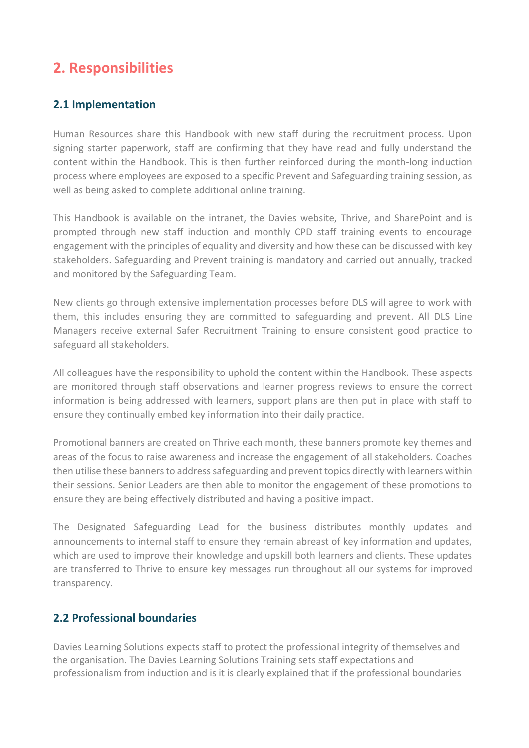# **2. Responsibilities**

#### **2.1 Implementation**

Human Resources share this Handbook with new staff during the recruitment process. Upon signing starter paperwork, staff are confirming that they have read and fully understand the content within the Handbook. This is then further reinforced during the month-long induction process where employees are exposed to a specific Prevent and Safeguarding training session, as well as being asked to complete additional online training.

This Handbook is available on the intranet, the Davies website, Thrive, and SharePoint and is prompted through new staff induction and monthly CPD staff training events to encourage engagement with the principles of equality and diversity and how these can be discussed with key stakeholders. Safeguarding and Prevent training is mandatory and carried out annually, tracked and monitored by the Safeguarding Team.

New clients go through extensive implementation processes before DLS will agree to work with them, this includes ensuring they are committed to safeguarding and prevent. All DLS Line Managers receive external Safer Recruitment Training to ensure consistent good practice to safeguard all stakeholders.

All colleagues have the responsibility to uphold the content within the Handbook. These aspects are monitored through staff observations and learner progress reviews to ensure the correct information is being addressed with learners, support plans are then put in place with staff to ensure they continually embed key information into their daily practice.

Promotional banners are created on Thrive each month, these banners promote key themes and areas of the focus to raise awareness and increase the engagement of all stakeholders. Coaches then utilise these banners to address safeguarding and prevent topics directly with learners within their sessions. Senior Leaders are then able to monitor the engagement of these promotions to ensure they are being effectively distributed and having a positive impact.

The Designated Safeguarding Lead for the business distributes monthly updates and announcements to internal staff to ensure they remain abreast of key information and updates, which are used to improve their knowledge and upskill both learners and clients. These updates are transferred to Thrive to ensure key messages run throughout all our systems for improved transparency.

#### **2.2 Professional boundaries**

Davies Learning Solutions expects staff to protect the professional integrity of themselves and the organisation. The Davies Learning Solutions Training sets staff expectations and professionalism from induction and is it is clearly explained that if the professional boundaries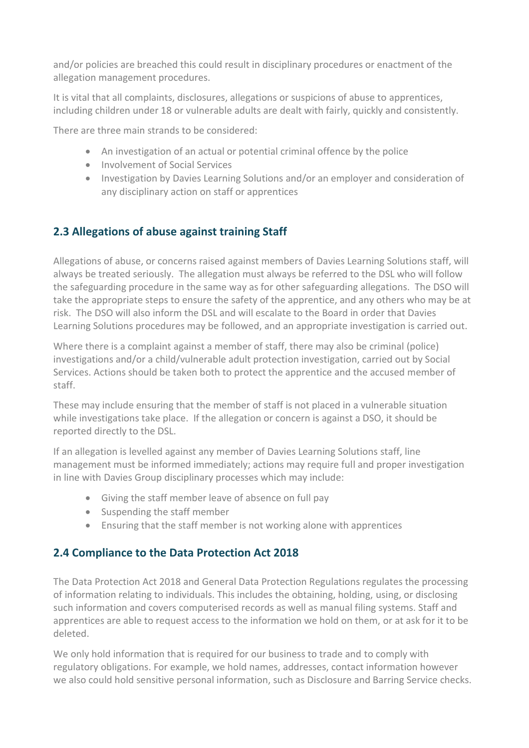and/or policies are breached this could result in disciplinary procedures or enactment of the allegation management procedures.

It is vital that all complaints, disclosures, allegations or suspicions of abuse to apprentices, including children under 18 or vulnerable adults are dealt with fairly, quickly and consistently.

There are three main strands to be considered:

- An investigation of an actual or potential criminal offence by the police
- Involvement of Social Services
- Investigation by Davies Learning Solutions and/or an employer and consideration of any disciplinary action on staff or apprentices

### **2.3 Allegations of abuse against training Staff**

Allegations of abuse, or concerns raised against members of Davies Learning Solutions staff, will always be treated seriously. The allegation must always be referred to the DSL who will follow the safeguarding procedure in the same way as for other safeguarding allegations. The DSO will take the appropriate steps to ensure the safety of the apprentice, and any others who may be at risk. The DSO will also inform the DSL and will escalate to the Board in order that Davies Learning Solutions procedures may be followed, and an appropriate investigation is carried out.

Where there is a complaint against a member of staff, there may also be criminal (police) investigations and/or a child/vulnerable adult protection investigation, carried out by Social Services. Actions should be taken both to protect the apprentice and the accused member of staff.

These may include ensuring that the member of staff is not placed in a vulnerable situation while investigations take place. If the allegation or concern is against a DSO, it should be reported directly to the DSL.

If an allegation is levelled against any member of Davies Learning Solutions staff, line management must be informed immediately; actions may require full and proper investigation in line with Davies Group disciplinary processes which may include:

- Giving the staff member leave of absence on full pay
- Suspending the staff member
- Ensuring that the staff member is not working alone with apprentices

#### **2.4 Compliance to the Data Protection Act 2018**

The Data Protection Act 2018 and General Data Protection Regulations regulates the processing of information relating to individuals. This includes the obtaining, holding, using, or disclosing such information and covers computerised records as well as manual filing systems. Staff and apprentices are able to request access to the information we hold on them, or at ask for it to be deleted.

We only hold information that is required for our business to trade and to comply with regulatory obligations. For example, we hold names, addresses, contact information however we also could hold sensitive personal information, such as Disclosure and Barring Service checks.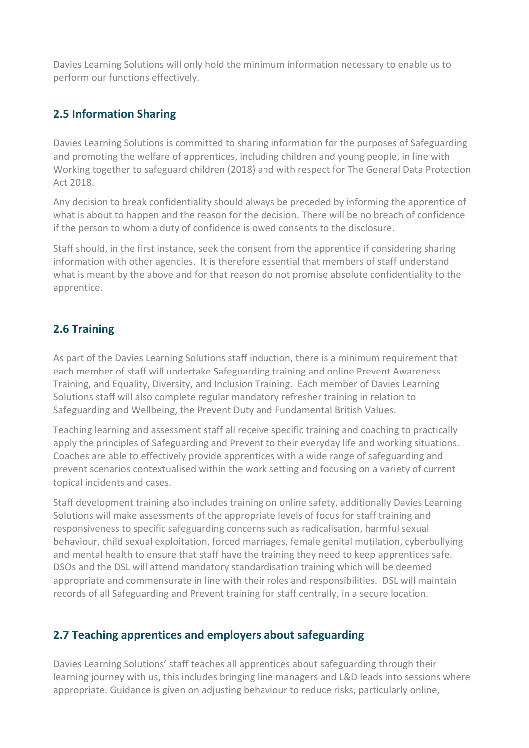Davies Learning Solutions will only hold the minimum information necessary to enable us to perform our functions effectively.

#### **2.5 Information Sharing**

Davies Learning Solutions is committed to sharing information for the purposes of Safeguarding and promoting the welfare of apprentices, including children and young people, in line with Working together to safeguard children (2018) and with respect for The General Data Protection Act 2018.

Any decision to break confidentiality should always be preceded by informing the apprentice of what is about to happen and the reason for the decision. There will be no breach of confidence if the person to whom a duty of confidence is owed consents to the disclosure.

Staff should, in the first instance, seek the consent from the apprentice if considering sharing information with other agencies. It is therefore essential that members of staff understand what is meant by the above and for that reason do not promise absolute confidentiality to the apprentice.

### **2.6 Training**

As part of the Davies Learning Solutions staff induction, there is a minimum requirement that each member of staff will undertake Safeguarding training and online Prevent Awareness Training, and Equality, Diversity, and Inclusion Training. Each member of Davies Learning Solutions staff will also complete regular mandatory refresher training in relation to Safeguarding and Wellbeing, the Prevent Duty and Fundamental British Values.

Teaching learning and assessment staff all receive specific training and coaching to practically apply the principles of Safeguarding and Prevent to their everyday life and working situations. Coaches are able to effectively provide apprentices with a wide range of safeguarding and prevent scenarios contextualised within the work setting and focusing on a variety of current topical incidents and cases.

Staff development training also includes training on online safety, additionally Davies Learning Solutions will make assessments of the appropriate levels of focus for staff training and responsiveness to specific safeguarding concerns such as radicalisation, harmful sexual behaviour, child sexual exploitation, forced marriages, female genital mutilation, cyberbullying and mental health to ensure that staff have the training they need to keep apprentices safe. DSOs and the DSL will attend mandatory standardisation training which will be deemed appropriate and commensurate in line with their roles and responsibilities. DSL will maintain records of all Safeguarding and Prevent training for staff centrally, in a secure location.

#### **2.7 Teaching apprentices and employers about safeguarding**

Davies Learning Solutions' staff teaches all apprentices about safeguarding through their learning journey with us, this includes bringing line managers and L&D leads into sessions where appropriate. Guidance is given on adjusting behaviour to reduce risks, particularly online,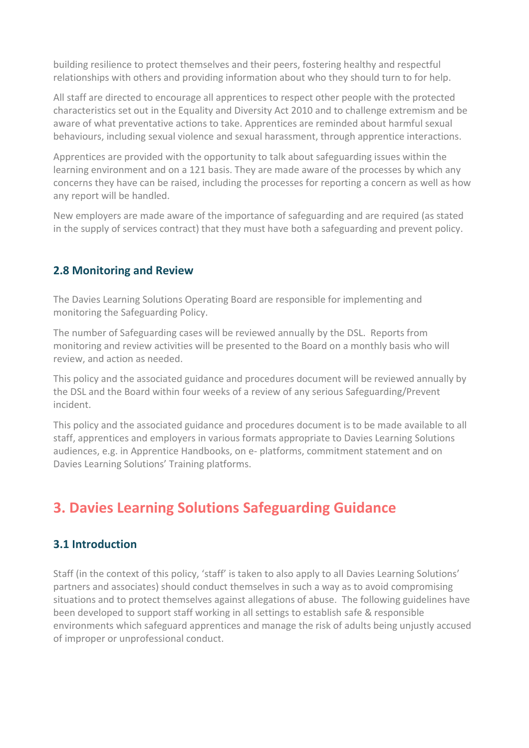building resilience to protect themselves and their peers, fostering healthy and respectful relationships with others and providing information about who they should turn to for help.

All staff are directed to encourage all apprentices to respect other people with the protected characteristics set out in the Equality and Diversity Act 2010 and to challenge extremism and be aware of what preventative actions to take. Apprentices are reminded about harmful sexual behaviours, including sexual violence and sexual harassment, through apprentice interactions.

Apprentices are provided with the opportunity to talk about safeguarding issues within the learning environment and on a 121 basis. They are made aware of the processes by which any concerns they have can be raised, including the processes for reporting a concern as well as how any report will be handled.

New employers are made aware of the importance of safeguarding and are required (as stated in the supply of services contract) that they must have both a safeguarding and prevent policy.

#### **2.8 Monitoring and Review**

The Davies Learning Solutions Operating Board are responsible for implementing and monitoring the Safeguarding Policy.

The number of Safeguarding cases will be reviewed annually by the DSL. Reports from monitoring and review activities will be presented to the Board on a monthly basis who will review, and action as needed.

This policy and the associated guidance and procedures document will be reviewed annually by the DSL and the Board within four weeks of a review of any serious Safeguarding/Prevent incident.

This policy and the associated guidance and procedures document is to be made available to all staff, apprentices and employers in various formats appropriate to Davies Learning Solutions audiences, e.g. in Apprentice Handbooks, on e- platforms, commitment statement and on Davies Learning Solutions' Training platforms.

## **3. Davies Learning Solutions Safeguarding Guidance**

#### **3.1 Introduction**

Staff (in the context of this policy, 'staff' is taken to also apply to all Davies Learning Solutions' partners and associates) should conduct themselves in such a way as to avoid compromising situations and to protect themselves against allegations of abuse. The following guidelines have been developed to support staff working in all settings to establish safe & responsible environments which safeguard apprentices and manage the risk of adults being unjustly accused of improper or unprofessional conduct.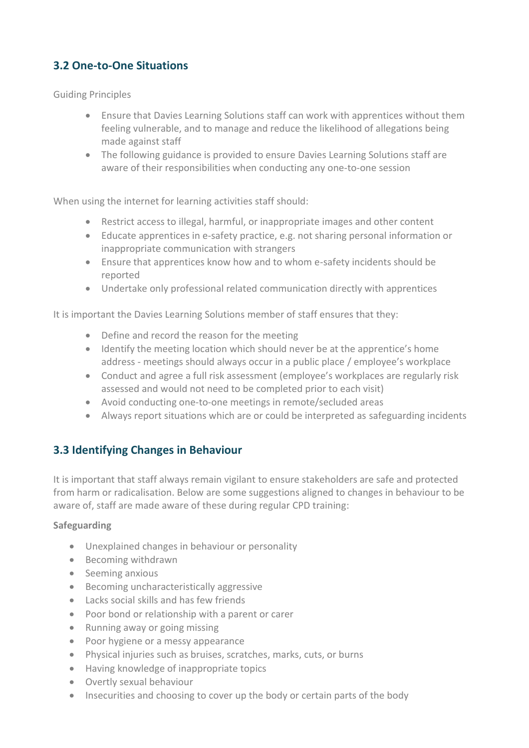## **3.2 One-to-One Situations**

Guiding Principles

- Ensure that Davies Learning Solutions staff can work with apprentices without them feeling vulnerable, and to manage and reduce the likelihood of allegations being made against staff
- The following guidance is provided to ensure Davies Learning Solutions staff are aware of their responsibilities when conducting any one-to-one session

When using the internet for learning activities staff should:

- Restrict access to illegal, harmful, or inappropriate images and other content
- Educate apprentices in e-safety practice, e.g. not sharing personal information or inappropriate communication with strangers
- Ensure that apprentices know how and to whom e-safety incidents should be reported
- Undertake only professional related communication directly with apprentices

It is important the Davies Learning Solutions member of staff ensures that they:

- Define and record the reason for the meeting
- Identify the meeting location which should never be at the apprentice's home address - meetings should always occur in a public place / employee's workplace
- Conduct and agree a full risk assessment (employee's workplaces are regularly risk assessed and would not need to be completed prior to each visit)
- Avoid conducting one-to-one meetings in remote/secluded areas
- Always report situations which are or could be interpreted as safeguarding incidents

#### **3.3 Identifying Changes in Behaviour**

It is important that staff always remain vigilant to ensure stakeholders are safe and protected from harm or radicalisation. Below are some suggestions aligned to changes in behaviour to be aware of, staff are made aware of these during regular CPD training:

#### **Safeguarding**

- Unexplained changes in behaviour or personality
- Becoming withdrawn
- Seeming anxious
- Becoming uncharacteristically aggressive
- Lacks social skills and has few friends
- Poor bond or relationship with a parent or carer
- Running away or going missing
- Poor hygiene or a messy appearance
- Physical injuries such as bruises, scratches, marks, cuts, or burns
- Having knowledge of inappropriate topics
- Overtly sexual behaviour
- Insecurities and choosing to cover up the body or certain parts of the body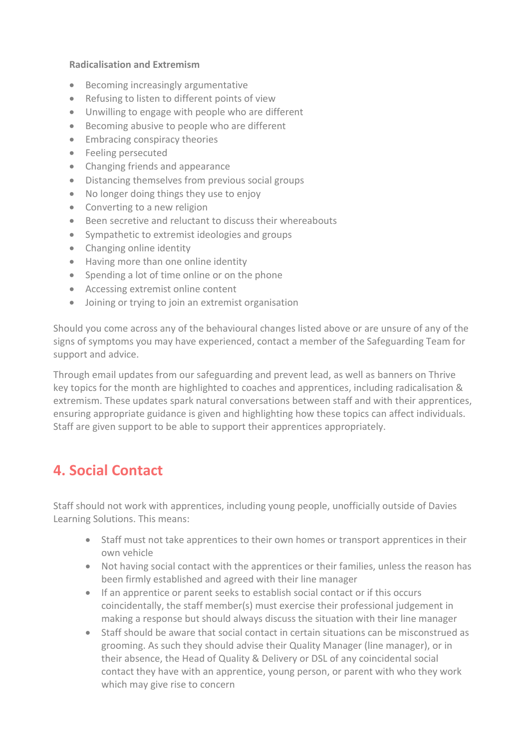#### **Radicalisation and Extremism**

- Becoming increasingly argumentative
- Refusing to listen to different points of view
- Unwilling to engage with people who are different
- Becoming abusive to people who are different
- Embracing conspiracy theories
- Feeling persecuted
- Changing friends and appearance
- Distancing themselves from previous social groups
- No longer doing things they use to enjoy
- Converting to a new religion
- Been secretive and reluctant to discuss their whereabouts
- Sympathetic to extremist ideologies and groups
- Changing online identity
- Having more than one online identity
- Spending a lot of time online or on the phone
- Accessing extremist online content
- Joining or trying to join an extremist organisation

Should you come across any of the behavioural changes listed above or are unsure of any of the signs of symptoms you may have experienced, contact a member of the Safeguarding Team for support and advice.

Through email updates from our safeguarding and prevent lead, as well as banners on Thrive key topics for the month are highlighted to coaches and apprentices, including radicalisation & extremism. These updates spark natural conversations between staff and with their apprentices, ensuring appropriate guidance is given and highlighting how these topics can affect individuals. Staff are given support to be able to support their apprentices appropriately.

## **4. Social Contact**

Staff should not work with apprentices, including young people, unofficially outside of Davies Learning Solutions. This means:

- Staff must not take apprentices to their own homes or transport apprentices in their own vehicle
- Not having social contact with the apprentices or their families, unless the reason has been firmly established and agreed with their line manager
- If an apprentice or parent seeks to establish social contact or if this occurs coincidentally, the staff member(s) must exercise their professional judgement in making a response but should always discuss the situation with their line manager
- Staff should be aware that social contact in certain situations can be misconstrued as grooming. As such they should advise their Quality Manager (line manager), or in their absence, the Head of Quality & Delivery or DSL of any coincidental social contact they have with an apprentice, young person, or parent with who they work which may give rise to concern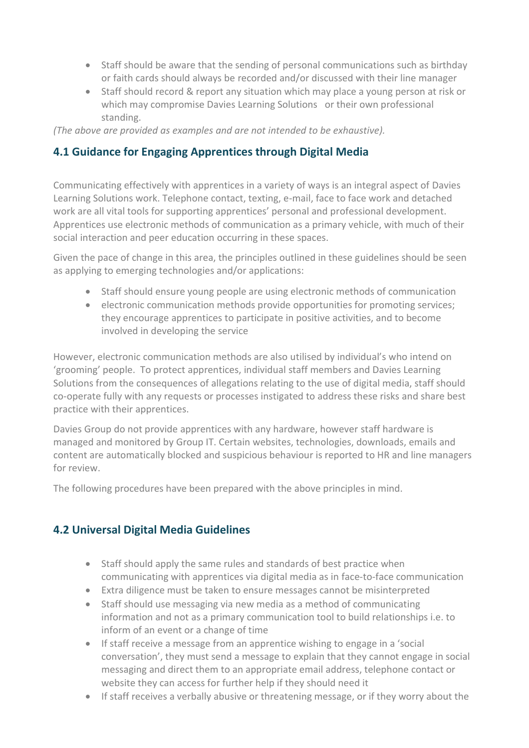- Staff should be aware that the sending of personal communications such as birthday or faith cards should always be recorded and/or discussed with their line manager
- Staff should record & report any situation which may place a young person at risk or which may compromise Davies Learning Solutions or their own professional standing.

*(The above are provided as examples and are not intended to be exhaustive).*

#### **4.1 Guidance for Engaging Apprentices through Digital Media**

Communicating effectively with apprentices in a variety of ways is an integral aspect of Davies Learning Solutions work. Telephone contact, texting, e-mail, face to face work and detached work are all vital tools for supporting apprentices' personal and professional development. Apprentices use electronic methods of communication as a primary vehicle, with much of their social interaction and peer education occurring in these spaces.

Given the pace of change in this area, the principles outlined in these guidelines should be seen as applying to emerging technologies and/or applications:

- Staff should ensure young people are using electronic methods of communication
- electronic communication methods provide opportunities for promoting services; they encourage apprentices to participate in positive activities, and to become involved in developing the service

However, electronic communication methods are also utilised by individual's who intend on 'grooming' people. To protect apprentices, individual staff members and Davies Learning Solutions from the consequences of allegations relating to the use of digital media, staff should co-operate fully with any requests or processes instigated to address these risks and share best practice with their apprentices.

Davies Group do not provide apprentices with any hardware, however staff hardware is managed and monitored by Group IT. Certain websites, technologies, downloads, emails and content are automatically blocked and suspicious behaviour is reported to HR and line managers for review.

The following procedures have been prepared with the above principles in mind.

## **4.2 Universal Digital Media Guidelines**

- Staff should apply the same rules and standards of best practice when communicating with apprentices via digital media as in face-to-face communication
- Extra diligence must be taken to ensure messages cannot be misinterpreted
- Staff should use messaging via new media as a method of communicating information and not as a primary communication tool to build relationships i.e. to inform of an event or a change of time
- If staff receive a message from an apprentice wishing to engage in a 'social conversation', they must send a message to explain that they cannot engage in social messaging and direct them to an appropriate email address, telephone contact or website they can access for further help if they should need it
- If staff receives a verbally abusive or threatening message, or if they worry about the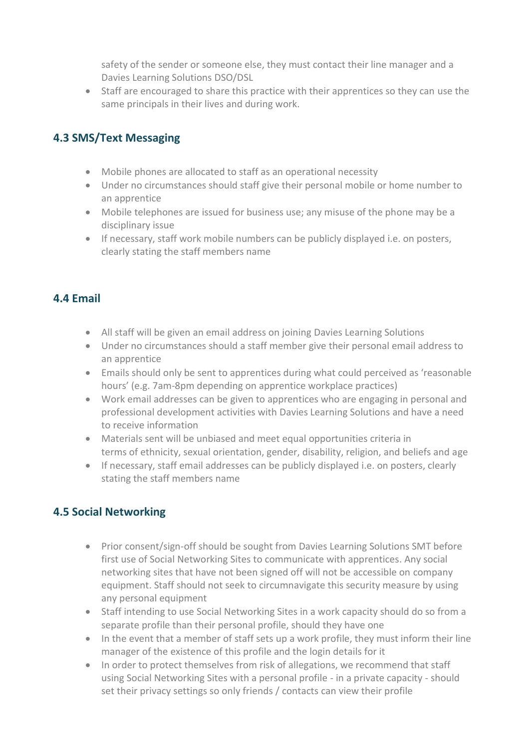safety of the sender or someone else, they must contact their line manager and a Davies Learning Solutions DSO/DSL

• Staff are encouraged to share this practice with their apprentices so they can use the same principals in their lives and during work.

#### **4.3 SMS/Text Messaging**

- Mobile phones are allocated to staff as an operational necessity
- Under no circumstances should staff give their personal mobile or home number to an apprentice
- Mobile telephones are issued for business use; any misuse of the phone may be a disciplinary issue
- If necessary, staff work mobile numbers can be publicly displayed i.e. on posters, clearly stating the staff members name

#### **4.4 Email**

- All staff will be given an email address on joining Davies Learning Solutions
- Under no circumstances should a staff member give their personal email address to an apprentice
- Emails should only be sent to apprentices during what could perceived as 'reasonable hours' (e.g. 7am-8pm depending on apprentice workplace practices)
- Work email addresses can be given to apprentices who are engaging in personal and professional development activities with Davies Learning Solutions and have a need to receive information
- Materials sent will be unbiased and meet equal opportunities criteria in terms of ethnicity, sexual orientation, gender, disability, religion, and beliefs and age
- If necessary, staff email addresses can be publicly displayed i.e. on posters, clearly stating the staff members name

#### **4.5 Social Networking**

- Prior consent/sign-off should be sought from Davies Learning Solutions SMT before first use of Social Networking Sites to communicate with apprentices. Any social networking sites that have not been signed off will not be accessible on company equipment. Staff should not seek to circumnavigate this security measure by using any personal equipment
- Staff intending to use Social Networking Sites in a work capacity should do so from a separate profile than their personal profile, should they have one
- In the event that a member of staff sets up a work profile, they must inform their line manager of the existence of this profile and the login details for it
- In order to protect themselves from risk of allegations, we recommend that staff using Social Networking Sites with a personal profile - in a private capacity - should set their privacy settings so only friends / contacts can view their profile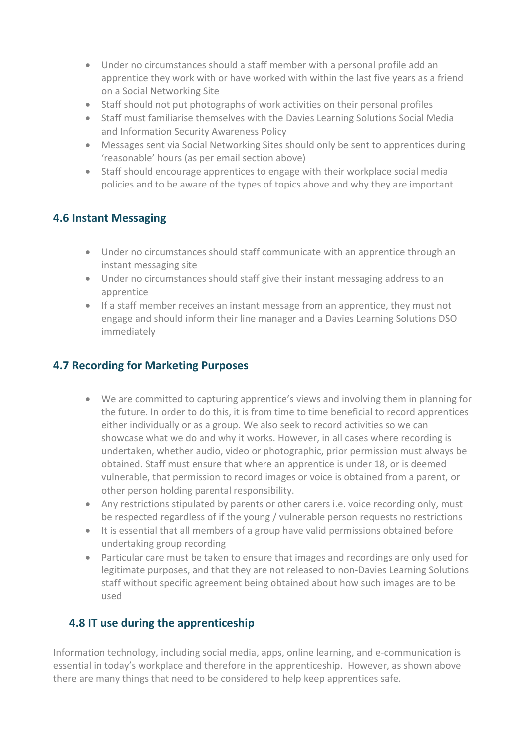- Under no circumstances should a staff member with a personal profile add an apprentice they work with or have worked with within the last five years as a friend on a Social Networking Site
- Staff should not put photographs of work activities on their personal profiles
- Staff must familiarise themselves with the Davies Learning Solutions Social Media and Information Security Awareness Policy
- Messages sent via Social Networking Sites should only be sent to apprentices during 'reasonable' hours (as per email section above)
- Staff should encourage apprentices to engage with their workplace social media policies and to be aware of the types of topics above and why they are important

#### **4.6 Instant Messaging**

- Under no circumstances should staff communicate with an apprentice through an instant messaging site
- Under no circumstances should staff give their instant messaging address to an apprentice
- If a staff member receives an instant message from an apprentice, they must not engage and should inform their line manager and a Davies Learning Solutions DSO immediately

### **4.7 Recording for Marketing Purposes**

- We are committed to capturing apprentice's views and involving them in planning for the future. In order to do this, it is from time to time beneficial to record apprentices either individually or as a group. We also seek to record activities so we can showcase what we do and why it works. However, in all cases where recording is undertaken, whether audio, video or photographic, prior permission must always be obtained. Staff must ensure that where an apprentice is under 18, or is deemed vulnerable, that permission to record images or voice is obtained from a parent, or other person holding parental responsibility.
- Any restrictions stipulated by parents or other carers i.e. voice recording only, must be respected regardless of if the young / vulnerable person requests no restrictions
- It is essential that all members of a group have valid permissions obtained before undertaking group recording
- Particular care must be taken to ensure that images and recordings are only used for legitimate purposes, and that they are not released to non-Davies Learning Solutions staff without specific agreement being obtained about how such images are to be used

#### **4.8 IT use during the apprenticeship**

Information technology, including social media, apps, online learning, and e-communication is essential in today's workplace and therefore in the apprenticeship. However, as shown above there are many things that need to be considered to help keep apprentices safe.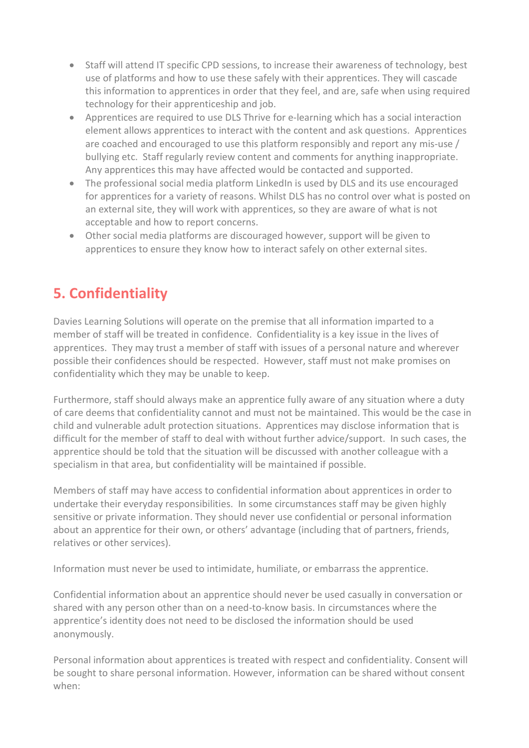- Staff will attend IT specific CPD sessions, to increase their awareness of technology, best use of platforms and how to use these safely with their apprentices. They will cascade this information to apprentices in order that they feel, and are, safe when using required technology for their apprenticeship and job.
- Apprentices are required to use DLS Thrive for e-learning which has a social interaction element allows apprentices to interact with the content and ask questions. Apprentices are coached and encouraged to use this platform responsibly and report any mis-use / bullying etc. Staff regularly review content and comments for anything inappropriate. Any apprentices this may have affected would be contacted and supported.
- The professional social media platform LinkedIn is used by DLS and its use encouraged for apprentices for a variety of reasons. Whilst DLS has no control over what is posted on an external site, they will work with apprentices, so they are aware of what is not acceptable and how to report concerns.
- Other social media platforms are discouraged however, support will be given to apprentices to ensure they know how to interact safely on other external sites.

# **5. Confidentiality**

Davies Learning Solutions will operate on the premise that all information imparted to a member of staff will be treated in confidence. Confidentiality is a key issue in the lives of apprentices. They may trust a member of staff with issues of a personal nature and wherever possible their confidences should be respected. However, staff must not make promises on confidentiality which they may be unable to keep.

Furthermore, staff should always make an apprentice fully aware of any situation where a duty of care deems that confidentiality cannot and must not be maintained. This would be the case in child and vulnerable adult protection situations. Apprentices may disclose information that is difficult for the member of staff to deal with without further advice/support. In such cases, the apprentice should be told that the situation will be discussed with another colleague with a specialism in that area, but confidentiality will be maintained if possible.

Members of staff may have access to confidential information about apprentices in order to undertake their everyday responsibilities. In some circumstances staff may be given highly sensitive or private information. They should never use confidential or personal information about an apprentice for their own, or others' advantage (including that of partners, friends, relatives or other services).

Information must never be used to intimidate, humiliate, or embarrass the apprentice.

Confidential information about an apprentice should never be used casually in conversation or shared with any person other than on a need-to-know basis. In circumstances where the apprentice's identity does not need to be disclosed the information should be used anonymously.

Personal information about apprentices is treated with respect and confidentiality. Consent will be sought to share personal information. However, information can be shared without consent when: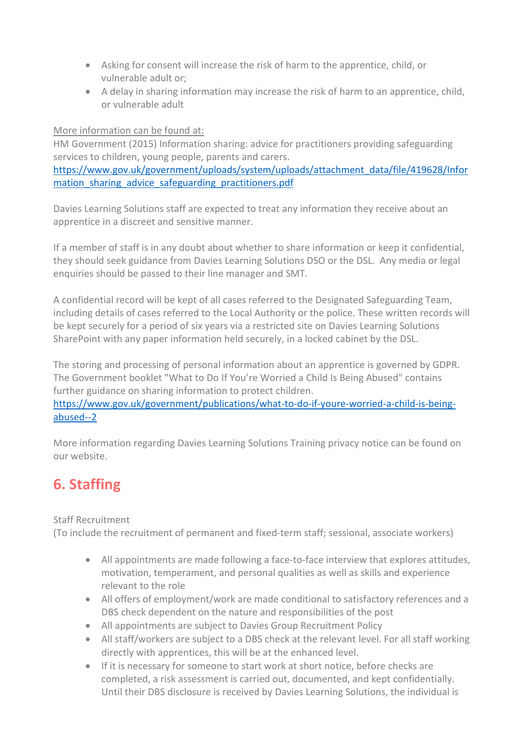- Asking for consent will increase the risk of harm to the apprentice, child, or vulnerable adult or;
- A delay in sharing information may increase the risk of harm to an apprentice, child, or vulnerable adult

#### More information can be found at:

HM Government (2015) Information sharing: advice for practitioners providing safeguarding services to children, young people, parents and carers.

[https://www.gov.uk/government/uploads/system/uploads/attachment\\_data/file/419628/Infor](https://www.gov.uk/government/uploads/system/uploads/attachment_data/file/419628/Information_sharing_advice_safeguarding_practitioners.pdf) mation sharing advice safeguarding practitioners.pdf

Davies Learning Solutions staff are expected to treat any information they receive about an apprentice in a discreet and sensitive manner.

If a member of staff is in any doubt about whether to share information or keep it confidential, they should seek guidance from Davies Learning Solutions DSO or the DSL. Any media or legal enquiries should be passed to their line manager and SMT.

A confidential record will be kept of all cases referred to the Designated Safeguarding Team, including details of cases referred to the Local Authority or the police. These written records will be kept securely for a period of six years via a restricted site on Davies Learning Solutions SharePoint with any paper information held securely, in a locked cabinet by the DSL.

The storing and processing of personal information about an apprentice is governed by GDPR. The Government booklet "What to Do If You're Worried a Child Is Being Abused" contains further guidance on sharing information to protect children.

[https://www.gov.uk/government/publications/what-to-do-if-youre-worried-a-child-is-being](https://www.gov.uk/government/publications/what-to-do-if-youre-worried-a-child-is-being-abused--2)[abused--2](https://www.gov.uk/government/publications/what-to-do-if-youre-worried-a-child-is-being-abused--2)

More information regarding Davies Learning Solutions Training privacy notice can be found on our website.

# **6. Staffing**

Staff Recruitment

(To include the recruitment of permanent and fixed-term staff; sessional, associate workers)

- All appointments are made following a face-to-face interview that explores attitudes, motivation, temperament, and personal qualities as well as skills and experience relevant to the role
- All offers of employment/work are made conditional to satisfactory references and a DBS check dependent on the nature and responsibilities of the post
- All appointments are subject to Davies Group Recruitment Policy
- All staff/workers are subject to a DBS check at the relevant level. For all staff working directly with apprentices, this will be at the enhanced level.
- If it is necessary for someone to start work at short notice, before checks are completed, a risk assessment is carried out, documented, and kept confidentially. Until their DBS disclosure is received by Davies Learning Solutions, the individual is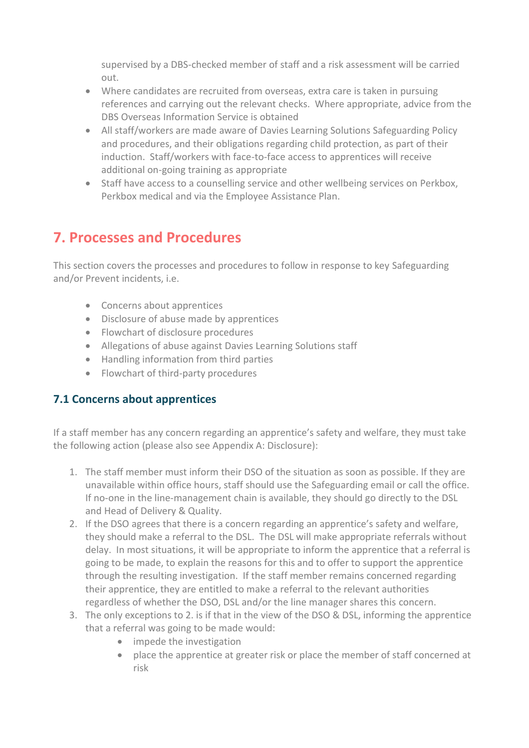supervised by a DBS-checked member of staff and a risk assessment will be carried out.

- Where candidates are recruited from overseas, extra care is taken in pursuing references and carrying out the relevant checks. Where appropriate, advice from the DBS Overseas Information Service is obtained
- All staff/workers are made aware of Davies Learning Solutions Safeguarding Policy and procedures, and their obligations regarding child protection, as part of their induction. Staff/workers with face-to-face access to apprentices will receive additional on-going training as appropriate
- Staff have access to a counselling service and other wellbeing services on Perkbox, Perkbox medical and via the Employee Assistance Plan.

## **7. Processes and Procedures**

This section covers the processes and procedures to follow in response to key Safeguarding and/or Prevent incidents, i.e.

- Concerns about apprentices
- Disclosure of abuse made by apprentices
- Flowchart of disclosure procedures
- Allegations of abuse against Davies Learning Solutions staff
- Handling information from third parties
- Flowchart of third-party procedures

#### **7.1 Concerns about apprentices**

If a staff member has any concern regarding an apprentice's safety and welfare, they must take the following action (please also see Appendix A: Disclosure):

- 1. The staff member must inform their DSO of the situation as soon as possible. If they are unavailable within office hours, staff should use the Safeguarding email or call the office. If no-one in the line-management chain is available, they should go directly to the DSL and Head of Delivery & Quality.
- 2. If the DSO agrees that there is a concern regarding an apprentice's safety and welfare, they should make a referral to the DSL. The DSL will make appropriate referrals without delay. In most situations, it will be appropriate to inform the apprentice that a referral is going to be made, to explain the reasons for this and to offer to support the apprentice through the resulting investigation. If the staff member remains concerned regarding their apprentice, they are entitled to make a referral to the relevant authorities regardless of whether the DSO, DSL and/or the line manager shares this concern.
- 3. The only exceptions to 2. is if that in the view of the DSO & DSL, informing the apprentice that a referral was going to be made would:
	- impede the investigation
	- place the apprentice at greater risk or place the member of staff concerned at risk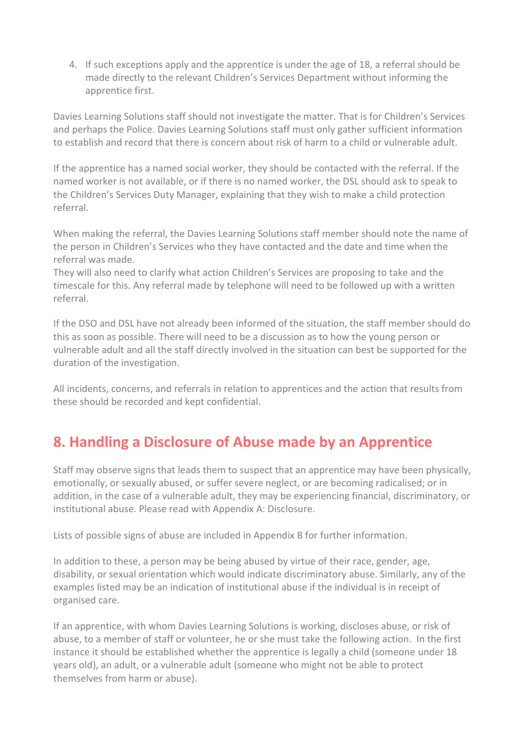4. If such exceptions apply and the apprentice is under the age of 18, a referral should be made directly to the relevant Children's Services Department without informing the apprentice first.

Davies Learning Solutions staff should not investigate the matter. That is for Children's Services and perhaps the Police. Davies Learning Solutions staff must only gather sufficient information to establish and record that there is concern about risk of harm to a child or vulnerable adult.

If the apprentice has a named social worker, they should be contacted with the referral. If the named worker is not available, or if there is no named worker, the DSL should ask to speak to the Children's Services Duty Manager, explaining that they wish to make a child protection referral.

When making the referral, the Davies Learning Solutions staff member should note the name of the person in Children's Services who they have contacted and the date and time when the referral was made.

They will also need to clarify what action Children's Services are proposing to take and the timescale for this. Any referral made by telephone will need to be followed up with a written referral.

If the DSO and DSL have not already been informed of the situation, the staff member should do this as soon as possible. There will need to be a discussion as to how the young person or vulnerable adult and all the staff directly involved in the situation can best be supported for the duration of the investigation.

All incidents, concerns, and referrals in relation to apprentices and the action that results from these should be recorded and kept confidential.

# **8. Handling a Disclosure of Abuse made by an Apprentice**

Staff may observe signs that leads them to suspect that an apprentice may have been physically, emotionally, or sexually abused, or suffer severe neglect, or are becoming radicalised; or in addition, in the case of a vulnerable adult, they may be experiencing financial, discriminatory, or institutional abuse. Please read with Appendix A: Disclosure.

Lists of possible signs of abuse are included in Appendix B for further information.

In addition to these, a person may be being abused by virtue of their race, gender, age, disability, or sexual orientation which would indicate discriminatory abuse. Similarly, any of the examples listed may be an indication of institutional abuse if the individual is in receipt of organised care.

If an apprentice, with whom Davies Learning Solutions is working, discloses abuse, or risk of abuse, to a member of staff or volunteer, he or she must take the following action. In the first instance it should be established whether the apprentice is legally a child (someone under 18 years old), an adult, or a vulnerable adult (someone who might not be able to protect themselves from harm or abuse).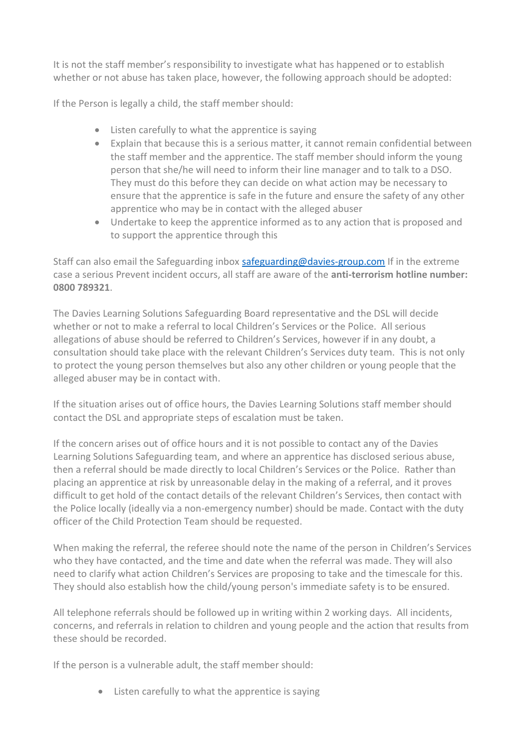It is not the staff member's responsibility to investigate what has happened or to establish whether or not abuse has taken place, however, the following approach should be adopted:

If the Person is legally a child, the staff member should:

- Listen carefully to what the apprentice is saying
- Explain that because this is a serious matter, it cannot remain confidential between the staff member and the apprentice. The staff member should inform the young person that she/he will need to inform their line manager and to talk to a DSO. They must do this before they can decide on what action may be necessary to ensure that the apprentice is safe in the future and ensure the safety of any other apprentice who may be in contact with the alleged abuser
- Undertake to keep the apprentice informed as to any action that is proposed and to support the apprentice through this

Staff can also email the Safeguarding inbox [safeguarding@davies-group.com](mailto:safeguarding@davies-group.com) If in the extreme case a serious Prevent incident occurs, all staff are aware of the **anti-terrorism hotline number: 0800 789321**.

The Davies Learning Solutions Safeguarding Board representative and the DSL will decide whether or not to make a referral to local Children's Services or the Police. All serious allegations of abuse should be referred to Children's Services, however if in any doubt, a consultation should take place with the relevant Children's Services duty team. This is not only to protect the young person themselves but also any other children or young people that the alleged abuser may be in contact with.

If the situation arises out of office hours, the Davies Learning Solutions staff member should contact the DSL and appropriate steps of escalation must be taken.

If the concern arises out of office hours and it is not possible to contact any of the Davies Learning Solutions Safeguarding team, and where an apprentice has disclosed serious abuse, then a referral should be made directly to local Children's Services or the Police. Rather than placing an apprentice at risk by unreasonable delay in the making of a referral, and it proves difficult to get hold of the contact details of the relevant Children's Services, then contact with the Police locally (ideally via a non-emergency number) should be made. Contact with the duty officer of the Child Protection Team should be requested.

When making the referral, the referee should note the name of the person in Children's Services who they have contacted, and the time and date when the referral was made. They will also need to clarify what action Children's Services are proposing to take and the timescale for this. They should also establish how the child/young person's immediate safety is to be ensured.

All telephone referrals should be followed up in writing within 2 working days. All incidents, concerns, and referrals in relation to children and young people and the action that results from these should be recorded.

If the person is a vulnerable adult, the staff member should:

• Listen carefully to what the apprentice is saying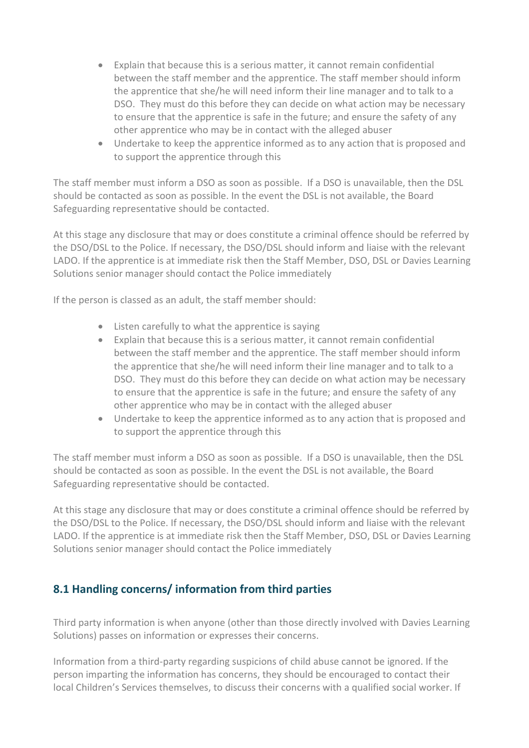- Explain that because this is a serious matter, it cannot remain confidential between the staff member and the apprentice. The staff member should inform the apprentice that she/he will need inform their line manager and to talk to a DSO. They must do this before they can decide on what action may be necessary to ensure that the apprentice is safe in the future; and ensure the safety of any other apprentice who may be in contact with the alleged abuser
- Undertake to keep the apprentice informed as to any action that is proposed and to support the apprentice through this

The staff member must inform a DSO as soon as possible. If a DSO is unavailable, then the DSL should be contacted as soon as possible. In the event the DSL is not available, the Board Safeguarding representative should be contacted.

At this stage any disclosure that may or does constitute a criminal offence should be referred by the DSO/DSL to the Police. If necessary, the DSO/DSL should inform and liaise with the relevant LADO. If the apprentice is at immediate risk then the Staff Member, DSO, DSL or Davies Learning Solutions senior manager should contact the Police immediately

If the person is classed as an adult, the staff member should:

- Listen carefully to what the apprentice is saying
- Explain that because this is a serious matter, it cannot remain confidential between the staff member and the apprentice. The staff member should inform the apprentice that she/he will need inform their line manager and to talk to a DSO. They must do this before they can decide on what action may be necessary to ensure that the apprentice is safe in the future; and ensure the safety of any other apprentice who may be in contact with the alleged abuser
- Undertake to keep the apprentice informed as to any action that is proposed and to support the apprentice through this

The staff member must inform a DSO as soon as possible. If a DSO is unavailable, then the DSL should be contacted as soon as possible. In the event the DSL is not available, the Board Safeguarding representative should be contacted.

At this stage any disclosure that may or does constitute a criminal offence should be referred by the DSO/DSL to the Police. If necessary, the DSO/DSL should inform and liaise with the relevant LADO. If the apprentice is at immediate risk then the Staff Member, DSO, DSL or Davies Learning Solutions senior manager should contact the Police immediately

## **8.1 Handling concerns/ information from third parties**

Third party information is when anyone (other than those directly involved with Davies Learning Solutions) passes on information or expresses their concerns.

Information from a third-party regarding suspicions of child abuse cannot be ignored. If the person imparting the information has concerns, they should be encouraged to contact their local Children's Services themselves, to discuss their concerns with a qualified social worker. If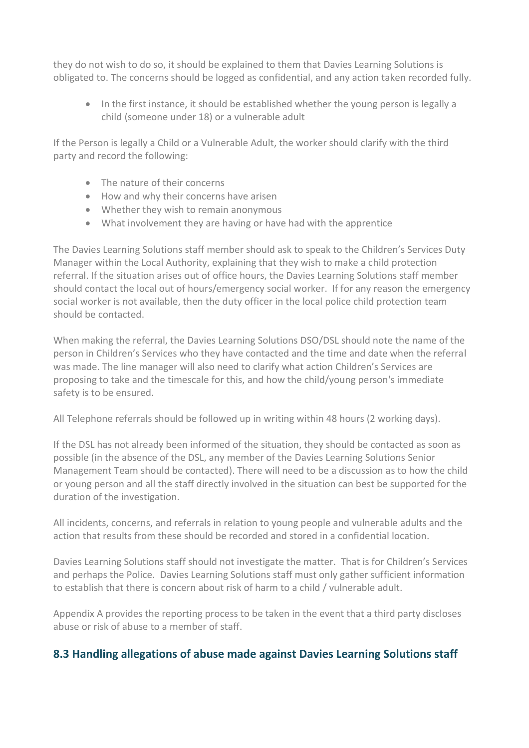they do not wish to do so, it should be explained to them that Davies Learning Solutions is obligated to. The concerns should be logged as confidential, and any action taken recorded fully.

• In the first instance, it should be established whether the young person is legally a child (someone under 18) or a vulnerable adult

If the Person is legally a Child or a Vulnerable Adult, the worker should clarify with the third party and record the following:

- The nature of their concerns
- How and why their concerns have arisen
- Whether they wish to remain anonymous
- What involvement they are having or have had with the apprentice

The Davies Learning Solutions staff member should ask to speak to the Children's Services Duty Manager within the Local Authority, explaining that they wish to make a child protection referral. If the situation arises out of office hours, the Davies Learning Solutions staff member should contact the local out of hours/emergency social worker. If for any reason the emergency social worker is not available, then the duty officer in the local police child protection team should be contacted.

When making the referral, the Davies Learning Solutions DSO/DSL should note the name of the person in Children's Services who they have contacted and the time and date when the referral was made. The line manager will also need to clarify what action Children's Services are proposing to take and the timescale for this, and how the child/young person's immediate safety is to be ensured.

All Telephone referrals should be followed up in writing within 48 hours (2 working days).

If the DSL has not already been informed of the situation, they should be contacted as soon as possible (in the absence of the DSL, any member of the Davies Learning Solutions Senior Management Team should be contacted). There will need to be a discussion as to how the child or young person and all the staff directly involved in the situation can best be supported for the duration of the investigation.

All incidents, concerns, and referrals in relation to young people and vulnerable adults and the action that results from these should be recorded and stored in a confidential location.

Davies Learning Solutions staff should not investigate the matter. That is for Children's Services and perhaps the Police. Davies Learning Solutions staff must only gather sufficient information to establish that there is concern about risk of harm to a child / vulnerable adult.

Appendix A provides the reporting process to be taken in the event that a third party discloses abuse or risk of abuse to a member of staff.

#### **8.3 Handling allegations of abuse made against Davies Learning Solutions staff**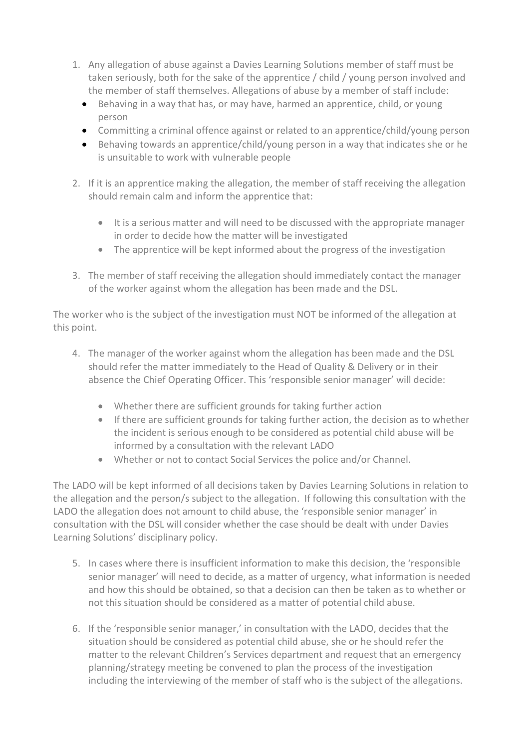- 1. Any allegation of abuse against a Davies Learning Solutions member of staff must be taken seriously, both for the sake of the apprentice / child / young person involved and the member of staff themselves. Allegations of abuse by a member of staff include:
	- Behaving in a way that has, or may have, harmed an apprentice, child, or young person
	- Committing a criminal offence against or related to an apprentice/child/young person
	- Behaving towards an apprentice/child/young person in a way that indicates she or he is unsuitable to work with vulnerable people
- 2. If it is an apprentice making the allegation, the member of staff receiving the allegation should remain calm and inform the apprentice that:
	- It is a serious matter and will need to be discussed with the appropriate manager in order to decide how the matter will be investigated
	- The apprentice will be kept informed about the progress of the investigation
- 3. The member of staff receiving the allegation should immediately contact the manager of the worker against whom the allegation has been made and the DSL.

The worker who is the subject of the investigation must NOT be informed of the allegation at this point.

- 4. The manager of the worker against whom the allegation has been made and the DSL should refer the matter immediately to the Head of Quality & Delivery or in their absence the Chief Operating Officer. This 'responsible senior manager' will decide:
	- Whether there are sufficient grounds for taking further action
	- If there are sufficient grounds for taking further action, the decision as to whether the incident is serious enough to be considered as potential child abuse will be informed by a consultation with the relevant LADO
	- Whether or not to contact Social Services the police and/or Channel.

The LADO will be kept informed of all decisions taken by Davies Learning Solutions in relation to the allegation and the person/s subject to the allegation. If following this consultation with the LADO the allegation does not amount to child abuse, the 'responsible senior manager' in consultation with the DSL will consider whether the case should be dealt with under Davies Learning Solutions' disciplinary policy.

- 5. In cases where there is insufficient information to make this decision, the 'responsible senior manager' will need to decide, as a matter of urgency, what information is needed and how this should be obtained, so that a decision can then be taken as to whether or not this situation should be considered as a matter of potential child abuse.
- 6. If the 'responsible senior manager,' in consultation with the LADO, decides that the situation should be considered as potential child abuse, she or he should refer the matter to the relevant Children's Services department and request that an emergency planning/strategy meeting be convened to plan the process of the investigation including the interviewing of the member of staff who is the subject of the allegations.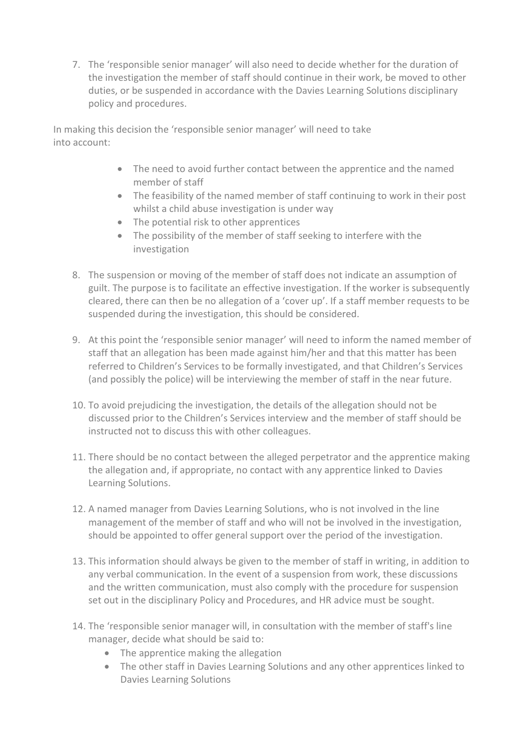7. The 'responsible senior manager' will also need to decide whether for the duration of the investigation the member of staff should continue in their work, be moved to other duties, or be suspended in accordance with the Davies Learning Solutions disciplinary policy and procedures.

In making this decision the 'responsible senior manager' will need to take into account:

- The need to avoid further contact between the apprentice and the named member of staff
- The feasibility of the named member of staff continuing to work in their post whilst a child abuse investigation is under way
- The potential risk to other apprentices
- The possibility of the member of staff seeking to interfere with the investigation
- 8. The suspension or moving of the member of staff does not indicate an assumption of guilt. The purpose is to facilitate an effective investigation. If the worker is subsequently cleared, there can then be no allegation of a 'cover up'. If a staff member requests to be suspended during the investigation, this should be considered.
- 9. At this point the 'responsible senior manager' will need to inform the named member of staff that an allegation has been made against him/her and that this matter has been referred to Children's Services to be formally investigated, and that Children's Services (and possibly the police) will be interviewing the member of staff in the near future.
- 10. To avoid prejudicing the investigation, the details of the allegation should not be discussed prior to the Children's Services interview and the member of staff should be instructed not to discuss this with other colleagues.
- 11. There should be no contact between the alleged perpetrator and the apprentice making the allegation and, if appropriate, no contact with any apprentice linked to Davies Learning Solutions.
- 12. A named manager from Davies Learning Solutions, who is not involved in the line management of the member of staff and who will not be involved in the investigation, should be appointed to offer general support over the period of the investigation.
- 13. This information should always be given to the member of staff in writing, in addition to any verbal communication. In the event of a suspension from work, these discussions and the written communication, must also comply with the procedure for suspension set out in the disciplinary Policy and Procedures, and HR advice must be sought.
- 14. The 'responsible senior manager will, in consultation with the member of staff's line manager, decide what should be said to:
	- The apprentice making the allegation
	- The other staff in Davies Learning Solutions and any other apprentices linked to Davies Learning Solutions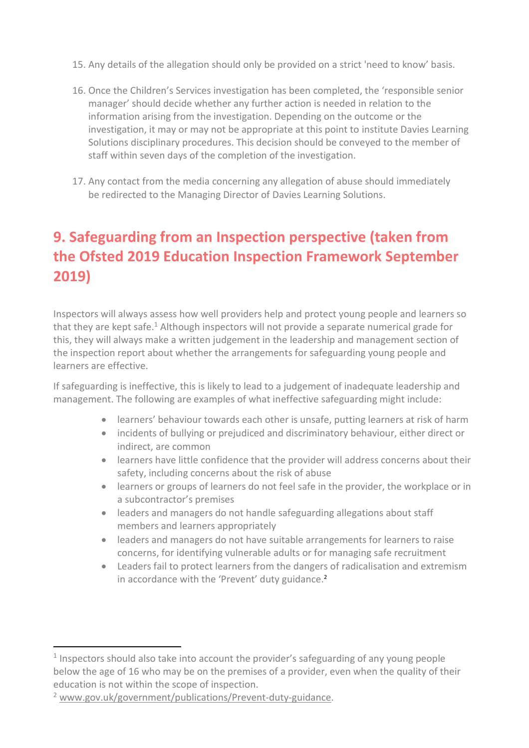- 15. Any details of the allegation should only be provided on a strict 'need to know' basis.
- 16. Once the Children's Services investigation has been completed, the 'responsible senior manager' should decide whether any further action is needed in relation to the information arising from the investigation. Depending on the outcome or the investigation, it may or may not be appropriate at this point to institute Davies Learning Solutions disciplinary procedures. This decision should be conveyed to the member of staff within seven days of the completion of the investigation.
- 17. Any contact from the media concerning any allegation of abuse should immediately be redirected to the Managing Director of Davies Learning Solutions.

# **9. Safeguarding from an Inspection perspective (taken from the Ofsted 2019 Education Inspection Framework September 2019)**

Inspectors will always assess how well providers help and protect young people and learners so that they are kept safe.<sup>1</sup> Although inspectors will not provide a separate numerical grade for this, they will always make a written judgement in the leadership and management section of the inspection report about whether the arrangements for safeguarding young people and learners are effective.

If safeguarding is ineffective, this is likely to lead to a judgement of inadequate leadership and management. The following are examples of what ineffective safeguarding might include:

- learners' behaviour towards each other is unsafe, putting learners at risk of harm
- incidents of bullying or prejudiced and discriminatory behaviour, either direct or indirect, are common
- learners have little confidence that the provider will address concerns about their safety, including concerns about the risk of abuse
- learners or groups of learners do not feel safe in the provider, the workplace or in a subcontractor's premises
- leaders and managers do not handle safeguarding allegations about staff members and learners appropriately
- leaders and managers do not have suitable arrangements for learners to raise concerns, for identifying vulnerable adults or for managing safe recruitment
- Leaders fail to protect learners from the dangers of radicalisation and extremism in accordance with the 'Prevent' duty guidance.<sup>2</sup>

<sup>&</sup>lt;sup>1</sup> Inspectors should also take into account the provider's safeguarding of any young people below the age of 16 who may be on the premises of a provider, even when the quality of their education is not within the scope of inspection.

<sup>2</sup> [www.gov.uk/government/publications/Prevent-duty-guidance.](http://www.gov.uk/government/publications/prevent-duty-guidance)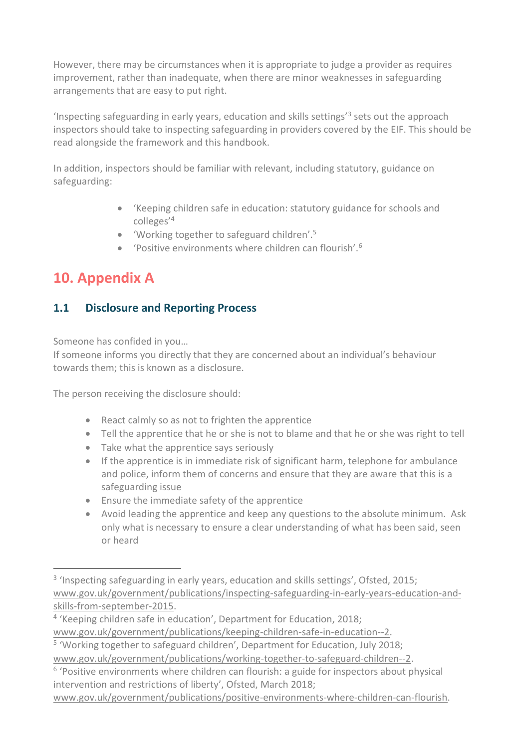However, there may be circumstances when it is appropriate to judge a provider as requires improvement, rather than inadequate, when there are minor weaknesses in safeguarding arrangements that are easy to put right.

'Inspecting safeguarding in early years, education and skills settings'<sup>3</sup> sets out the approach inspectors should take to inspecting safeguarding in providers covered by the EIF. This should be read alongside the framework and this handbook.

In addition, inspectors should be familiar with relevant, including statutory, guidance on safeguarding:

- 'Keeping children safe in education: statutory guidance for schools and colleges'<sup>4</sup>
- 'Working together to safeguard children'.<sup>5</sup>
- 'Positive environments where children can flourish'.<sup>6</sup>

# **10. Appendix A**

## **1.1 Disclosure and Reporting Process**

Someone has confided in you…

If someone informs you directly that they are concerned about an individual's behaviour towards them; this is known as a disclosure.

The person receiving the disclosure should:

- React calmly so as not to frighten the apprentice
- Tell the apprentice that he or she is not to blame and that he or she was right to tell
- Take what the apprentice says seriously
- If the apprentice is in immediate risk of significant harm, telephone for ambulance and police, inform them of concerns and ensure that they are aware that this is a safeguarding issue
- Ensure the immediate safety of the apprentice
- Avoid leading the apprentice and keep any questions to the absolute minimum. Ask only what is necessary to ensure a clear understanding of what has been said, seen or heard

[www.gov.uk/government/publications/positive-environments-where-children-can-flourish.](http://www.gov.uk/government/publications/positive-environments-where-children-can-flourish)

<sup>&</sup>lt;sup>3</sup> 'Inspecting safeguarding in early years, education and skills settings', Ofsted, 2015; [www.gov.uk/government/publications/inspecting-safeguarding-in-early-years-education-and](http://www.gov.uk/government/publications/inspecting-safeguarding-in-early-years-education-and-skills-from-september-2015)[skills-from-september-2015.](http://www.gov.uk/government/publications/inspecting-safeguarding-in-early-years-education-and-skills-from-september-2015)

<sup>&</sup>lt;sup>4</sup> 'Keeping children safe in education', Department for Education, 2018; [www.gov.uk/government/publications/keeping-children-safe-in-education--2.](http://www.gov.uk/government/publications/keeping-children-safe-in-education--2)

<sup>&</sup>lt;sup>5</sup> 'Working together to safeguard children', Department for Education, July 2018; [www.gov.uk/government/publications/working-together-to-safeguard-children--2.](http://www.gov.uk/government/publications/working-together-to-safeguard-children--2)

<sup>&</sup>lt;sup>6</sup> 'Positive environments where children can flourish: a guide for inspectors about physical intervention and restrictions of liberty', Ofsted, March 2018;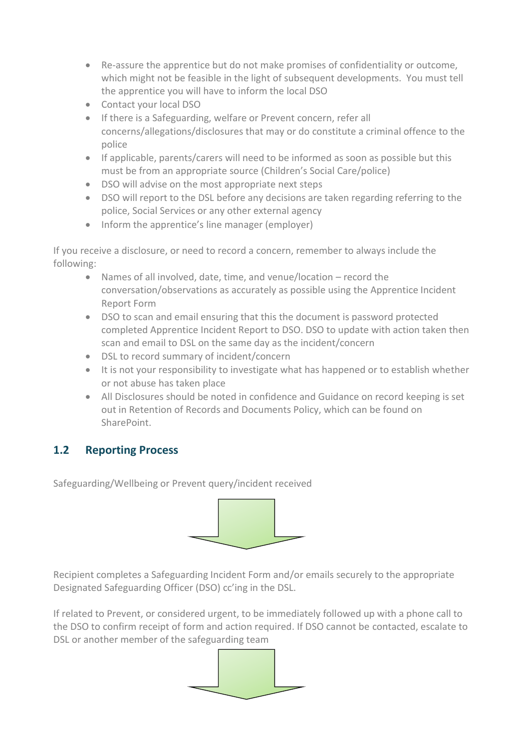- Re-assure the apprentice but do not make promises of confidentiality or outcome, which might not be feasible in the light of subsequent developments. You must tell the apprentice you will have to inform the local DSO
- Contact your local DSO
- If there is a Safeguarding, welfare or Prevent concern, refer all concerns/allegations/disclosures that may or do constitute a criminal offence to the police
- If applicable, parents/carers will need to be informed as soon as possible but this must be from an appropriate source (Children's Social Care/police)
- DSO will advise on the most appropriate next steps
- DSO will report to the DSL before any decisions are taken regarding referring to the police, Social Services or any other external agency
- Inform the apprentice's line manager (employer)

If you receive a disclosure, or need to record a concern, remember to always include the following:

- Names of all involved, date, time, and venue/location record the conversation/observations as accurately as possible using the Apprentice Incident Report Form
- DSO to scan and email ensuring that this the document is password protected completed Apprentice Incident Report to DSO. DSO to update with action taken then scan and email to DSL on the same day as the incident/concern
- DSL to record summary of incident/concern
- It is not your responsibility to investigate what has happened or to establish whether or not abuse has taken place
- All Disclosures should be noted in confidence and Guidance on record keeping is set out in Retention of Records and Documents Policy, which can be found on SharePoint.

## **1.2 Reporting Process**

Safeguarding/Wellbeing or Prevent query/incident received



Recipient completes a Safeguarding Incident Form and/or emails securely to the appropriate Designated Safeguarding Officer (DSO) cc'ing in the DSL.

If related to Prevent, or considered urgent, to be immediately followed up with a phone call to the DSO to confirm receipt of form and action required. If DSO cannot be contacted, escalate to DSL or another member of the safeguarding team

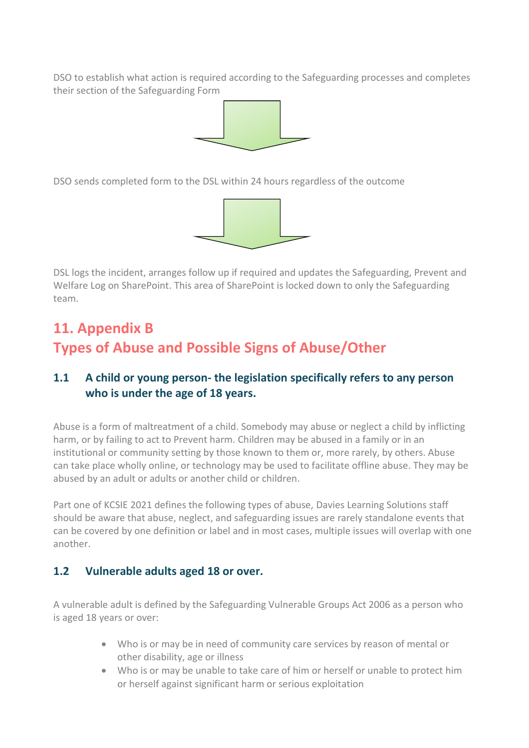DSO to establish what action is required according to the Safeguarding processes and completes their section of the Safeguarding Form



DSO sends completed form to the DSL within 24 hours regardless of the outcome



DSL logs the incident, arranges follow up if required and updates the Safeguarding, Prevent and Welfare Log on SharePoint. This area of SharePoint is locked down to only the Safeguarding team.

# **11. Appendix B Types of Abuse and Possible Signs of Abuse/Other**

## **1.1 A child or young person- the legislation specifically refers to any person who is under the age of 18 years.**

Abuse is a form of maltreatment of a child. Somebody may abuse or neglect a child by inflicting harm, or by failing to act to Prevent harm. Children may be abused in a family or in an institutional or community setting by those known to them or, more rarely, by others. Abuse can take place wholly online, or technology may be used to facilitate offline abuse. They may be abused by an adult or adults or another child or children.

Part one of KCSIE 2021 defines the following types of abuse, Davies Learning Solutions staff should be aware that abuse, neglect, and safeguarding issues are rarely standalone events that can be covered by one definition or label and in most cases, multiple issues will overlap with one another.

#### **1.2 Vulnerable adults aged 18 or over.**

A vulnerable adult is defined by the Safeguarding Vulnerable Groups Act 2006 as a person who is aged 18 years or over:

- Who is or may be in need of community care services by reason of mental or other disability, age or illness
- Who is or may be unable to take care of him or herself or unable to protect him or herself against significant harm or serious exploitation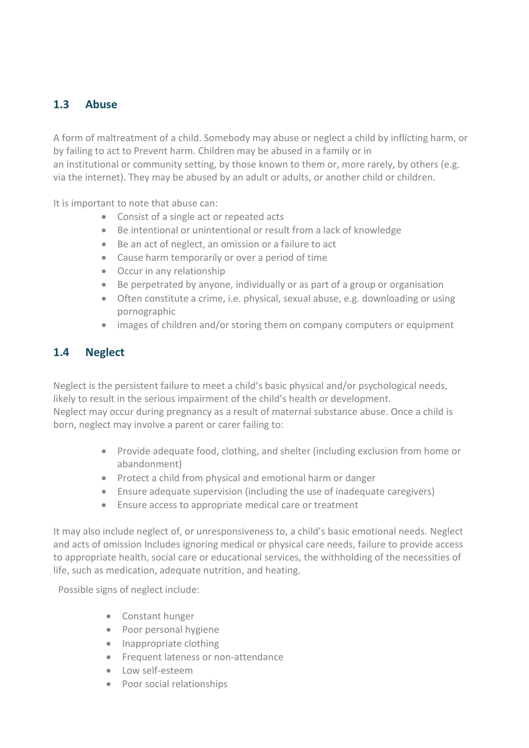### **1.3 Abuse**

A form of maltreatment of a child. Somebody may abuse or neglect a child by inflicting harm, or by failing to act to Prevent harm. Children may be abused in a family or in

an institutional or community setting, by those known to them or, more rarely, by others (e.g. via the internet). They may be abused by an adult or adults, or another child or children.

It is important to note that abuse can:

- Consist of a single act or repeated acts
- Be intentional or unintentional or result from a lack of knowledge
- Be an act of neglect, an omission or a failure to act
- Cause harm temporarily or over a period of time
- Occur in any relationship
- Be perpetrated by anyone, individually or as part of a group or organisation
- Often constitute a crime, i.e. physical, sexual abuse, e.g. downloading or using pornographic
- images of children and/or storing them on company computers or equipment

### **1.4 Neglect**

Neglect is the persistent failure to meet a child's basic physical and/or psychological needs, likely to result in the serious impairment of the child's health or development. Neglect may occur during pregnancy as a result of maternal substance abuse. Once a child is born, neglect may involve a parent or carer failing to:

- Provide adequate food, clothing, and shelter (including exclusion from home or abandonment)
- Protect a child from physical and emotional harm or danger
- Ensure adequate supervision (including the use of inadequate caregivers)
- Ensure access to appropriate medical care or treatment

It may also include neglect of, or unresponsiveness to, a child's basic emotional needs. Neglect and acts of omission Includes ignoring medical or physical care needs, failure to provide access to appropriate health, social care or educational services, the withholding of the necessities of life, such as medication, adequate nutrition, and heating.

Possible signs of neglect include:

- Constant hunger
- Poor personal hygiene
- Inappropriate clothing
- Frequent lateness or non-attendance
- Low self-esteem
- Poor social relationships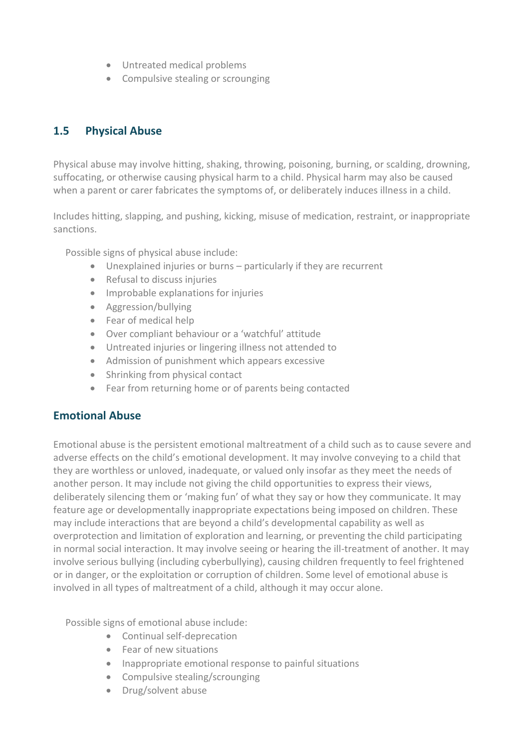- Untreated medical problems
- Compulsive stealing or scrounging

## **1.5 Physical Abuse**

Physical abuse may involve hitting, shaking, throwing, poisoning, burning, or scalding, drowning, suffocating, or otherwise causing physical harm to a child. Physical harm may also be caused when a parent or carer fabricates the symptoms of, or deliberately induces illness in a child.

Includes hitting, slapping, and pushing, kicking, misuse of medication, restraint, or inappropriate sanctions.

Possible signs of physical abuse include:

- Unexplained injuries or burns particularly if they are recurrent
- Refusal to discuss injuries
- Improbable explanations for injuries
- Aggression/bullying
- Fear of medical help
- Over compliant behaviour or a 'watchful' attitude
- Untreated injuries or lingering illness not attended to
- Admission of punishment which appears excessive
- Shrinking from physical contact
- Fear from returning home or of parents being contacted

#### **Emotional Abuse**

Emotional abuse is the persistent emotional maltreatment of a child such as to cause severe and adverse effects on the child's emotional development. It may involve conveying to a child that they are worthless or unloved, inadequate, or valued only insofar as they meet the needs of another person. It may include not giving the child opportunities to express their views, deliberately silencing them or 'making fun' of what they say or how they communicate. It may feature age or developmentally inappropriate expectations being imposed on children. These may include interactions that are beyond a child's developmental capability as well as overprotection and limitation of exploration and learning, or preventing the child participating in normal social interaction. It may involve seeing or hearing the ill-treatment of another. It may involve serious bullying (including cyberbullying), causing children frequently to feel frightened or in danger, or the exploitation or corruption of children. Some level of emotional abuse is involved in all types of maltreatment of a child, although it may occur alone.

Possible signs of emotional abuse include:

- Continual self-deprecation
- Fear of new situations
- Inappropriate emotional response to painful situations
- Compulsive stealing/scrounging
- Drug/solvent abuse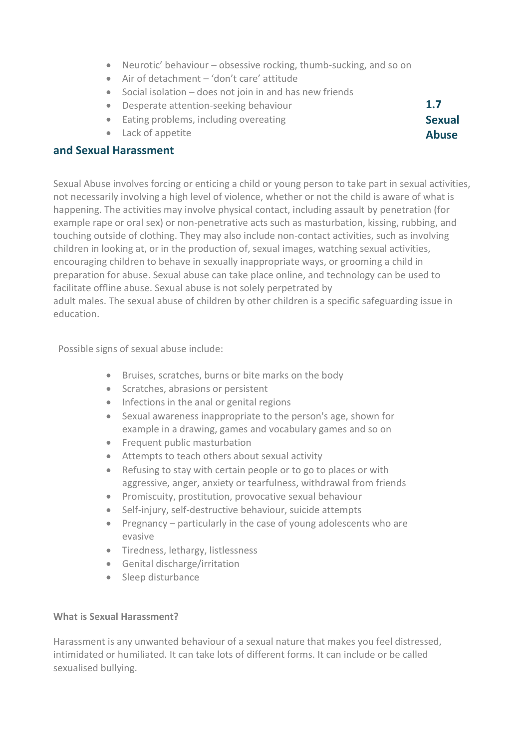- Neurotic' behaviour obsessive rocking, thumb-sucking, and so on
- Air of detachment 'don't care' attitude
- Social isolation does not join in and has new friends
- Desperate attention-seeking behaviour
- Eating problems, including overeating
- Lack of appetite

#### **and Sexual Harassment**

Sexual Abuse involves forcing or enticing a child or young person to take part in sexual activities, not necessarily involving a high level of violence, whether or not the child is aware of what is happening. The activities may involve physical contact, including assault by penetration (for example rape or oral sex) or non-penetrative acts such as masturbation, kissing, rubbing, and touching outside of clothing. They may also include non-contact activities, such as involving children in looking at, or in the production of, sexual images, watching sexual activities, encouraging children to behave in sexually inappropriate ways, or grooming a child in preparation for abuse. Sexual abuse can take place online, and technology can be used to facilitate offline abuse. Sexual abuse is not solely perpetrated by adult males. The sexual abuse of children by other children is a specific safeguarding issue in education.

Possible signs of sexual abuse include:

- Bruises, scratches, burns or bite marks on the body
- Scratches, abrasions or persistent
- Infections in the anal or genital regions
- Sexual awareness inappropriate to the person's age, shown for example in a drawing, games and vocabulary games and so on
- Frequent public masturbation
- Attempts to teach others about sexual activity
- Refusing to stay with certain people or to go to places or with aggressive, anger, anxiety or tearfulness, withdrawal from friends
- Promiscuity, prostitution, provocative sexual behaviour
- Self-injury, self-destructive behaviour, suicide attempts
- Pregnancy particularly in the case of young adolescents who are evasive
- Tiredness, lethargy, listlessness
- Genital discharge/irritation
- Sleep disturbance

#### **What is Sexual Harassment?**

Harassment is any unwanted behaviour of a sexual nature that makes you feel distressed, intimidated or humiliated. It can take lots of different forms. It can include or be called sexualised bullying.

**1.7 Sexual Abuse**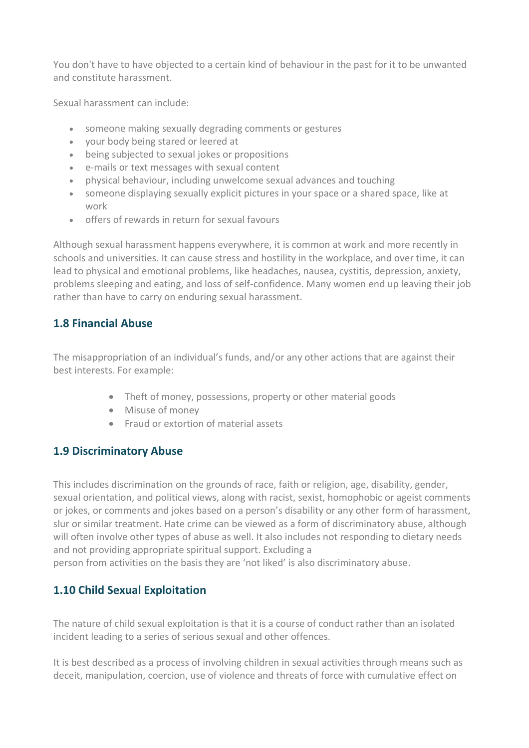You don't have to have objected to a certain kind of behaviour in the past for it to be unwanted and constitute harassment.

Sexual harassment can include:

- someone making sexually degrading comments or gestures
- your body being stared or leered at
- being subjected to sexual jokes or propositions
- e-mails or text messages with sexual content
- physical behaviour, including unwelcome sexual advances and touching
- someone displaying sexually explicit pictures in your space or a shared space, like at work
- offers of rewards in return for sexual favours

Although sexual harassment happens everywhere, it is common at work and more recently in schools and universities. It can cause stress and hostility in the workplace, and over time, it can lead to physical and emotional problems, like headaches, nausea, cystitis, depression, anxiety, problems sleeping and eating, and loss of self-confidence. Many women end up leaving their job rather than have to carry on enduring sexual harassment.

### **1.8 Financial Abuse**

The misappropriation of an individual's funds, and/or any other actions that are against their best interests. For example:

- Theft of money, possessions, property or other material goods
- Misuse of money
- Fraud or extortion of material assets

#### **1.9 Discriminatory Abuse**

This includes discrimination on the grounds of race, faith or religion, age, disability, gender, sexual orientation, and political views, along with racist, sexist, homophobic or ageist comments or jokes, or comments and jokes based on a person's disability or any other form of harassment, slur or similar treatment. Hate crime can be viewed as a form of discriminatory abuse, although will often involve other types of abuse as well. It also includes not responding to dietary needs and not providing appropriate spiritual support. Excluding a person from activities on the basis they are 'not liked' is also discriminatory abuse.

#### **1.10 Child Sexual Exploitation**

The nature of child sexual exploitation is that it is a course of conduct rather than an isolated incident leading to a series of serious sexual and other offences.

It is best described as a process of involving children in sexual activities through means such as deceit, manipulation, coercion, use of violence and threats of force with cumulative effect on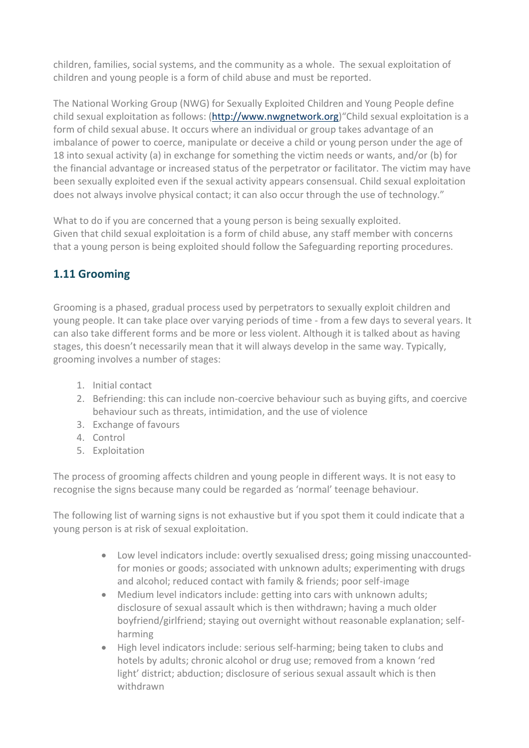children, families, social systems, and the community as a whole. The sexual exploitation of children and young people is a form of child abuse and must be reported.

The National Working Group (NWG) for Sexually Exploited Children and Young People define child sexual exploitation as follows: [\(http://www.nwgnetwork.org\)](http://www.nwgnetwork.org/)"Child sexual exploitation is a form of child sexual abuse. It occurs where an individual or group takes advantage of an imbalance of power to coerce, manipulate or deceive a child or young person under the age of 18 into sexual activity (a) in exchange for something the victim needs or wants, and/or (b) for the financial advantage or increased status of the perpetrator or facilitator. The victim may have been sexually exploited even if the sexual activity appears consensual. Child sexual exploitation does not always involve physical contact; it can also occur through the use of technology."

What to do if you are concerned that a young person is being sexually exploited. Given that child sexual exploitation is a form of child abuse, any staff member with concerns that a young person is being exploited should follow the Safeguarding reporting procedures.

### **1.11 Grooming**

Grooming is a phased, gradual process used by perpetrators to sexually exploit children and young people. It can take place over varying periods of time - from a few days to several years. It can also take different forms and be more or less violent. Although it is talked about as having stages, this doesn't necessarily mean that it will always develop in the same way. Typically, grooming involves a number of stages:

- 1. Initial contact
- 2. Befriending: this can include non-coercive behaviour such as buying gifts, and coercive behaviour such as threats, intimidation, and the use of violence
- 3. Exchange of favours
- 4. Control
- 5. Exploitation

The process of grooming affects children and young people in different ways. It is not easy to recognise the signs because many could be regarded as 'normal' teenage behaviour.

The following list of warning signs is not exhaustive but if you spot them it could indicate that a young person is at risk of sexual exploitation.

- Low level indicators include: overtly sexualised dress; going missing unaccountedfor monies or goods; associated with unknown adults; experimenting with drugs and alcohol; reduced contact with family & friends; poor self-image
- Medium level indicators include: getting into cars with unknown adults; disclosure of sexual assault which is then withdrawn; having a much older boyfriend/girlfriend; staying out overnight without reasonable explanation; selfharming
- High level indicators include: serious self-harming; being taken to clubs and hotels by adults; chronic alcohol or drug use; removed from a known 'red light' district; abduction; disclosure of serious sexual assault which is then withdrawn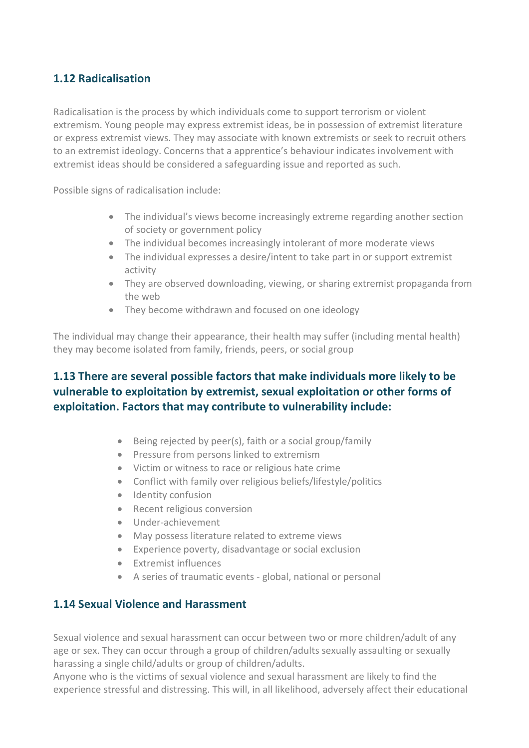### **1.12 Radicalisation**

Radicalisation is the process by which individuals come to support terrorism or violent extremism. Young people may express extremist ideas, be in possession of extremist literature or express extremist views. They may associate with known extremists or seek to recruit others to an extremist ideology. Concerns that a apprentice's behaviour indicates involvement with extremist ideas should be considered a safeguarding issue and reported as such.

Possible signs of radicalisation include:

- The individual's views become increasingly extreme regarding another section of society or government policy
- The individual becomes increasingly intolerant of more moderate views
- The individual expresses a desire/intent to take part in or support extremist activity
- They are observed downloading, viewing, or sharing extremist propaganda from the web
- They become withdrawn and focused on one ideology

The individual may change their appearance, their health may suffer (including mental health) they may become isolated from family, friends, peers, or social group

### **1.13 There are several possible factors that make individuals more likely to be vulnerable to exploitation by extremist, sexual exploitation or other forms of exploitation. Factors that may contribute to vulnerability include:**

- Being rejected by peer(s), faith or a social group/family
- Pressure from persons linked to extremism
- Victim or witness to race or religious hate crime
- Conflict with family over religious beliefs/lifestyle/politics
- Identity confusion
- Recent religious conversion
- Under-achievement
- May possess literature related to extreme views
- Experience poverty, disadvantage or social exclusion
- Extremist influences
- A series of traumatic events global, national or personal

#### **1.14 Sexual Violence and Harassment**

Sexual violence and sexual harassment can occur between two or more children/adult of any age or sex. They can occur through a group of children/adults sexually assaulting or sexually harassing a single child/adults or group of children/adults.

Anyone who is the victims of sexual violence and sexual harassment are likely to find the experience stressful and distressing. This will, in all likelihood, adversely affect their educational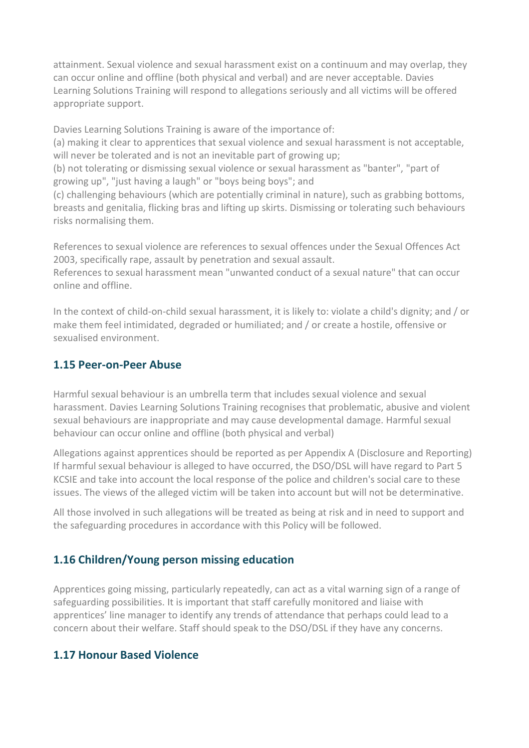attainment. Sexual violence and sexual harassment exist on a continuum and may overlap, they can occur online and offline (both physical and verbal) and are never acceptable. Davies Learning Solutions Training will respond to allegations seriously and all victims will be offered appropriate support.

Davies Learning Solutions Training is aware of the importance of:

(a) making it clear to apprentices that sexual violence and sexual harassment is not acceptable, will never be tolerated and is not an inevitable part of growing up;

(b) not tolerating or dismissing sexual violence or sexual harassment as "banter", "part of growing up", "just having a laugh" or "boys being boys"; and

(c) challenging behaviours (which are potentially criminal in nature), such as grabbing bottoms, breasts and genitalia, flicking bras and lifting up skirts. Dismissing or tolerating such behaviours risks normalising them.

References to sexual violence are references to sexual offences under the Sexual Offences Act 2003, specifically rape, assault by penetration and sexual assault.

References to sexual harassment mean "unwanted conduct of a sexual nature" that can occur online and offline.

In the context of child-on-child sexual harassment, it is likely to: violate a child's dignity; and / or make them feel intimidated, degraded or humiliated; and / or create a hostile, offensive or sexualised environment.

#### **1.15 Peer-on-Peer Abuse**

Harmful sexual behaviour is an umbrella term that includes sexual violence and sexual harassment. Davies Learning Solutions Training recognises that problematic, abusive and violent sexual behaviours are inappropriate and may cause developmental damage. Harmful sexual behaviour can occur online and offline (both physical and verbal)

Allegations against apprentices should be reported as per Appendix A (Disclosure and Reporting) If harmful sexual behaviour is alleged to have occurred, the DSO/DSL will have regard to Part 5 KCSIE and take into account the local response of the police and children's social care to these issues. The views of the alleged victim will be taken into account but will not be determinative.

All those involved in such allegations will be treated as being at risk and in need to support and the safeguarding procedures in accordance with this Policy will be followed.

### **1.16 Children/Young person missing education**

Apprentices going missing, particularly repeatedly, can act as a vital warning sign of a range of safeguarding possibilities. It is important that staff carefully monitored and liaise with apprentices' line manager to identify any trends of attendance that perhaps could lead to a concern about their welfare. Staff should speak to the DSO/DSL if they have any concerns.

#### **1.17 Honour Based Violence**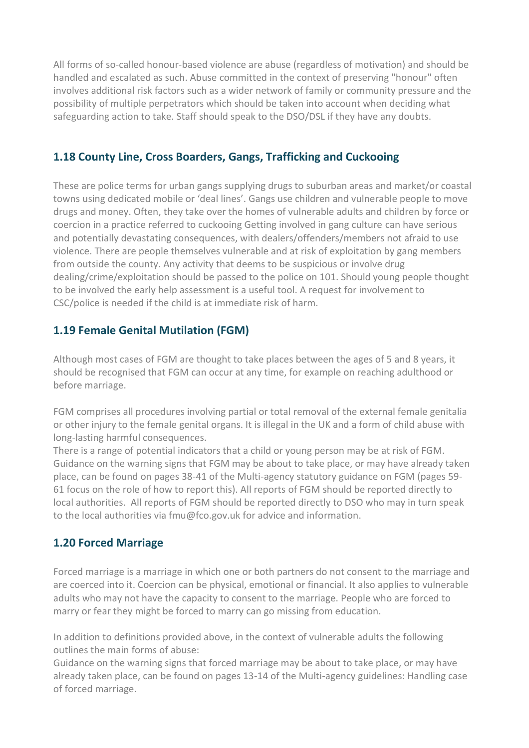All forms of so-called honour-based violence are abuse (regardless of motivation) and should be handled and escalated as such. Abuse committed in the context of preserving "honour" often involves additional risk factors such as a wider network of family or community pressure and the possibility of multiple perpetrators which should be taken into account when deciding what safeguarding action to take. Staff should speak to the DSO/DSL if they have any doubts.

#### **1.18 County Line, Cross Boarders, Gangs, Trafficking and Cuckooing**

These are police terms for urban gangs supplying drugs to suburban areas and market/or coastal towns using dedicated mobile or 'deal lines'. Gangs use children and vulnerable people to move drugs and money. Often, they take over the homes of vulnerable adults and children by force or coercion in a practice referred to cuckooing Getting involved in gang culture can have serious and potentially devastating consequences, with dealers/offenders/members not afraid to use violence. There are people themselves vulnerable and at risk of exploitation by gang members from outside the county. Any activity that deems to be suspicious or involve drug dealing/crime/exploitation should be passed to the police on 101. Should young people thought to be involved the early help assessment is a useful tool. A request for involvement to CSC/police is needed if the child is at immediate risk of harm.

#### **1.19 Female Genital Mutilation (FGM)**

Although most cases of FGM are thought to take places between the ages of 5 and 8 years, it should be recognised that FGM can occur at any time, for example on reaching adulthood or before marriage.

FGM comprises all procedures involving partial or total removal of the external female genitalia or other injury to the female genital organs. It is illegal in the UK and a form of child abuse with long-lasting harmful consequences.

There is a range of potential indicators that a child or young person may be at risk of FGM. Guidance on the warning signs that FGM may be about to take place, or may have already taken place, can be found on pages 38-41 of the Multi-agency statutory guidance on FGM (pages 59- 61 focus on the role of how to report this). All reports of FGM should be reported directly to local authorities. All reports of FGM should be reported directly to DSO who may in turn speak to the local authorities via fmu@fco.gov.uk for advice and information.

#### **1.20 Forced Marriage**

Forced marriage is a marriage in which one or both partners do not consent to the marriage and are coerced into it. Coercion can be physical, emotional or financial. It also applies to vulnerable adults who may not have the capacity to consent to the marriage. People who are forced to marry or fear they might be forced to marry can go missing from education.

In addition to definitions provided above, in the context of vulnerable adults the following outlines the main forms of abuse:

Guidance on the warning signs that forced marriage may be about to take place, or may have already taken place, can be found on pages 13-14 of the Multi-agency guidelines: Handling case of forced marriage.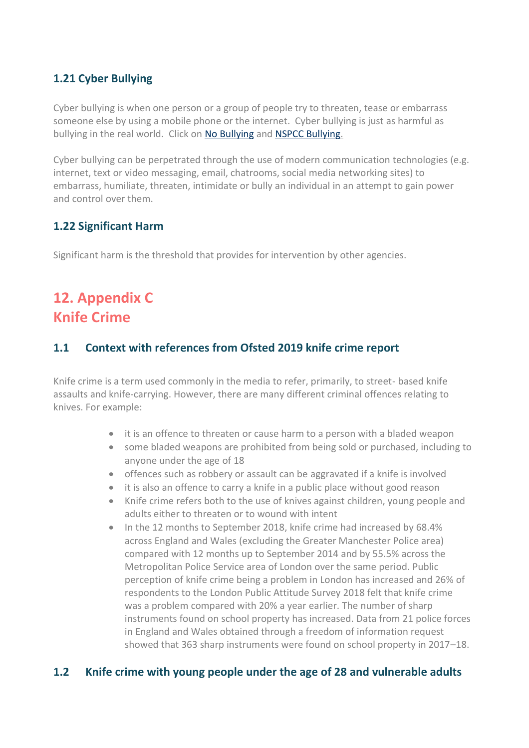### **1.21 Cyber Bullying**

Cyber bullying is when one person or a group of people try to threaten, tease or embarrass someone else by using a mobile phone or the internet. Cyber bullying is just as harmful as bullying in the real world. Click on [No Bullying](http://nobullying.com/) and [NSPCC Bullying.](http://www.nspcc.org.uk/preventing-abuse/child-abuse-and-neglect/bullying-and-cyberbullying/)

Cyber bullying can be perpetrated through the use of modern communication technologies (e.g. internet, text or video messaging, email, chatrooms, social media networking sites) to embarrass, humiliate, threaten, intimidate or bully an individual in an attempt to gain power and control over them.

#### **1.22 Significant Harm**

Significant harm is the threshold that provides for intervention by other agencies.

## **12. Appendix C Knife Crime**

#### **1.1 Context with references from Ofsted 2019 knife crime report**

Knife crime is a term used commonly in the media to refer, primarily, to street- based knife assaults and knife-carrying. However, there are many different criminal offences relating to knives. For example:

- it is an offence to threaten or cause harm to a person with a bladed weapon
- some bladed weapons are prohibited from being sold or purchased, including to anyone under the age of 18
- offences such as robbery or assault can be aggravated if a knife is involved
- it is also an offence to carry a knife in a public place without good reason
- Knife crime refers both to the use of knives against children, young people and adults either to threaten or to wound with intent
- In the 12 months to September 2018, knife crime had increased by 68.4% across England and Wales (excluding the Greater Manchester Police area) compared with 12 months up to September 2014 and by 55.5% across the Metropolitan Police Service area of London over the same period. Public perception of knife crime being a problem in London has increased and 26% of respondents to the London Public Attitude Survey 2018 felt that knife crime was a problem compared with 20% a year earlier. The number of sharp instruments found on school property has increased. Data from 21 police forces in England and Wales obtained through a freedom of information request showed that 363 sharp instruments were found on school property in 2017–18.

#### **1.2 Knife crime with young people under the age of 28 and vulnerable adults**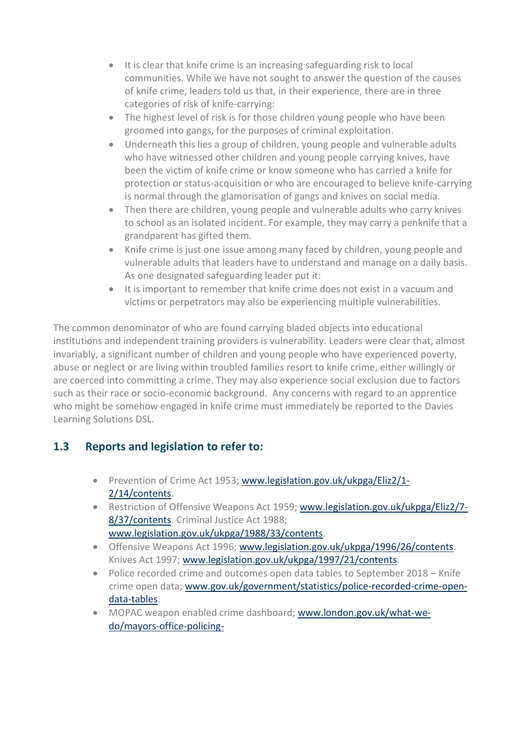- It is clear that knife crime is an increasing safeguarding risk to local communities. While we have not sought to answer the question of the causes of knife crime, leaders told us that, in their experience, there are in three categories of risk of knife-carrying:
- The highest level of risk is for those children young people who have been groomed into gangs, for the purposes of criminal exploitation.
- Underneath this lies a group of children, young people and vulnerable adults who have witnessed other children and young people carrying knives, have been the victim of knife crime or know someone who has carried a knife for protection or status-acquisition or who are encouraged to believe knife-carrying is normal through the glamorisation of gangs and knives on social media.
- Then there are children, young people and vulnerable adults who carry knives to school as an isolated incident. For example, they may carry a penknife that a grandparent has gifted them.
- Knife crime is just one issue among many faced by children, young people and vulnerable adults that leaders have to understand and manage on a daily basis. As one designated safeguarding leader put it:
- It is important to remember that knife crime does not exist in a vacuum and victims or perpetrators may also be experiencing multiple vulnerabilities.

The common denominator of who are found carrying bladed objects into educational institutions and independent training providers is vulnerability. Leaders were clear that, almost invariably, a significant number of children and young people who have experienced poverty, abuse or neglect or are living within troubled families resort to knife crime, either willingly or are coerced into committing a crime. They may also experience social exclusion due to factors such as their race or socio-economic background. Any concerns with regard to an apprentice who might be somehow engaged in knife crime must immediately be reported to the Davies Learning Solutions DSL.

### **1.3 Reports and legislation to refer to:**

- Prevention of Crime Act 1953[; www.legislation.gov.uk/ukpga/Eliz2/1-](http://www.legislation.gov.uk/ukpga/Eliz2/1-2/14/contents) [2/14/contents.](http://www.legislation.gov.uk/ukpga/Eliz2/1-2/14/contents)
- Restriction of Offensive Weapons Act 1959; [www.legislation.gov.uk/ukpga/Eliz2/7-](http://www.legislation.gov.uk/ukpga/Eliz2/7-8/37/contents) [8/37/contents.](http://www.legislation.gov.uk/ukpga/Eliz2/7-8/37/contents) Criminal Justice Act 1988; [www.legislation.gov.uk/ukpga/1988/33/contents.](http://www.legislation.gov.uk/ukpga/1988/33/contents)
- Offensive Weapons Act 1996; [www.legislation.gov.uk/ukpga/1996/26/contents.](http://www.legislation.gov.uk/ukpga/1996/26/contents) Knives Act 1997; [www.legislation.gov.uk/ukpga/1997/21/contents.](http://www.legislation.gov.uk/ukpga/1997/21/contents)
- Police recorded crime and outcomes open data tables to September 2018 Knife crime open data; [www.gov.uk/government/statistics/police-recorded-crime-open](http://www.gov.uk/government/statistics/police-recorded-crime-open-data-tables)[data-tables.](http://www.gov.uk/government/statistics/police-recorded-crime-open-data-tables)
- MOPAC weapon enabled crime dashboard; [www.london.gov.uk/what-we](http://www.london.gov.uk/what-we-do/mayors-office-policing-and-crime-mopac/data-and-statistics/weapon-enabled-crime-dashboard)[do/mayors-office-policing-](http://www.london.gov.uk/what-we-do/mayors-office-policing-and-crime-mopac/data-and-statistics/weapon-enabled-crime-dashboard)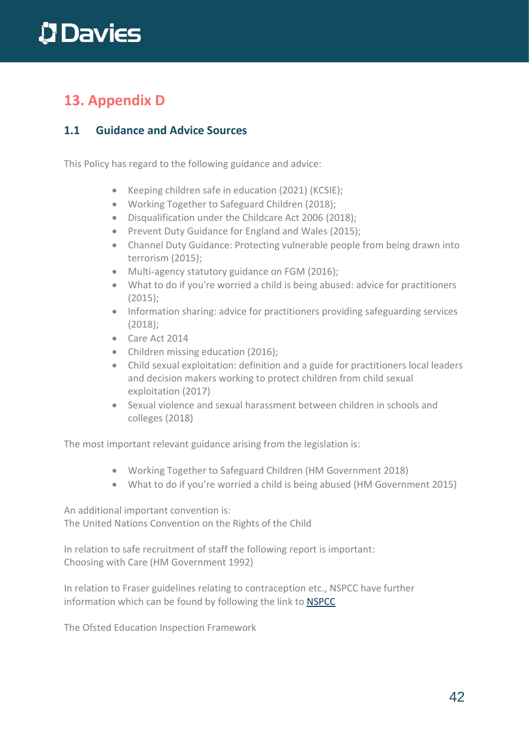## **13. Appendix D**

#### **1.1 Guidance and Advice Sources**

This Policy has regard to the following guidance and advice:

- Keeping children safe in education (2021) (KCSIE);
- Working Together to Safeguard Children (2018);
- Disqualification under the Childcare Act 2006 (2018);
- Prevent Duty Guidance for England and Wales (2015);
- Channel Duty Guidance: Protecting vulnerable people from being drawn into terrorism (2015);
- Multi-agency statutory guidance on FGM (2016);
- What to do if you're worried a child is being abused: advice for practitioners (2015);
- Information sharing: advice for practitioners providing safeguarding services (2018);
- Care Act 2014
- Children missing education (2016);
- Child sexual exploitation: definition and a guide for practitioners local leaders and decision makers working to protect children from child sexual exploitation (2017)
- Sexual violence and sexual harassment between children in schools and colleges (2018)

The most important relevant guidance arising from the legislation is:

- Working Together to Safeguard Children (HM Government 2018)
- What to do if you're worried a child is being abused (HM Government 2015)

An additional important convention is: The United Nations Convention on the Rights of the Child

In relation to safe recruitment of staff the following report is important: Choosing with Care (HM Government 1992)

In relation to Fraser guidelines relating to contraception etc., NSPCC have further information which can be found by following the link to [NSPCC](http://www.nspcc.org.uk/inform/research/questions/gillick_wda61289.html)

The Ofsted Education Inspection Framework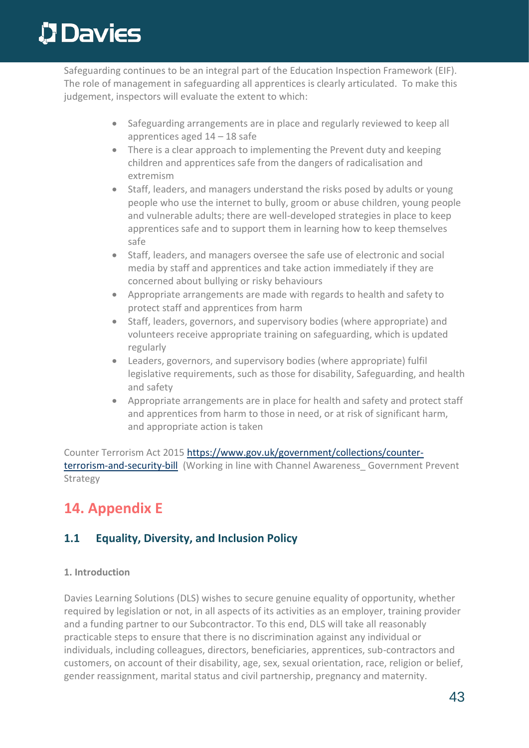Safeguarding continues to be an integral part of the Education Inspection Framework (EIF). The role of management in safeguarding all apprentices is clearly articulated. To make this judgement, inspectors will evaluate the extent to which:

- Safeguarding arrangements are in place and regularly reviewed to keep all apprentices aged 14 – 18 safe
- There is a clear approach to implementing the Prevent duty and keeping children and apprentices safe from the dangers of radicalisation and extremism
- Staff, leaders, and managers understand the risks posed by adults or young people who use the internet to bully, groom or abuse children, young people and vulnerable adults; there are well-developed strategies in place to keep apprentices safe and to support them in learning how to keep themselves safe
- Staff, leaders, and managers oversee the safe use of electronic and social media by staff and apprentices and take action immediately if they are concerned about bullying or risky behaviours
- Appropriate arrangements are made with regards to health and safety to protect staff and apprentices from harm
- Staff, leaders, governors, and supervisory bodies (where appropriate) and volunteers receive appropriate training on safeguarding, which is updated regularly
- Leaders, governors, and supervisory bodies (where appropriate) fulfil legislative requirements, such as those for disability, Safeguarding, and health and safety
- Appropriate arrangements are in place for health and safety and protect staff and apprentices from harm to those in need, or at risk of significant harm, and appropriate action is taken

Counter Terrorism Act 2015 [https://www.gov.uk/government/collections/counter](https://www.gov.uk/government/collections/counter-terrorism-and-security-bill)[terrorism-and-security-bill](https://www.gov.uk/government/collections/counter-terrorism-and-security-bill) (Working in line with Channel Awareness Government Prevent Strategy

### **14. Appendix E**

### **1.1 Equality, Diversity, and Inclusion Policy**

#### **1. Introduction**

Davies Learning Solutions (DLS) wishes to secure genuine equality of opportunity, whether required by legislation or not, in all aspects of its activities as an employer, training provider and a funding partner to our Subcontractor. To this end, DLS will take all reasonably practicable steps to ensure that there is no discrimination against any individual or individuals, including colleagues, directors, beneficiaries, apprentices, sub-contractors and customers, on account of their disability, age, sex, sexual orientation, race, religion or belief, gender reassignment, marital status and civil partnership, pregnancy and maternity.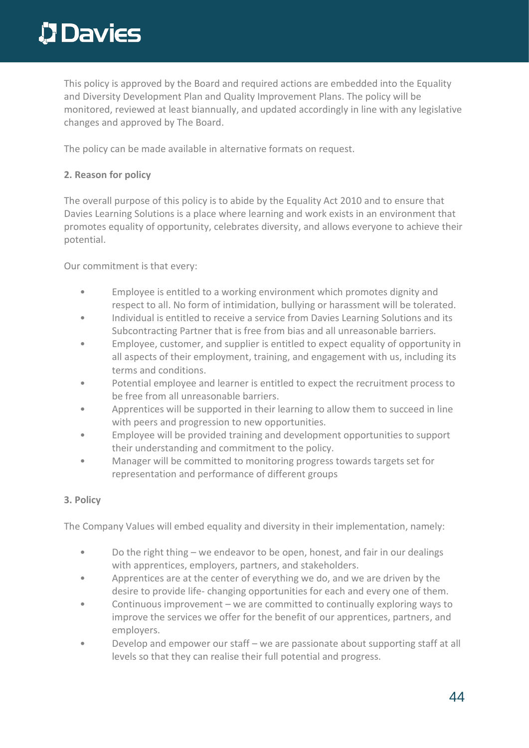This policy is approved by the Board and required actions are embedded into the Equality and Diversity Development Plan and Quality Improvement Plans. The policy will be monitored, reviewed at least biannually, and updated accordingly in line with any legislative changes and approved by The Board.

The policy can be made available in alternative formats on request.

#### **2. Reason for policy**

The overall purpose of this policy is to abide by the Equality Act 2010 and to ensure that Davies Learning Solutions is a place where learning and work exists in an environment that promotes equality of opportunity, celebrates diversity, and allows everyone to achieve their potential.

Our commitment is that every:

- Employee is entitled to a working environment which promotes dignity and respect to all. No form of intimidation, bullying or harassment will be tolerated.
- Individual is entitled to receive a service from Davies Learning Solutions and its Subcontracting Partner that is free from bias and all unreasonable barriers.
- Employee, customer, and supplier is entitled to expect equality of opportunity in all aspects of their employment, training, and engagement with us, including its terms and conditions.
- Potential employee and learner is entitled to expect the recruitment process to be free from all unreasonable barriers.
- Apprentices will be supported in their learning to allow them to succeed in line with peers and progression to new opportunities.
- Employee will be provided training and development opportunities to support their understanding and commitment to the policy.
- Manager will be committed to monitoring progress towards targets set for representation and performance of different groups

#### **3. Policy**

The Company Values will embed equality and diversity in their implementation, namely:

- Do the right thing we endeavor to be open, honest, and fair in our dealings with apprentices, employers, partners, and stakeholders.
- Apprentices are at the center of everything we do, and we are driven by the desire to provide life- changing opportunities for each and every one of them.
- Continuous improvement we are committed to continually exploring ways to improve the services we offer for the benefit of our apprentices, partners, and employers.
- Develop and empower our staff we are passionate about supporting staff at all levels so that they can realise their full potential and progress.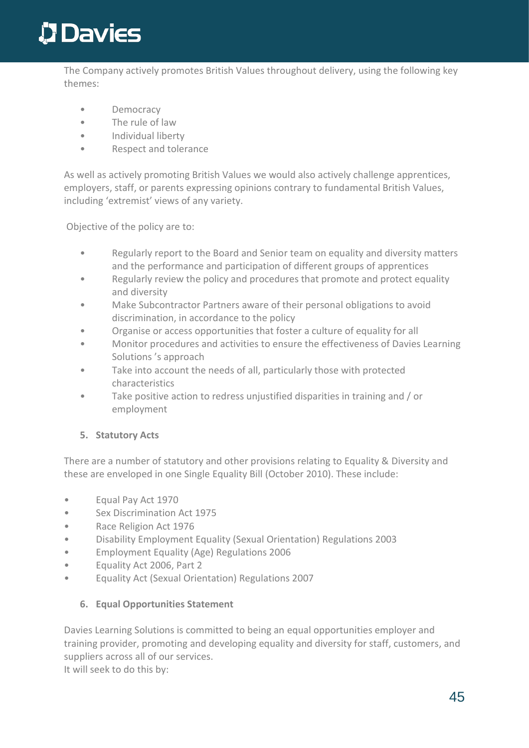The Company actively promotes British Values throughout delivery, using the following key themes:

- Democracy
- The rule of law
- Individual liberty
- Respect and tolerance

As well as actively promoting British Values we would also actively challenge apprentices, employers, staff, or parents expressing opinions contrary to fundamental British Values, including 'extremist' views of any variety.

Objective of the policy are to:

- Regularly report to the Board and Senior team on equality and diversity matters and the performance and participation of different groups of apprentices
- Regularly review the policy and procedures that promote and protect equality and diversity
- Make Subcontractor Partners aware of their personal obligations to avoid discrimination, in accordance to the policy
- Organise or access opportunities that foster a culture of equality for all
- Monitor procedures and activities to ensure the effectiveness of Davies Learning Solutions 's approach
- Take into account the needs of all, particularly those with protected characteristics
- Take positive action to redress unjustified disparities in training and / or employment

#### **5. Statutory Acts**

There are a number of statutory and other provisions relating to Equality & Diversity and these are enveloped in one Single Equality Bill (October 2010). These include:

- Equal Pay Act 1970
- Sex Discrimination Act 1975
- Race Religion Act 1976
- Disability Employment Equality (Sexual Orientation) Regulations 2003
- Employment Equality (Age) Regulations 2006
- Equality Act 2006, Part 2
- Equality Act (Sexual Orientation) Regulations 2007

#### **6. Equal Opportunities Statement**

Davies Learning Solutions is committed to being an equal opportunities employer and training provider, promoting and developing equality and diversity for staff, customers, and suppliers across all of our services. It will seek to do this by: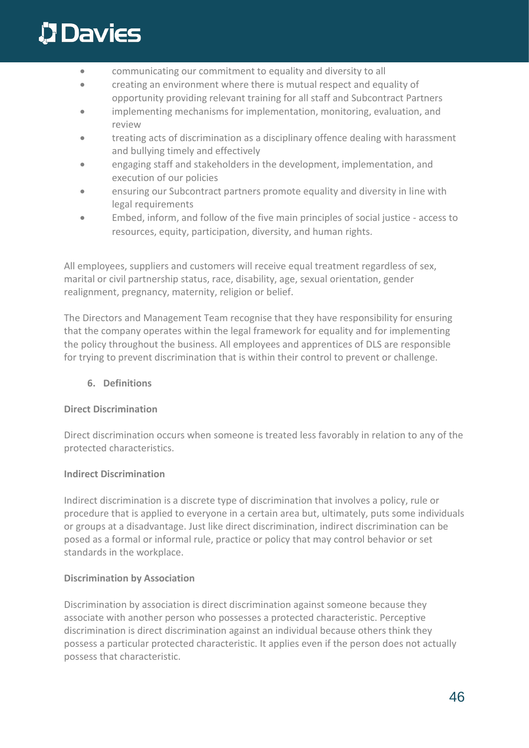- communicating our commitment to equality and diversity to all
- creating an environment where there is mutual respect and equality of opportunity providing relevant training for all staff and Subcontract Partners
- implementing mechanisms for implementation, monitoring, evaluation, and review
- treating acts of discrimination as a disciplinary offence dealing with harassment and bullying timely and effectively
- engaging staff and stakeholders in the development, implementation, and execution of our policies
- ensuring our Subcontract partners promote equality and diversity in line with legal requirements
- Embed, inform, and follow of the five main principles of social justice access to resources, equity, participation, diversity, and human rights.

All employees, suppliers and customers will receive equal treatment regardless of sex, marital or civil partnership status, race, disability, age, sexual orientation, gender realignment, pregnancy, maternity, religion or belief.

The Directors and Management Team recognise that they have responsibility for ensuring that the company operates within the legal framework for equality and for implementing the policy throughout the business. All employees and apprentices of DLS are responsible for trying to prevent discrimination that is within their control to prevent or challenge.

#### **6. Definitions**

#### **Direct Discrimination**

Direct discrimination occurs when someone is treated less favorably in relation to any of the protected characteristics.

#### **Indirect Discrimination**

Indirect discrimination is a discrete type of discrimination that involves a policy, rule or procedure that is applied to everyone in a certain area but, ultimately, puts some individuals or groups at a disadvantage. Just like direct discrimination, indirect discrimination can be posed as a formal or informal rule, practice or policy that may control behavior or set standards in the workplace.

#### **Discrimination by Association**

Discrimination by association is direct discrimination against someone because they associate with another person who possesses a protected characteristic. Perceptive discrimination is direct discrimination against an individual because others think they possess a particular protected characteristic. It applies even if the person does not actually possess that characteristic.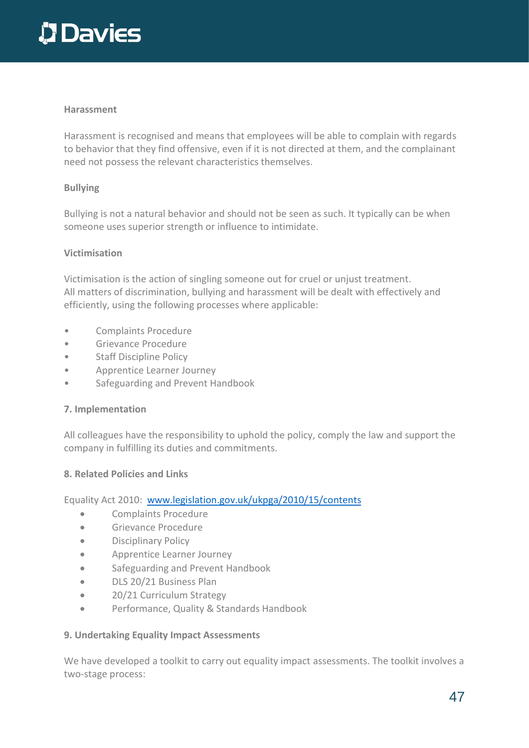#### **Harassment**

Harassment is recognised and means that employees will be able to complain with regards to behavior that they find offensive, even if it is not directed at them, and the complainant need not possess the relevant characteristics themselves.

#### **Bullying**

Bullying is not a natural behavior and should not be seen as such. It typically can be when someone uses superior strength or influence to intimidate.

#### **Victimisation**

Victimisation is the action of singling someone out for cruel or unjust treatment. All matters of discrimination, bullying and harassment will be dealt with effectively and efficiently, using the following processes where applicable:

- Complaints Procedure
- Grievance Procedure
- Staff Discipline Policy
- Apprentice Learner Journey
- Safeguarding and Prevent Handbook

#### **7. Implementation**

All colleagues have the responsibility to uphold the policy, comply the law and support the company in fulfilling its duties and commitments.

#### **8. Related Policies and Links**

Equality Act 2010: [www.legislation.gov.uk/ukpga/2010/15/contents](http://www.legislation.gov.uk/ukpga/2010/15/contents)

- Complaints Procedure
- Grievance Procedure
- Disciplinary Policy
- Apprentice Learner Journey
- Safeguarding and Prevent Handbook
- DLS 20/21 Business Plan
- 20/21 Curriculum Strategy
- Performance, Quality & Standards Handbook

#### **9. Undertaking Equality Impact Assessments**

We have developed a toolkit to carry out equality impact assessments. The toolkit involves a two-stage process: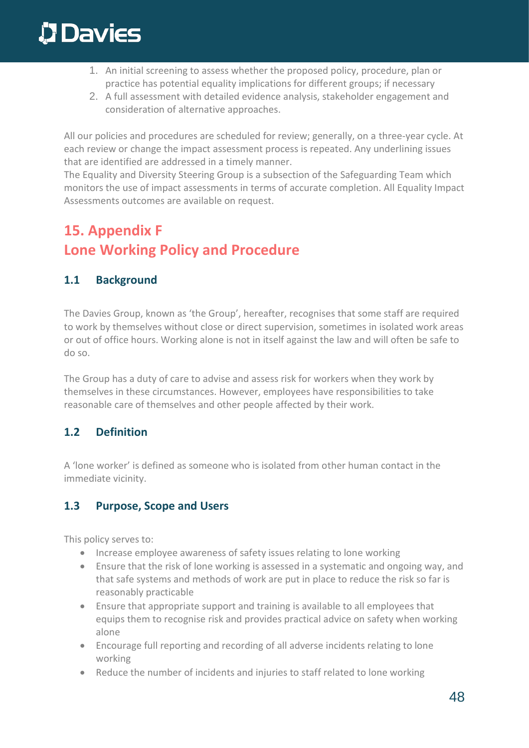- 1. An initial screening to assess whether the proposed policy, procedure, plan or practice has potential equality implications for different groups; if necessary
- 2. A full assessment with detailed evidence analysis, stakeholder engagement and consideration of alternative approaches.

All our policies and procedures are scheduled for review; generally, on a three-year cycle. At each review or change the impact assessment process is repeated. Any underlining issues that are identified are addressed in a timely manner.

The Equality and Diversity Steering Group is a subsection of the Safeguarding Team which monitors the use of impact assessments in terms of accurate completion. All Equality Impact Assessments outcomes are available on request.

## **15. Appendix F Lone Working Policy and Procedure**

#### **1.1 Background**

The Davies Group, known as 'the Group', hereafter, recognises that some staff are required to work by themselves without close or direct supervision, sometimes in isolated work areas or out of office hours. Working alone is not in itself against the law and will often be safe to do so.

The Group has a duty of care to advise and assess risk for workers when they work by themselves in these circumstances. However, employees have responsibilities to take reasonable care of themselves and other people affected by their work.

### **1.2 Definition**

A 'lone worker' is defined as someone who is isolated from other human contact in the immediate vicinity.

#### **1.3 Purpose, Scope and Users**

This policy serves to:

- Increase employee awareness of safety issues relating to lone working
- Ensure that the risk of lone working is assessed in a systematic and ongoing way, and that safe systems and methods of work are put in place to reduce the risk so far is reasonably practicable
- Ensure that appropriate support and training is available to all employees that equips them to recognise risk and provides practical advice on safety when working alone
- Encourage full reporting and recording of all adverse incidents relating to lone working
- Reduce the number of incidents and injuries to staff related to lone working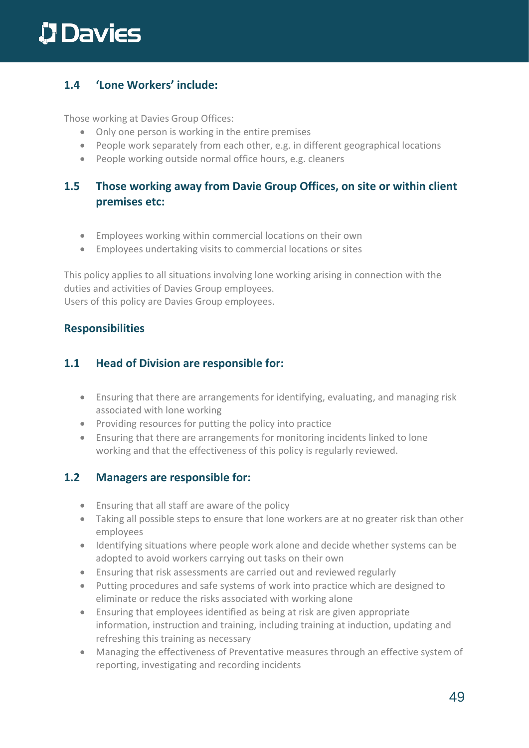#### **1.4 'Lone Workers' include:**

Those working at Davies Group Offices:

- Only one person is working in the entire premises
- People work separately from each other, e.g. in different geographical locations
- People working outside normal office hours, e.g. cleaners

#### **1.5 Those working away from Davie Group Offices, on site or within client premises etc:**

- Employees working within commercial locations on their own
- Employees undertaking visits to commercial locations or sites

This policy applies to all situations involving lone working arising in connection with the duties and activities of Davies Group employees. Users of this policy are Davies Group employees.

#### **Responsibilities**

#### **1.1 Head of Division are responsible for:**

- Ensuring that there are arrangements for identifying, evaluating, and managing risk associated with lone working
- Providing resources for putting the policy into practice
- Ensuring that there are arrangements for monitoring incidents linked to lone working and that the effectiveness of this policy is regularly reviewed.

#### **1.2 Managers are responsible for:**

- Ensuring that all staff are aware of the policy
- Taking all possible steps to ensure that lone workers are at no greater risk than other employees
- Identifying situations where people work alone and decide whether systems can be adopted to avoid workers carrying out tasks on their own
- Ensuring that risk assessments are carried out and reviewed regularly
- Putting procedures and safe systems of work into practice which are designed to eliminate or reduce the risks associated with working alone
- Ensuring that employees identified as being at risk are given appropriate information, instruction and training, including training at induction, updating and refreshing this training as necessary
- Managing the effectiveness of Preventative measures through an effective system of reporting, investigating and recording incidents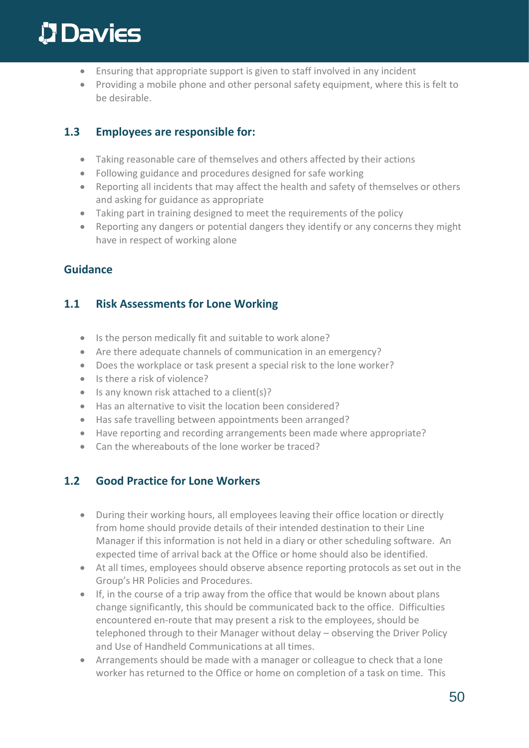- Ensuring that appropriate support is given to staff involved in any incident
- Providing a mobile phone and other personal safety equipment, where this is felt to be desirable.

#### **1.3 Employees are responsible for:**

- Taking reasonable care of themselves and others affected by their actions
- Following guidance and procedures designed for safe working
- Reporting all incidents that may affect the health and safety of themselves or others and asking for guidance as appropriate
- Taking part in training designed to meet the requirements of the policy
- Reporting any dangers or potential dangers they identify or any concerns they might have in respect of working alone

#### **Guidance**

### **1.1 Risk Assessments for Lone Working**

- Is the person medically fit and suitable to work alone?
- Are there adequate channels of communication in an emergency?
- Does the workplace or task present a special risk to the lone worker?
- Is there a risk of violence?
- Is any known risk attached to a client(s)?
- Has an alternative to visit the location been considered?
- Has safe travelling between appointments been arranged?
- Have reporting and recording arrangements been made where appropriate?
- Can the whereabouts of the lone worker be traced?

### **1.2 Good Practice for Lone Workers**

- During their working hours, all employees leaving their office location or directly from home should provide details of their intended destination to their Line Manager if this information is not held in a diary or other scheduling software. An expected time of arrival back at the Office or home should also be identified.
- At all times, employees should observe absence reporting protocols as set out in the Group's HR Policies and Procedures.
- If, in the course of a trip away from the office that would be known about plans change significantly, this should be communicated back to the office. Difficulties encountered en-route that may present a risk to the employees, should be telephoned through to their Manager without delay – observing the Driver Policy and Use of Handheld Communications at all times.
- Arrangements should be made with a manager or colleague to check that a lone worker has returned to the Office or home on completion of a task on time. This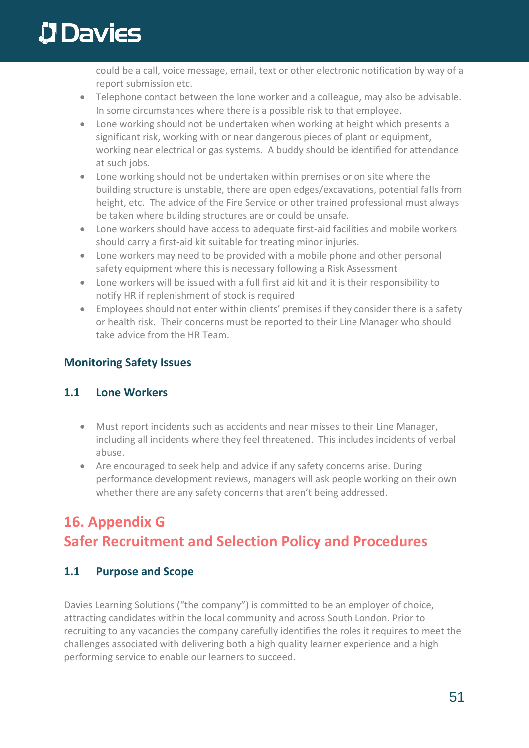could be a call, voice message, email, text or other electronic notification by way of a report submission etc.

- Telephone contact between the lone worker and a colleague, may also be advisable. In some circumstances where there is a possible risk to that employee.
- Lone working should not be undertaken when working at height which presents a significant risk, working with or near dangerous pieces of plant or equipment, working near electrical or gas systems. A buddy should be identified for attendance at such jobs.
- Lone working should not be undertaken within premises or on site where the building structure is unstable, there are open edges/excavations, potential falls from height, etc. The advice of the Fire Service or other trained professional must always be taken where building structures are or could be unsafe.
- Lone workers should have access to adequate first-aid facilities and mobile workers should carry a first-aid kit suitable for treating minor injuries.
- Lone workers may need to be provided with a mobile phone and other personal safety equipment where this is necessary following a Risk Assessment
- Lone workers will be issued with a full first aid kit and it is their responsibility to notify HR if replenishment of stock is required
- Employees should not enter within clients' premises if they consider there is a safety or health risk. Their concerns must be reported to their Line Manager who should take advice from the HR Team.

### **Monitoring Safety Issues**

### **1.1 Lone Workers**

- Must report incidents such as accidents and near misses to their Line Manager, including all incidents where they feel threatened. This includes incidents of verbal abuse.
- Are encouraged to seek help and advice if any safety concerns arise. During performance development reviews, managers will ask people working on their own whether there are any safety concerns that aren't being addressed.

## **16. Appendix G Safer Recruitment and Selection Policy and Procedures**

### **1.1 Purpose and Scope**

Davies Learning Solutions ("the company") is committed to be an employer of choice, attracting candidates within the local community and across South London. Prior to recruiting to any vacancies the company carefully identifies the roles it requires to meet the challenges associated with delivering both a high quality learner experience and a high performing service to enable our learners to succeed.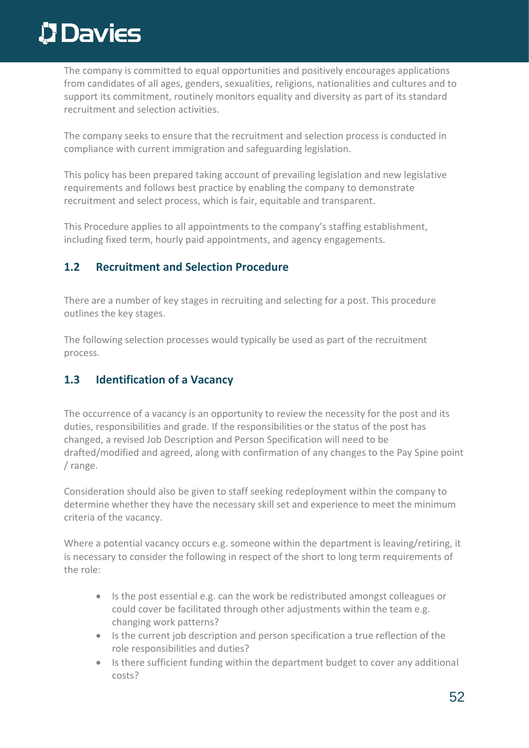The company is committed to equal opportunities and positively encourages applications from candidates of all ages, genders, sexualities, religions, nationalities and cultures and to support its commitment, routinely monitors equality and diversity as part of its standard recruitment and selection activities.

The company seeks to ensure that the recruitment and selection process is conducted in compliance with current immigration and safeguarding legislation.

This policy has been prepared taking account of prevailing legislation and new legislative requirements and follows best practice by enabling the company to demonstrate recruitment and select process, which is fair, equitable and transparent.

This Procedure applies to all appointments to the company's staffing establishment, including fixed term, hourly paid appointments, and agency engagements.

#### **1.2 Recruitment and Selection Procedure**

There are a number of key stages in recruiting and selecting for a post. This procedure outlines the key stages.

The following selection processes would typically be used as part of the recruitment process.

#### **1.3 Identification of a Vacancy**

The occurrence of a vacancy is an opportunity to review the necessity for the post and its duties, responsibilities and grade. If the responsibilities or the status of the post has changed, a revised Job Description and Person Specification will need to be drafted/modified and agreed, along with confirmation of any changes to the Pay Spine point / range.

Consideration should also be given to staff seeking redeployment within the company to determine whether they have the necessary skill set and experience to meet the minimum criteria of the vacancy.

Where a potential vacancy occurs e.g. someone within the department is leaving/retiring, it is necessary to consider the following in respect of the short to long term requirements of the role:

- Is the post essential e.g. can the work be redistributed amongst colleagues or could cover be facilitated through other adjustments within the team e.g. changing work patterns?
- Is the current job description and person specification a true reflection of the role responsibilities and duties?
- Is there sufficient funding within the department budget to cover any additional costs?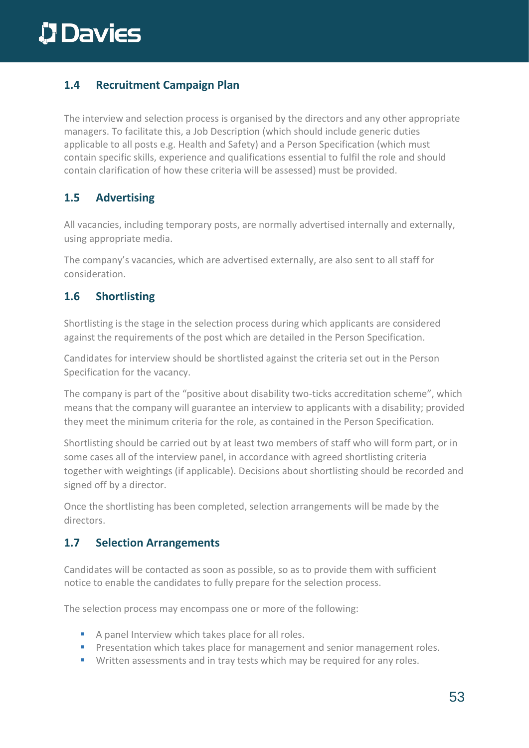### **1.4 Recruitment Campaign Plan**

The interview and selection process is organised by the directors and any other appropriate managers. To facilitate this, a Job Description (which should include generic duties applicable to all posts e.g. Health and Safety) and a Person Specification (which must contain specific skills, experience and qualifications essential to fulfil the role and should contain clarification of how these criteria will be assessed) must be provided.

### **1.5 Advertising**

All vacancies, including temporary posts, are normally advertised internally and externally, using appropriate media.

The company's vacancies, which are advertised externally, are also sent to all staff for consideration.

### **1.6 Shortlisting**

Shortlisting is the stage in the selection process during which applicants are considered against the requirements of the post which are detailed in the Person Specification.

Candidates for interview should be shortlisted against the criteria set out in the Person Specification for the vacancy.

The company is part of the "positive about disability two-ticks accreditation scheme", which means that the company will guarantee an interview to applicants with a disability; provided they meet the minimum criteria for the role, as contained in the Person Specification.

Shortlisting should be carried out by at least two members of staff who will form part, or in some cases all of the interview panel, in accordance with agreed shortlisting criteria together with weightings (if applicable). Decisions about shortlisting should be recorded and signed off by a director.

Once the shortlisting has been completed, selection arrangements will be made by the directors.

### **1.7 Selection Arrangements**

Candidates will be contacted as soon as possible, so as to provide them with sufficient notice to enable the candidates to fully prepare for the selection process.

The selection process may encompass one or more of the following:

- A panel Interview which takes place for all roles.
- **•** Presentation which takes place for management and senior management roles.
- Written assessments and in tray tests which may be required for any roles.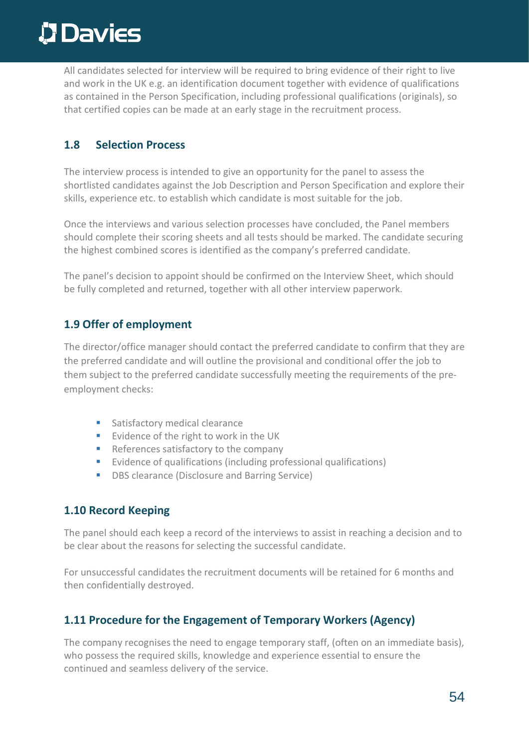All candidates selected for interview will be required to bring evidence of their right to live and work in the UK e.g. an identification document together with evidence of qualifications as contained in the Person Specification, including professional qualifications (originals), so that certified copies can be made at an early stage in the recruitment process.

#### **1.8 Selection Process**

The interview process is intended to give an opportunity for the panel to assess the shortlisted candidates against the Job Description and Person Specification and explore their skills, experience etc. to establish which candidate is most suitable for the job.

Once the interviews and various selection processes have concluded, the Panel members should complete their scoring sheets and all tests should be marked. The candidate securing the highest combined scores is identified as the company's preferred candidate.

The panel's decision to appoint should be confirmed on the Interview Sheet, which should be fully completed and returned, together with all other interview paperwork.

#### **1.9 Offer of employment**

The director/office manager should contact the preferred candidate to confirm that they are the preferred candidate and will outline the provisional and conditional offer the job to them subject to the preferred candidate successfully meeting the requirements of the preemployment checks:

- Satisfactory medical clearance
- Evidence of the right to work in the UK
- References satisfactory to the company
- Evidence of qualifications (including professional qualifications)
- **DBS clearance (Disclosure and Barring Service)**

#### **1.10 Record Keeping**

The panel should each keep a record of the interviews to assist in reaching a decision and to be clear about the reasons for selecting the successful candidate.

For unsuccessful candidates the recruitment documents will be retained for 6 months and then confidentially destroyed.

### **1.11 Procedure for the Engagement of Temporary Workers (Agency)**

The company recognises the need to engage temporary staff, (often on an immediate basis), who possess the required skills, knowledge and experience essential to ensure the continued and seamless delivery of the service.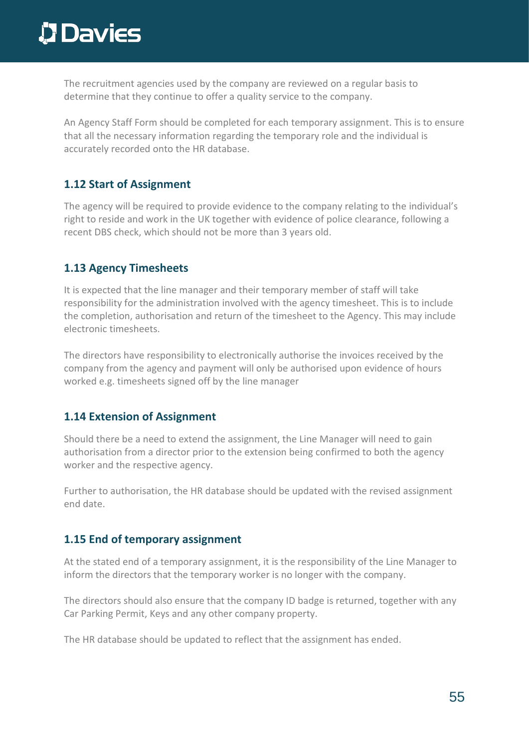# **D** Davies

The recruitment agencies used by the company are reviewed on a regular basis to determine that they continue to offer a quality service to the company.

An Agency Staff Form should be completed for each temporary assignment. This is to ensure that all the necessary information regarding the temporary role and the individual is accurately recorded onto the HR database.

#### **1.12 Start of Assignment**

The agency will be required to provide evidence to the company relating to the individual's right to reside and work in the UK together with evidence of police clearance, following a recent DBS check, which should not be more than 3 years old.

### **1.13 Agency Timesheets**

It is expected that the line manager and their temporary member of staff will take responsibility for the administration involved with the agency timesheet. This is to include the completion, authorisation and return of the timesheet to the Agency. This may include electronic timesheets.

The directors have responsibility to electronically authorise the invoices received by the company from the agency and payment will only be authorised upon evidence of hours worked e.g. timesheets signed off by the line manager

#### **1.14 Extension of Assignment**

Should there be a need to extend the assignment, the Line Manager will need to gain authorisation from a director prior to the extension being confirmed to both the agency worker and the respective agency.

Further to authorisation, the HR database should be updated with the revised assignment end date.

### **1.15 End of temporary assignment**

At the stated end of a temporary assignment, it is the responsibility of the Line Manager to inform the directors that the temporary worker is no longer with the company.

The directors should also ensure that the company ID badge is returned, together with any Car Parking Permit, Keys and any other company property.

The HR database should be updated to reflect that the assignment has ended.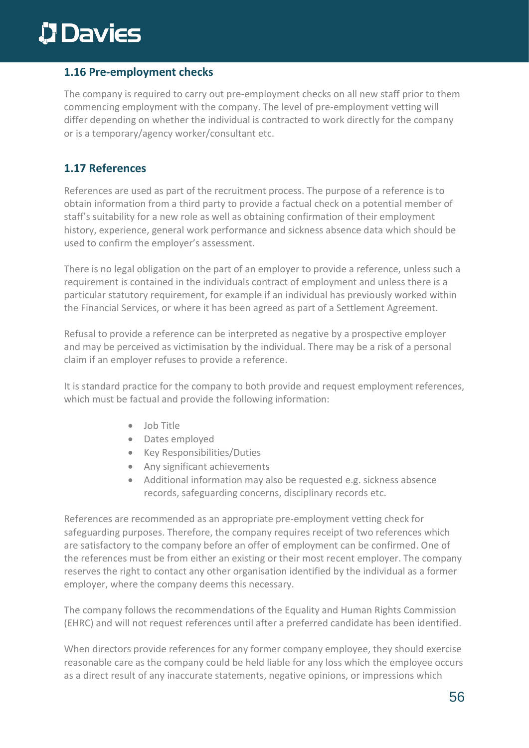#### **1.16 Pre-employment checks**

The company is required to carry out pre-employment checks on all new staff prior to them commencing employment with the company. The level of pre-employment vetting will differ depending on whether the individual is contracted to work directly for the company or is a temporary/agency worker/consultant etc.

#### **1.17 References**

References are used as part of the recruitment process. The purpose of a reference is to obtain information from a third party to provide a factual check on a potential member of staff's suitability for a new role as well as obtaining confirmation of their employment history, experience, general work performance and sickness absence data which should be used to confirm the employer's assessment.

There is no legal obligation on the part of an employer to provide a reference, unless such a requirement is contained in the individuals contract of employment and unless there is a particular statutory requirement, for example if an individual has previously worked within the Financial Services, or where it has been agreed as part of a Settlement Agreement.

Refusal to provide a reference can be interpreted as negative by a prospective employer and may be perceived as victimisation by the individual. There may be a risk of a personal claim if an employer refuses to provide a reference.

It is standard practice for the company to both provide and request employment references, which must be factual and provide the following information:

- Job Title
- Dates employed
- Key Responsibilities/Duties
- Any significant achievements
- Additional information may also be requested e.g. sickness absence records, safeguarding concerns, disciplinary records etc.

References are recommended as an appropriate pre-employment vetting check for safeguarding purposes. Therefore, the company requires receipt of two references which are satisfactory to the company before an offer of employment can be confirmed. One of the references must be from either an existing or their most recent employer. The company reserves the right to contact any other organisation identified by the individual as a former employer, where the company deems this necessary.

The company follows the recommendations of the Equality and Human Rights Commission (EHRC) and will not request references until after a preferred candidate has been identified.

When directors provide references for any former company employee, they should exercise reasonable care as the company could be held liable for any loss which the employee occurs as a direct result of any inaccurate statements, negative opinions, or impressions which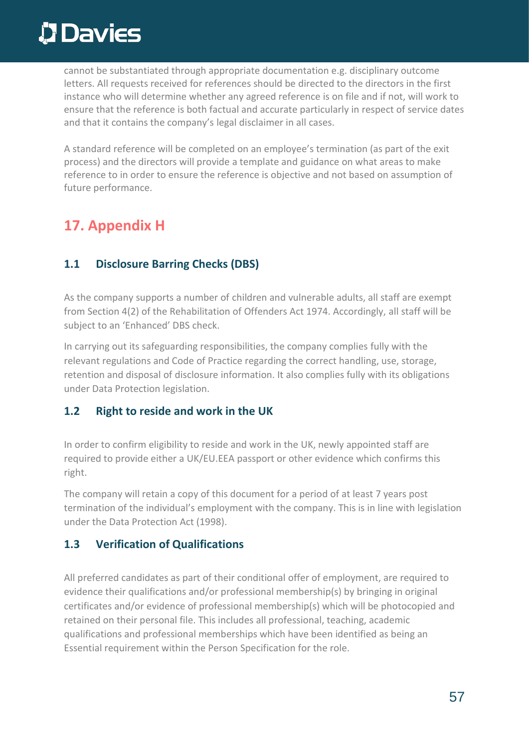cannot be substantiated through appropriate documentation e.g. disciplinary outcome letters. All requests received for references should be directed to the directors in the first instance who will determine whether any agreed reference is on file and if not, will work to ensure that the reference is both factual and accurate particularly in respect of service dates and that it contains the company's legal disclaimer in all cases.

A standard reference will be completed on an employee's termination (as part of the exit process) and the directors will provide a template and guidance on what areas to make reference to in order to ensure the reference is objective and not based on assumption of future performance.

## **17. Appendix H**

### **1.1 Disclosure Barring Checks (DBS)**

As the company supports a number of children and vulnerable adults, all staff are exempt from Section 4(2) of the Rehabilitation of Offenders Act 1974. Accordingly, all staff will be subject to an 'Enhanced' DBS check.

In carrying out its safeguarding responsibilities, the company complies fully with the relevant regulations and Code of Practice regarding the correct handling, use, storage, retention and disposal of disclosure information. It also complies fully with its obligations under Data Protection legislation.

#### **1.2 Right to reside and work in the UK**

In order to confirm eligibility to reside and work in the UK, newly appointed staff are required to provide either a UK/EU.EEA passport or other evidence which confirms this right.

The company will retain a copy of this document for a period of at least 7 years post termination of the individual's employment with the company. This is in line with legislation under the Data Protection Act (1998).

### **1.3 Verification of Qualifications**

All preferred candidates as part of their conditional offer of employment, are required to evidence their qualifications and/or professional membership(s) by bringing in original certificates and/or evidence of professional membership(s) which will be photocopied and retained on their personal file. This includes all professional, teaching, academic qualifications and professional memberships which have been identified as being an Essential requirement within the Person Specification for the role.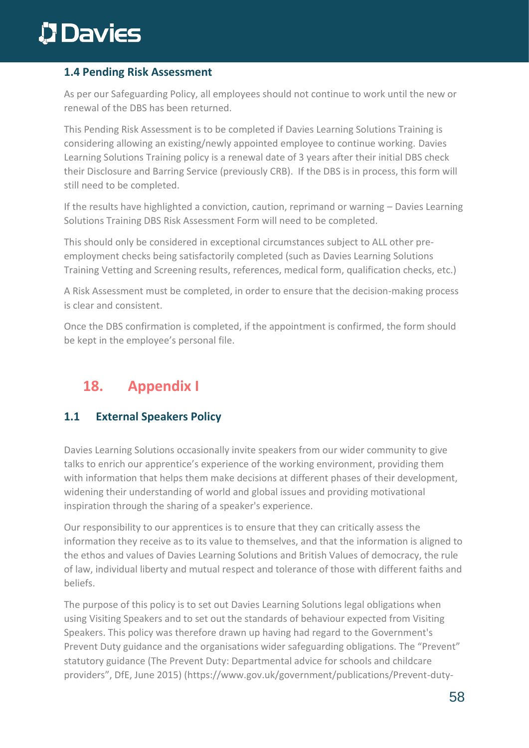#### **1.4 Pending Risk Assessment**

As per our Safeguarding Policy, all employees should not continue to work until the new or renewal of the DBS has been returned.

This Pending Risk Assessment is to be completed if Davies Learning Solutions Training is considering allowing an existing/newly appointed employee to continue working. Davies Learning Solutions Training policy is a renewal date of 3 years after their initial DBS check their Disclosure and Barring Service (previously CRB). If the DBS is in process, this form will still need to be completed.

If the results have highlighted a conviction, caution, reprimand or warning – Davies Learning Solutions Training DBS Risk Assessment Form will need to be completed.

This should only be considered in exceptional circumstances subject to ALL other preemployment checks being satisfactorily completed (such as Davies Learning Solutions Training Vetting and Screening results, references, medical form, qualification checks, etc.)

A Risk Assessment must be completed, in order to ensure that the decision-making process is clear and consistent.

Once the DBS confirmation is completed, if the appointment is confirmed, the form should be kept in the employee's personal file.

## **18. Appendix I**

### **1.1 External Speakers Policy**

Davies Learning Solutions occasionally invite speakers from our wider community to give talks to enrich our apprentice's experience of the working environment, providing them with information that helps them make decisions at different phases of their development, widening their understanding of world and global issues and providing motivational inspiration through the sharing of a speaker's experience.

Our responsibility to our apprentices is to ensure that they can critically assess the information they receive as to its value to themselves, and that the information is aligned to the ethos and values of Davies Learning Solutions and British Values of democracy, the rule of law, individual liberty and mutual respect and tolerance of those with different faiths and beliefs.

The purpose of this policy is to set out Davies Learning Solutions legal obligations when using Visiting Speakers and to set out the standards of behaviour expected from Visiting Speakers. This policy was therefore drawn up having had regard to the Government's Prevent Duty guidance and the organisations wider safeguarding obligations. The "Prevent" statutory guidance (The Prevent Duty: Departmental advice for schools and childcare providers", DfE, June 2015) (https://www.gov.uk/government/publications/Prevent-duty-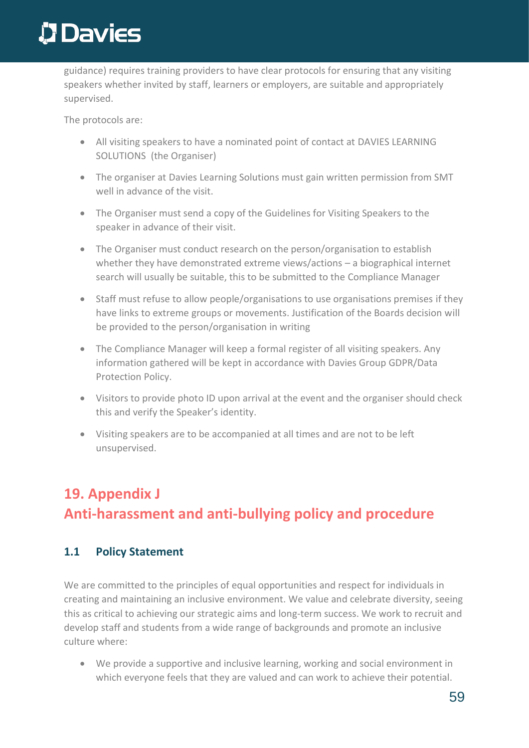guidance) requires training providers to have clear protocols for ensuring that any visiting speakers whether invited by staff, learners or employers, are suitable and appropriately supervised.

The protocols are:

- All visiting speakers to have a nominated point of contact at DAVIES LEARNING SOLUTIONS (the Organiser)
- The organiser at Davies Learning Solutions must gain written permission from SMT well in advance of the visit.
- The Organiser must send a copy of the Guidelines for Visiting Speakers to the speaker in advance of their visit.
- The Organiser must conduct research on the person/organisation to establish whether they have demonstrated extreme views/actions – a biographical internet search will usually be suitable, this to be submitted to the Compliance Manager
- Staff must refuse to allow people/organisations to use organisations premises if they have links to extreme groups or movements. Justification of the Boards decision will be provided to the person/organisation in writing
- The Compliance Manager will keep a formal register of all visiting speakers. Any information gathered will be kept in accordance with Davies Group GDPR/Data Protection Policy.
- Visitors to provide photo ID upon arrival at the event and the organiser should check this and verify the Speaker's identity.
- Visiting speakers are to be accompanied at all times and are not to be left unsupervised.

## **19. Appendix J Anti-harassment and anti-bullying policy and procedure**

### **1.1 Policy Statement**

We are committed to the principles of equal opportunities and respect for individuals in creating and maintaining an inclusive environment. We value and celebrate diversity, seeing this as critical to achieving our strategic aims and long-term success. We work to recruit and develop staff and students from a wide range of backgrounds and promote an inclusive culture where:

• We provide a supportive and inclusive learning, working and social environment in which everyone feels that they are valued and can work to achieve their potential.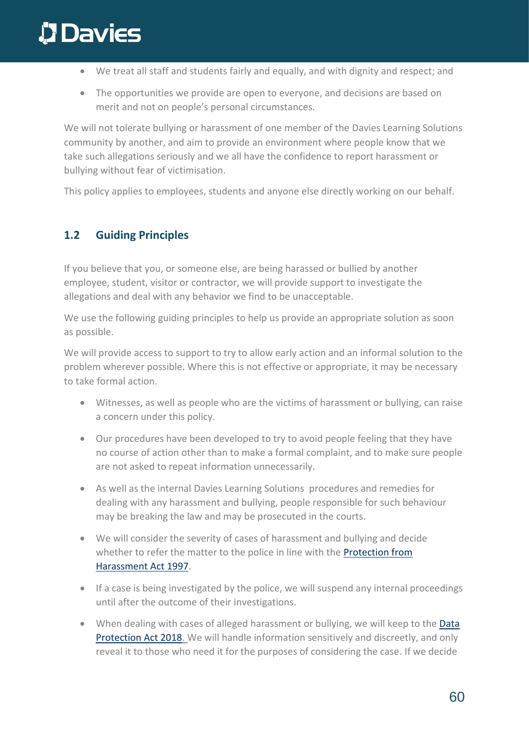- We treat all staff and students fairly and equally, and with dignity and respect; and
- The opportunities we provide are open to everyone, and decisions are based on merit and not on people's personal circumstances.

We will not tolerate bullying or harassment of one member of the Davies Learning Solutions community by another, and aim to provide an environment where people know that we take such allegations seriously and we all have the confidence to report harassment or bullying without fear of victimisation.

This policy applies to employees, students and anyone else directly working on our behalf.

### **1.2 Guiding Principles**

If you believe that you, or someone else, are being harassed or bullied by another employee, student, visitor or contractor, we will provide support to investigate the allegations and deal with any behavior we find to be unacceptable.

We use the following guiding principles to help us provide an appropriate solution as soon as possible.

We will provide access to support to try to allow early action and an informal solution to the problem wherever possible. Where this is not effective or appropriate, it may be necessary to take formal action.

- Witnesses, as well as people who are the victims of harassment or bullying, can raise a concern under this policy.
- Our procedures have been developed to try to avoid people feeling that they have no course of action other than to make a formal complaint, and to make sure people are not asked to repeat information unnecessarily.
- As well as the internal Davies Learning Solutions procedures and remedies for dealing with any harassment and bullying, people responsible for such behaviour may be breaking the law and may be prosecuted in the courts.
- We will consider the severity of cases of harassment and bullying and decide whether to refer the matter to the police in line with the [Protection from](http://www.legislation.gov.uk/ukpga/1997/40/contents) [Harassment Act 1997.](http://www.legislation.gov.uk/ukpga/1997/40/contents)
- If a case is being investigated by the police, we will suspend any internal proceedings until after the outcome of their investigations.
- When dealing with cases of alleged harassment or bullying, we will keep to the Data [Protection Act 2018.](https://www.gov.uk/data-protection/the-data-protection-act) We will handle information sensitively and discreetly, and only reveal it to those who need it for the purposes of considering the case. If we decide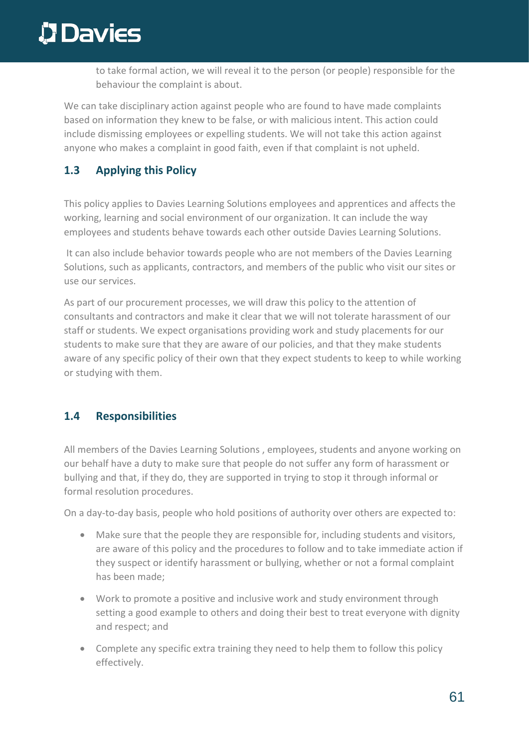to take formal action, we will reveal it to the person (or people) responsible for the behaviour the complaint is about.

We can take disciplinary action against people who are found to have made complaints based on information they knew to be false, or with malicious intent. This action could include dismissing employees or expelling students. We will not take this action against anyone who makes a complaint in good faith, even if that complaint is not upheld.

### **1.3 Applying this Policy**

This policy applies to Davies Learning Solutions employees and apprentices and affects the working, learning and social environment of our organization. It can include the way employees and students behave towards each other outside Davies Learning Solutions.

It can also include behavior towards people who are not members of the Davies Learning Solutions, such as applicants, contractors, and members of the public who visit our sites or use our services.

As part of our procurement processes, we will draw this policy to the attention of consultants and contractors and make it clear that we will not tolerate harassment of our staff or students. We expect organisations providing work and study placements for our students to make sure that they are aware of our policies, and that they make students aware of any specific policy of their own that they expect students to keep to while working or studying with them.

### **1.4 Responsibilities**

All members of the Davies Learning Solutions , employees, students and anyone working on our behalf have a duty to make sure that people do not suffer any form of harassment or bullying and that, if they do, they are supported in trying to stop it through informal or formal resolution procedures.

On a day-to-day basis, people who hold positions of authority over others are expected to:

- Make sure that the people they are responsible for, including students and visitors, are aware of this policy and the procedures to follow and to take immediate action if they suspect or identify harassment or bullying, whether or not a formal complaint has been made;
- Work to promote a positive and inclusive work and study environment through setting a good example to others and doing their best to treat everyone with dignity and respect; and
- Complete any specific extra training they need to help them to follow this policy effectively.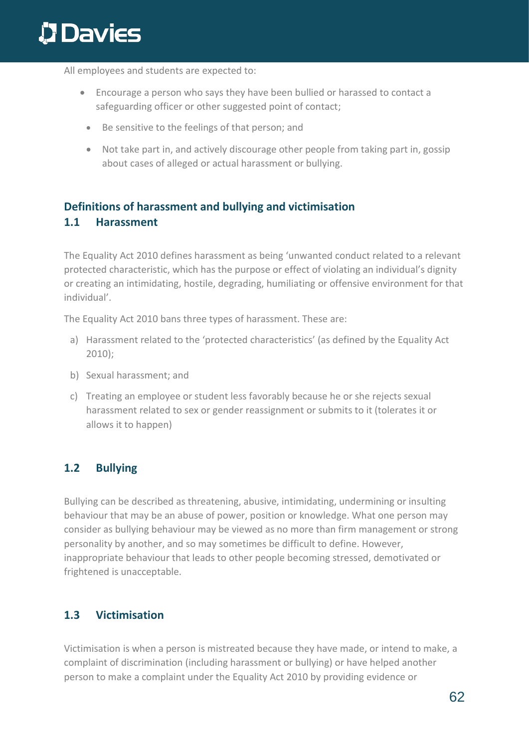All employees and students are expected to:

- Encourage a person who says they have been bullied or harassed to contact a safeguarding officer or other suggested point of contact;
	- Be sensitive to the feelings of that person; and
	- Not take part in, and actively discourage other people from taking part in, gossip about cases of alleged or actual harassment or bullying.

### **Definitions of harassment and bullying and victimisation 1.1 Harassment**

The Equality Act 2010 defines harassment as being 'unwanted conduct related to a relevant protected characteristic, which has the purpose or effect of violating an individual's dignity or creating an intimidating, hostile, degrading, humiliating or offensive environment for that individual'.

The Equality Act 2010 bans three types of harassment. These are:

- a) Harassment related to the 'protected characteristics' (as defined by the Equality Act 2010);
- b) Sexual harassment; and
- c) Treating an employee or student less favorably because he or she rejects sexual harassment related to sex or gender reassignment or submits to it (tolerates it or allows it to happen)

#### **1.2 Bullying**

Bullying can be described as threatening, abusive, intimidating, undermining or insulting behaviour that may be an abuse of power, position or knowledge. What one person may consider as bullying behaviour may be viewed as no more than firm management or strong personality by another, and so may sometimes be difficult to define. However, inappropriate behaviour that leads to other people becoming stressed, demotivated or frightened is unacceptable.

### **1.3 Victimisation**

Victimisation is when a person is mistreated because they have made, or intend to make, a complaint of discrimination (including harassment or bullying) or have helped another person to make a complaint under the Equality Act 2010 by providing evidence or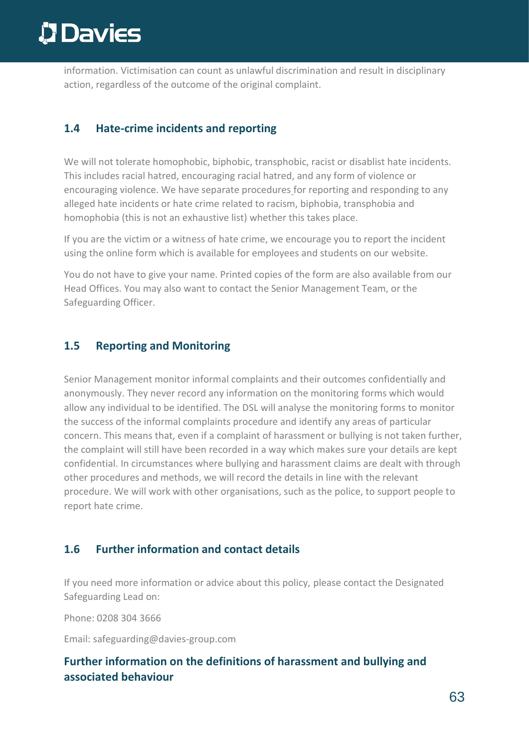information. Victimisation can count as unlawful discrimination and result in disciplinary action, regardless of the outcome of the original complaint.

### **1.4 Hate-crime incidents and reporting**

We will not tolerate homophobic, biphobic, transphobic, racist or disablist hate incidents. This includes racial hatred, encouraging racial hatred, and any form of violence or encouraging violence. We have separate procedures for reporting and responding to any alleged hate incidents or hate crime related to racism, biphobia, transphobia and homophobia (this is not an exhaustive list) whether this takes place.

If you are the victim or a witness of hate crime, we encourage you to report the incident using the online form which is available for employees and students on our website.

You do not have to give your name. Printed copies of the form are also available from our Head Offices. You may also want to contact the Senior Management Team, or the Safeguarding Officer.

### **1.5 Reporting and Monitoring**

Senior Management monitor informal complaints and their outcomes confidentially and anonymously. They never record any information on the monitoring forms which would allow any individual to be identified. The DSL will analyse the monitoring forms to monitor the success of the informal complaints procedure and identify any areas of particular concern. This means that, even if a complaint of harassment or bullying is not taken further, the complaint will still have been recorded in a way which makes sure your details are kept confidential. In circumstances where bullying and harassment claims are dealt with through other procedures and methods, we will record the details in line with the relevant procedure. We will work with other organisations, such as the police, to support people to report hate crime.

### **1.6 Further information and contact details**

If you need more information or advice about this policy, please contact the Designated Safeguarding Lead on:

Phone: 0208 304 3666

Email: safeguarding@davies-group.com

### **Further information on the definitions of harassment and bullying and associated behaviour**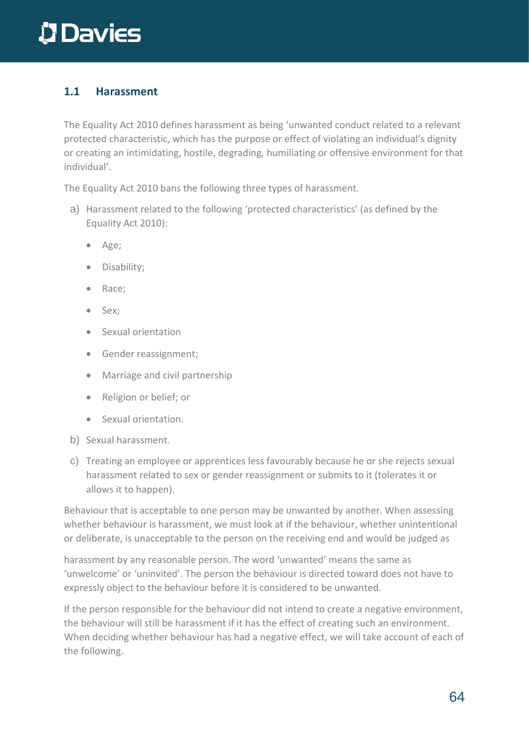### **1.1 Harassment**

The Equality Act 2010 defines harassment as being 'unwanted conduct related to a relevant protected characteristic, which has the purpose or effect of violating an individual's dignity or creating an intimidating, hostile, degrading, humiliating or offensive environment for that individual'.

The Equality Act 2010 bans the following three types of harassment.

- a) Harassment related to the following 'protected characteristics' (as defined by the Equality Act 2010):
	- Age;
	- Disability;
	- Race;
	- Sex;
	- Sexual orientation
	- Gender reassignment;
	- Marriage and civil partnership
	- Religion or belief; or
	- Sexual orientation.
- b) Sexual harassment.
- c) Treating an employee or apprentices less favourably because he or she rejects sexual harassment related to sex or gender reassignment or submits to it (tolerates it or allows it to happen).

Behaviour that is acceptable to one person may be unwanted by another. When assessing whether behaviour is harassment, we must look at if the behaviour, whether unintentional or deliberate, is unacceptable to the person on the receiving end and would be judged as

harassment by any reasonable person. The word 'unwanted' means the same as 'unwelcome' or 'uninvited'. The person the behaviour is directed toward does not have to expressly object to the behaviour before it is considered to be unwanted.

If the person responsible for the behaviour did not intend to create a negative environment, the behaviour will still be harassment if it has the effect of creating such an environment. When deciding whether behaviour has had a negative effect, we will take account of each of the following.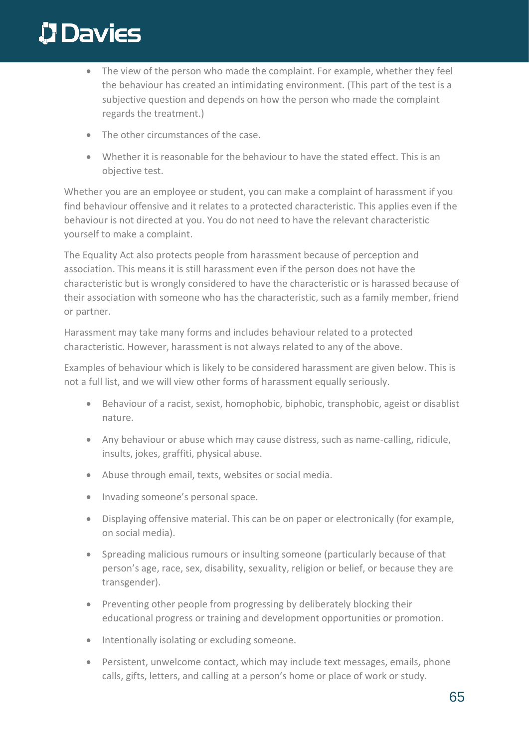# **D** Davies

- The view of the person who made the complaint. For example, whether they feel the behaviour has created an intimidating environment. (This part of the test is a subjective question and depends on how the person who made the complaint regards the treatment.)
- The other circumstances of the case.
- Whether it is reasonable for the behaviour to have the stated effect. This is an objective test.

Whether you are an employee or student, you can make a complaint of harassment if you find behaviour offensive and it relates to a protected characteristic. This applies even if the behaviour is not directed at you. You do not need to have the relevant characteristic yourself to make a complaint.

The Equality Act also protects people from harassment because of perception and association. This means it is still harassment even if the person does not have the characteristic but is wrongly considered to have the characteristic or is harassed because of their association with someone who has the characteristic, such as a family member, friend or partner.

Harassment may take many forms and includes behaviour related to a protected characteristic. However, harassment is not always related to any of the above.

Examples of behaviour which is likely to be considered harassment are given below. This is not a full list, and we will view other forms of harassment equally seriously.

- Behaviour of a racist, sexist, homophobic, biphobic, transphobic, ageist or disablist nature.
- Any behaviour or abuse which may cause distress, such as name-calling, ridicule, insults, jokes, graffiti, physical abuse.
- Abuse through email, texts, websites or social media.
- Invading someone's personal space.
- Displaying offensive material. This can be on paper or electronically (for example, on social media).
- Spreading malicious rumours or insulting someone (particularly because of that person's age, race, sex, disability, sexuality, religion or belief, or because they are transgender).
- Preventing other people from progressing by deliberately blocking their educational progress or training and development opportunities or promotion.
- Intentionally isolating or excluding someone.
- Persistent, unwelcome contact, which may include text messages, emails, phone calls, gifts, letters, and calling at a person's home or place of work or study.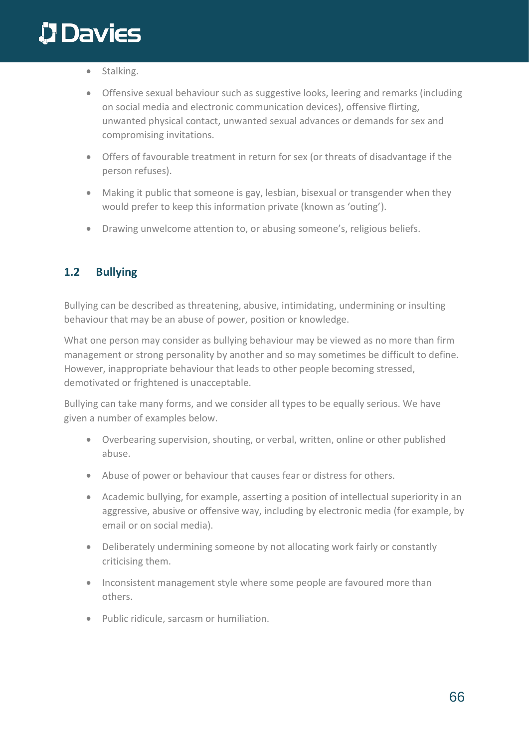- Stalking.
- Offensive sexual behaviour such as suggestive looks, leering and remarks (including on social media and electronic communication devices), offensive flirting, unwanted physical contact, unwanted sexual advances or demands for sex and compromising invitations.
- Offers of favourable treatment in return for sex (or threats of disadvantage if the person refuses).
- Making it public that someone is gay, lesbian, bisexual or transgender when they would prefer to keep this information private (known as 'outing').
- Drawing unwelcome attention to, or abusing someone's, religious beliefs.

#### **1.2 Bullying**

Bullying can be described as threatening, abusive, intimidating, undermining or insulting behaviour that may be an abuse of power, position or knowledge.

What one person may consider as bullying behaviour may be viewed as no more than firm management or strong personality by another and so may sometimes be difficult to define. However, inappropriate behaviour that leads to other people becoming stressed, demotivated or frightened is unacceptable.

Bullying can take many forms, and we consider all types to be equally serious. We have given a number of examples below.

- Overbearing supervision, shouting, or verbal, written, online or other published abuse.
- Abuse of power or behaviour that causes fear or distress for others.
- Academic bullying, for example, asserting a position of intellectual superiority in an aggressive, abusive or offensive way, including by electronic media (for example, by email or on social media).
- Deliberately undermining someone by not allocating work fairly or constantly criticising them.
- Inconsistent management style where some people are favoured more than others.
- Public ridicule, sarcasm or humiliation.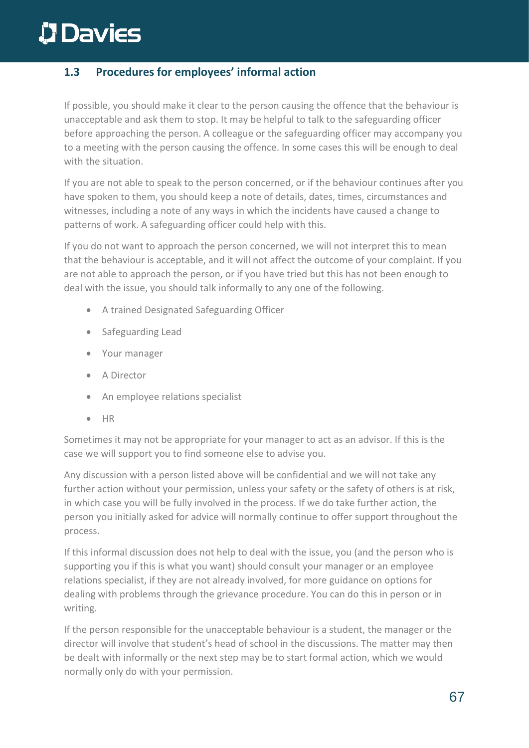### **1.3 Procedures for employees' informal action**

If possible, you should make it clear to the person causing the offence that the behaviour is unacceptable and ask them to stop. It may be helpful to talk to the safeguarding officer before approaching the person. A colleague or the safeguarding officer may accompany you to a meeting with the person causing the offence. In some cases this will be enough to deal with the situation.

If you are not able to speak to the person concerned, or if the behaviour continues after you have spoken to them, you should keep a note of details, dates, times, circumstances and witnesses, including a note of any ways in which the incidents have caused a change to patterns of work. A safeguarding officer could help with this.

If you do not want to approach the person concerned, we will not interpret this to mean that the behaviour is acceptable, and it will not affect the outcome of your complaint. If you are not able to approach the person, or if you have tried but this has not been enough to deal with the issue, you should talk informally to any one of the following.

- A trained Designated Safeguarding Officer
- Safeguarding Lead
- Your manager
- A Director
- An employee relations specialist
- HR

Sometimes it may not be appropriate for your manager to act as an advisor. If this is the case we will support you to find someone else to advise you.

Any discussion with a person listed above will be confidential and we will not take any further action without your permission, unless your safety or the safety of others is at risk, in which case you will be fully involved in the process. If we do take further action, the person you initially asked for advice will normally continue to offer support throughout the process.

If this informal discussion does not help to deal with the issue, you (and the person who is supporting you if this is what you want) should consult your manager or an employee relations specialist, if they are not already involved, for more guidance on options for dealing with problems through the grievance procedure. You can do this in person or in writing.

If the person responsible for the unacceptable behaviour is a student, the manager or the director will involve that student's head of school in the discussions. The matter may then be dealt with informally or the next step may be to start formal action, which we would normally only do with your permission.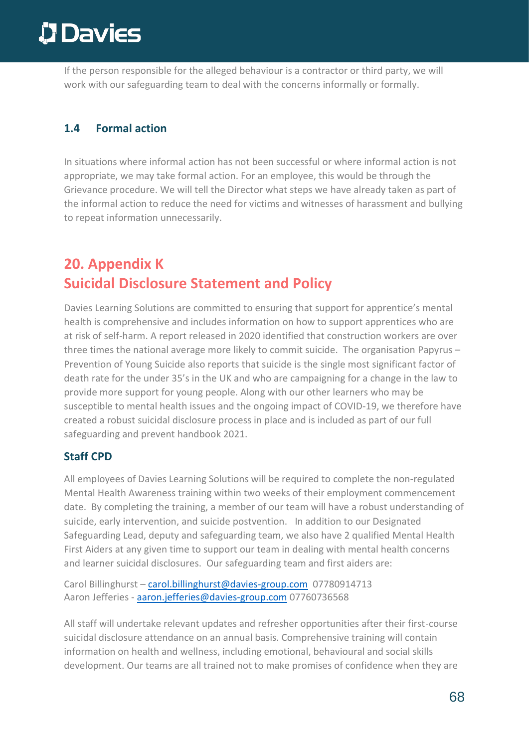If the person responsible for the alleged behaviour is a contractor or third party, we will work with our safeguarding team to deal with the concerns informally or formally.

#### **1.4 Formal action**

In situations where informal action has not been successful or where informal action is not appropriate, we may take formal action. For an employee, this would be through the Grievance procedure. We will tell the Director what steps we have already taken as part of the informal action to reduce the need for victims and witnesses of harassment and bullying to repeat information unnecessarily.

### **20. Appendix K Suicidal Disclosure Statement and Policy**

Davies Learning Solutions are committed to ensuring that support for apprentice's mental health is comprehensive and includes information on how to support apprentices who are at risk of self-harm. A [report](https://highways.today/2020/09/23/suicide-construction-uk/) released in 2020 identified that construction workers are over three times the national average more likely to commit suicide. The organisation [Papyrus](https://www.papyrus-uk.org/) – Prevention of Young Suicide also reports that suicide is the single most significant factor of death rate for the under 35's in the UK and who are campaigning for a change in the law to provide more support for young people. Along with our other learners who may be susceptible to mental health issues and the ongoing impact of COVID-19, we therefore have created a robust suicidal disclosure process in place and is included as part of our full safeguarding and prevent handbook 2021.

#### **Staff CPD**

All employees of Davies Learning Solutions will be required to complete the non-regulated Mental Health Awareness training within two weeks of their employment commencement date. By completing the training, a member of our team will have a robust understanding of suicide, early intervention, and suicide postvention. In addition to our Designated Safeguarding Lead, deputy and safeguarding team, we also have 2 qualified Mental Health First Aiders at any given time to support our team in dealing with mental health concerns and learner suicidal disclosures. Our safeguarding team and first aiders are:

Carol Billinghurst – [carol.billinghurst@davies-group.com](mailto:carol.billinghurst@davies-group.com) 07780914713 Aaron Jefferies - [aaron.jefferies@davies-group.com](mailto:aaron.jefferies@davies-group.com) 07760736568

All staff will undertake relevant updates and refresher opportunities after their first-course suicidal disclosure attendance on an annual basis. Comprehensive training will contain information on health and wellness, including emotional, behavioural and social skills development. Our teams are all trained not to make promises of confidence when they are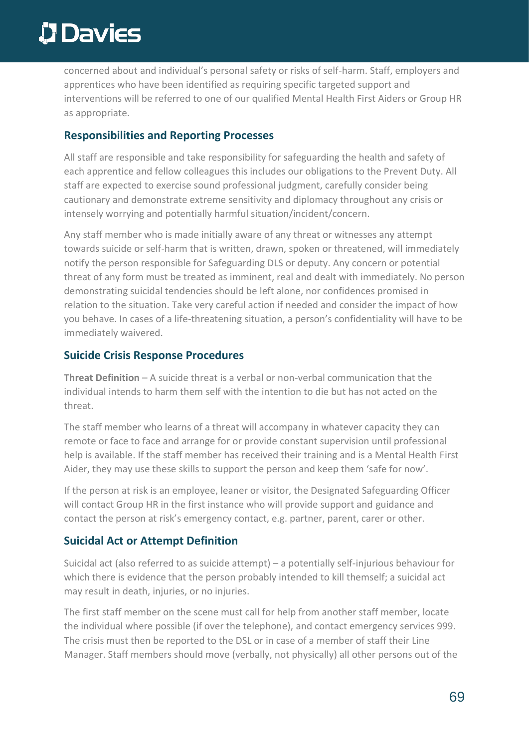concerned about and individual's personal safety or risks of self-harm. Staff, employers and apprentices who have been identified as requiring specific targeted support and interventions will be referred to one of our qualified Mental Health First Aiders or Group HR as appropriate.

#### **Responsibilities and Reporting Processes**

All staff are responsible and take responsibility for safeguarding the health and safety of each apprentice and fellow colleagues this includes our obligations to the Prevent Duty. All staff are expected to exercise sound professional judgment, carefully consider being cautionary and demonstrate extreme sensitivity and diplomacy throughout any crisis or intensely worrying and potentially harmful situation/incident/concern.

Any staff member who is made initially aware of any threat or witnesses any attempt towards suicide or self-harm that is written, drawn, spoken or threatened, will immediately notify the person responsible for Safeguarding DLS or deputy. Any concern or potential threat of any form must be treated as imminent, real and dealt with immediately. No person demonstrating suicidal tendencies should be left alone, nor confidences promised in relation to the situation. Take very careful action if needed and consider the impact of how you behave. In cases of a life-threatening situation, a person's confidentiality will have to be immediately waivered.

#### **Suicide Crisis Response Procedures**

**Threat Definition** – A suicide threat is a verbal or non-verbal communication that the individual intends to harm them self with the intention to die but has not acted on the threat.

The staff member who learns of a threat will accompany in whatever capacity they can remote or face to face and arrange for or provide constant supervision until professional help is available. If the staff member has received their training and is a Mental Health First Aider, they may use these skills to support the person and keep them 'safe for now'.

If the person at risk is an employee, leaner or visitor, the Designated Safeguarding Officer will contact Group HR in the first instance who will provide support and guidance and contact the person at risk's emergency contact, e.g. partner, parent, carer or other.

### **Suicidal Act or Attempt Definition**

Suicidal act (also referred to as suicide attempt) – a potentially self-injurious behaviour for which there is evidence that the person probably intended to kill themself; a suicidal act may result in death, injuries, or no injuries.

The first staff member on the scene must call for help from another staff member, locate the individual where possible (if over the telephone), and contact emergency services 999. The crisis must then be reported to the DSL or in case of a member of staff their Line Manager. Staff members should move (verbally, not physically) all other persons out of the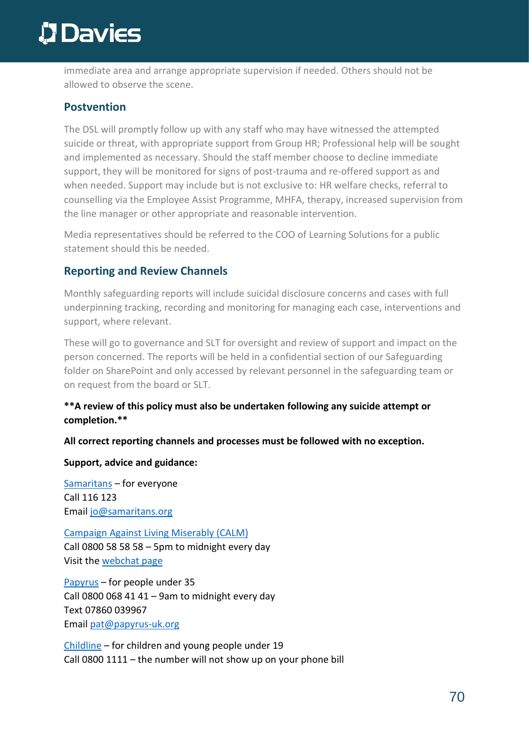immediate area and arrange appropriate supervision if needed. Others should not be allowed to observe the scene.

#### **Postvention**

The DSL will promptly follow up with any staff who may have witnessed the attempted suicide or threat, with appropriate support from Group HR; Professional help will be sought and implemented as necessary. Should the staff member choose to decline immediate support, they will be monitored for signs of post-trauma and re-offered support as and when needed. Support may include but is not exclusive to: HR welfare checks, referral to counselling via the Employee Assist Programme, MHFA, therapy, increased supervision from the line manager or other appropriate and reasonable intervention.

Media representatives should be referred to the COO of Learning Solutions for a public statement should this be needed.

#### **Reporting and Review Channels**

Monthly safeguarding reports will include suicidal disclosure concerns and cases with full underpinning tracking, recording and monitoring for managing each case, interventions and support, where relevant.

These will go to governance and SLT for oversight and review of support and impact on the person concerned. The reports will be held in a confidential section of our Safeguarding folder on SharePoint and only accessed by relevant personnel in the safeguarding team or on request from the board or SLT.

#### **\*\*A review of this policy must also be undertaken following any suicide attempt or completion.\*\***

#### **All correct reporting channels and processes must be followed with no exception.**

**Support, advice and guidance:**

[Samaritans](https://www.samaritans.org/) – for everyone Call 116 123 Email [jo@samaritans.org](mailto:jo@samaritans.org)

[Campaign](https://www.thecalmzone.net/) Against Living Miserably (CALM) Call 0800 58 58 58 – 5pm to midnight every day Visit the [webchat](https://www.thecalmzone.net/help/webchat/) page

[Papyrus](https://www.papyrus-uk.org/help-advice/about-hopelineuk) – for people under 35 Call 0800 068 41 41 – 9am to midnight every day Text 07860 039967 Email [pat@papyrus-uk.org](mailto:pat@papyrus-uk.org)

[Childline](https://www.childline.org.uk/) – for children and young people under 19 Call 0800 1111 – the number will not show up on your phone bill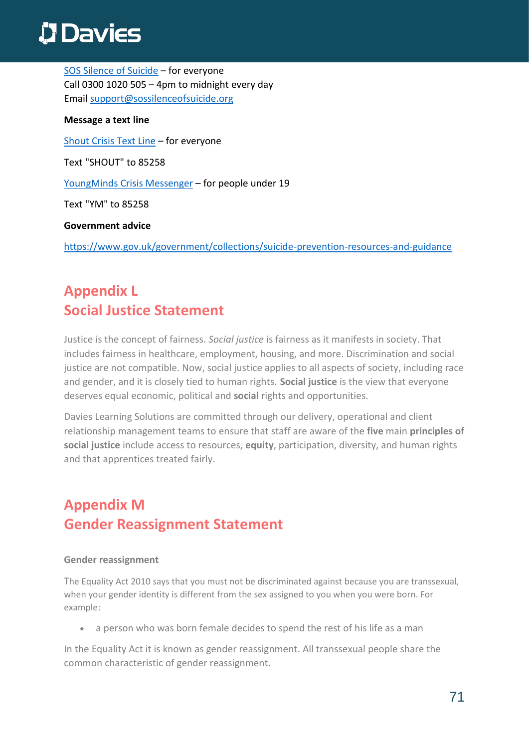SOS Silence of [Suicide](https://sossilenceofsuicide.org/what-where-why/) – for everyone Call 0300 1020 505 – 4pm to midnight every day Email [support@sossilenceofsuicide.org](mailto:support@sossilenceofsuicide.org)

#### **Message a text line**

[Shout](https://giveusashout.org/) Crisis Text Line – for everyone

Text "SHOUT" to 85258

[YoungMinds](https://youngminds.org.uk/find-help/get-urgent-help/youngminds-crisis-messenger) Crisis Messenger – for people under 19

Text "YM" to 85258

#### **Government advice**

<https://www.gov.uk/government/collections/suicide-prevention-resources-and-guidance>

## **Appendix L Social Justice Statement**

Justice is the concept of fairness. *Social justice* is fairness as it manifests in society. That includes fairness in healthcare, employment, housing, and more. Discrimination and social justice are not compatible. Now, social justice applies to all aspects of society, including race and gender, and it is closely tied to human rights. **Social justice** is the view that everyone deserves equal economic, political and **social** rights and opportunities.

Davies Learning Solutions are committed through our delivery, operational and client relationship management teams to ensure that staff are aware of the **five** main **principles of social justice** include access to resources, **equity**, participation, diversity, and human rights and that apprentices treated fairly.

## **Appendix M Gender Reassignment Statement**

#### **Gender reassignment**

The Equality Act 2010 says that you must not be discriminated against because you are transsexual, when your gender identity is different from the sex assigned to you when you were born. For example:

• a person who was born female decides to spend the rest of his life as a man

In the Equality Act it is known as gender reassignment. All transsexual people share the common characteristic of gender reassignment.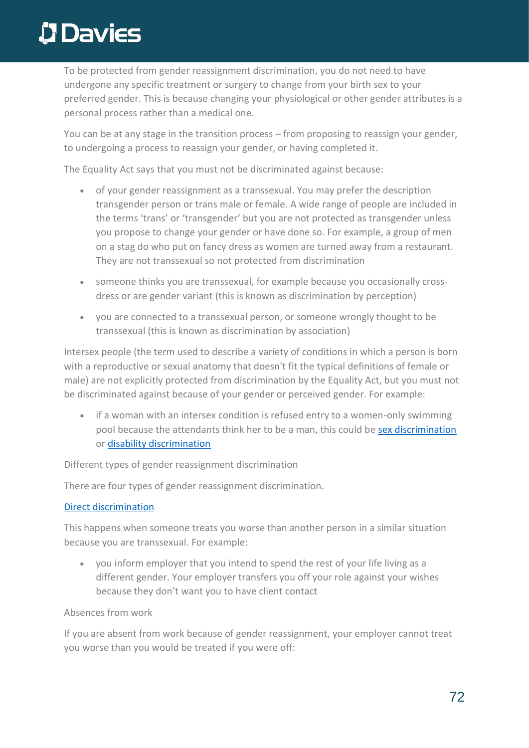To be protected from gender reassignment discrimination, you do not need to have undergone any specific treatment or surgery to change from your birth sex to your preferred gender. This is because changing your physiological or other gender attributes is a personal process rather than a medical one.

You can be at any stage in the transition process – from proposing to reassign your gender, to undergoing a process to reassign your gender, or having completed it.

The Equality Act says that you must not be discriminated against because:

- of your gender reassignment as a transsexual. You may prefer the description transgender person or trans male or female. A wide range of people are included in the terms 'trans' or 'transgender' but you are not protected as transgender unless you propose to change your gender or have done so. For example, a group of men on a stag do who put on fancy dress as women are turned away from a restaurant. They are not transsexual so not protected from discrimination
- someone thinks you are transsexual, for example because you occasionally crossdress or are gender variant (this is known as discrimination by perception)
- you are connected to a transsexual person, or someone wrongly thought to be transsexual (this is known as discrimination by association)

Intersex people (the term used to describe a variety of conditions in which a person is born with a reproductive or sexual anatomy that doesn't fit the typical definitions of female or male) are not explicitly protected from discrimination by the Equality Act, but you must not be discriminated against because of your gender or perceived gender. For example:

• if a woman with an intersex condition is refused entry to a women-only swimming pool because the attendants think her to be a man, this could be [sex discrimination](https://www.equalityhumanrights.com/en/node/1211) or [disability discrimination](https://www.equalityhumanrights.com/en/node/1186)

Different types of gender reassignment discrimination

There are four types of gender reassignment discrimination.

#### [Direct discrimination](https://www.equalityhumanrights.com/en/advice-and-guidance/commonly-used-terms-equal-rights#h2)

This happens when someone treats you worse than another person in a similar situation because you are transsexual. For example:

• you inform employer that you intend to spend the rest of your life living as a different gender. Your employer transfers you off your role against your wishes because they don't want you to have client contact

Absences from work

If you are absent from work because of gender reassignment, your employer cannot treat you worse than you would be treated if you were off: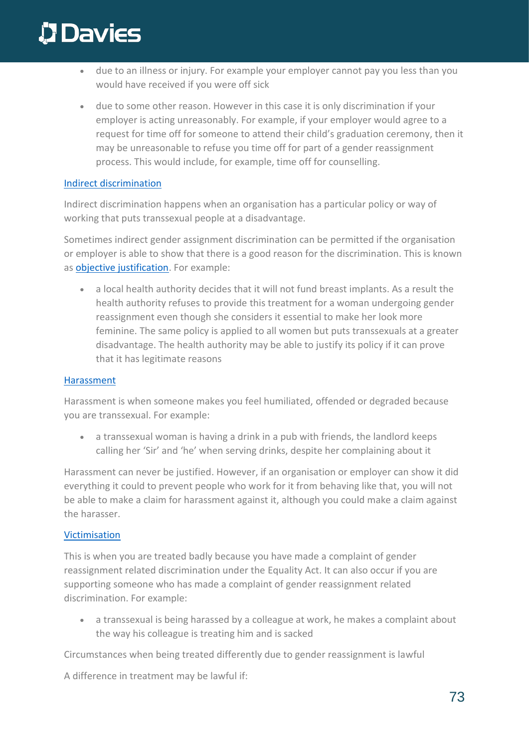# **Davies**

- due to an illness or injury. For example your employer cannot pay you less than you would have received if you were off sick
- due to some other reason. However in this case it is only discrimination if your employer is acting unreasonably. For example, if your employer would agree to a request for time off for someone to attend their child's graduation ceremony, then it may be unreasonable to refuse you time off for part of a gender reassignment process. This would include, for example, time off for counselling.

#### [Indirect discrimination](https://www.equalityhumanrights.com/en/advice-and-guidance/commonly-used-terms-equal-rights#h5)

Indirect discrimination happens when an organisation has a particular policy or way of working that puts transsexual people at a disadvantage.

Sometimes indirect gender assignment discrimination can be permitted if the organisation or employer is able to show that there is a good reason for the discrimination. This is known as [objective justification.](https://www.equalityhumanrights.com/en/advice-and-guidance/commonly-used-terms-equal-rights#h6) For example:

• a local health authority decides that it will not fund breast implants. As a result the health authority refuses to provide this treatment for a woman undergoing gender reassignment even though she considers it essential to make her look more feminine. The same policy is applied to all women but puts transsexuals at a greater disadvantage. The health authority may be able to justify its policy if it can prove that it has legitimate reasons

#### **[Harassment](https://www.equalityhumanrights.com/en/advice-and-guidance/commonly-used-terms-equal-rights#h4)**

Harassment is when someone makes you feel humiliated, offended or degraded because you are transsexual. For example:

• a transsexual woman is having a drink in a pub with friends, the landlord keeps calling her 'Sir' and 'he' when serving drinks, despite her complaining about it

Harassment can never be justified. However, if an organisation or employer can show it did everything it could to prevent people who work for it from behaving like that, you will not be able to make a claim for harassment against it, although you could make a claim against the harasser.

#### [Victimisation](https://www.equalityhumanrights.com/en/advice-and-guidance/commonly-used-terms-equal-rights#h10)

This is when you are treated badly because you have made a complaint of gender reassignment related discrimination under the Equality Act. It can also occur if you are supporting someone who has made a complaint of gender reassignment related discrimination. For example:

• a transsexual is being harassed by a colleague at work, he makes a complaint about the way his colleague is treating him and is sacked

Circumstances when being treated differently due to gender reassignment is lawful

A difference in treatment may be lawful if: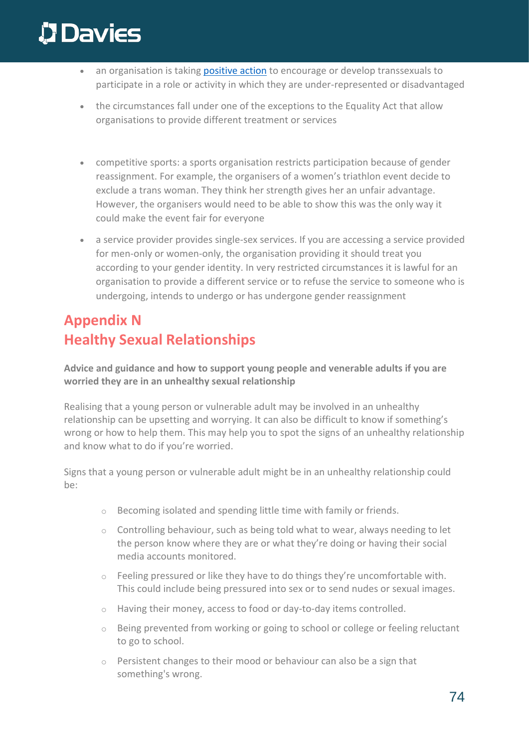# **Davies**

- an organisation is taking [positive action](https://www.equalityhumanrights.com/en/advice-and-guidance/commonly-used-terms-equal-rights#h8) to encourage or develop transsexuals to participate in a role or activity in which they are under-represented or disadvantaged
- the circumstances fall under one of the exceptions to the Equality Act that allow organisations to provide different treatment or services
- competitive sports: a sports organisation restricts participation because of gender reassignment. For example, the organisers of a women's triathlon event decide to exclude a trans woman. They think her strength gives her an unfair advantage. However, the organisers would need to be able to show this was the only way it could make the event fair for everyone
- a service provider provides single-sex services. If you are accessing a service provided for men-only or women-only, the organisation providing it should treat you according to your gender identity. In very restricted circumstances it is lawful for an organisation to provide a different service or to refuse the service to someone who is undergoing, intends to undergo or has undergone gender reassignment

### **Appendix N Healthy Sexual Relationships**

**Advice and guidance and how to support young people and venerable adults if you are worried they are in an unhealthy sexual relationship** 

Realising that a young person or vulnerable adult may be involved in an unhealthy relationship can be upsetting and worrying. It can also be difficult to know if something's wrong or how to help them. This may help you to spot the signs of an unhealthy relationship and know what to do if you're worried.

Signs that a young person or vulnerable adult might be in an unhealthy relationship could be:

- o Becoming isolated and spending little time with family or friends.
- $\circ$  Controlling behaviour, such as being told what to wear, always needing to let the person know where they are or what they're doing or having their social media accounts monitored.
- o Feeling pressured or like they have to do things they're uncomfortable with. This could include being pressured into sex or to [send nudes or sexual images.](https://www.nspcc.org.uk/keeping-children-safe/online-safety/sexting-sending-nudes/)
- o Having their money, access to food or day-to-day items controlled.
- $\circ$  Being prevented from working or going to school or college or feeling reluctant to go to school.
- $\circ$  Persistent changes to their mood or behaviour can also be a sign that something's wrong.